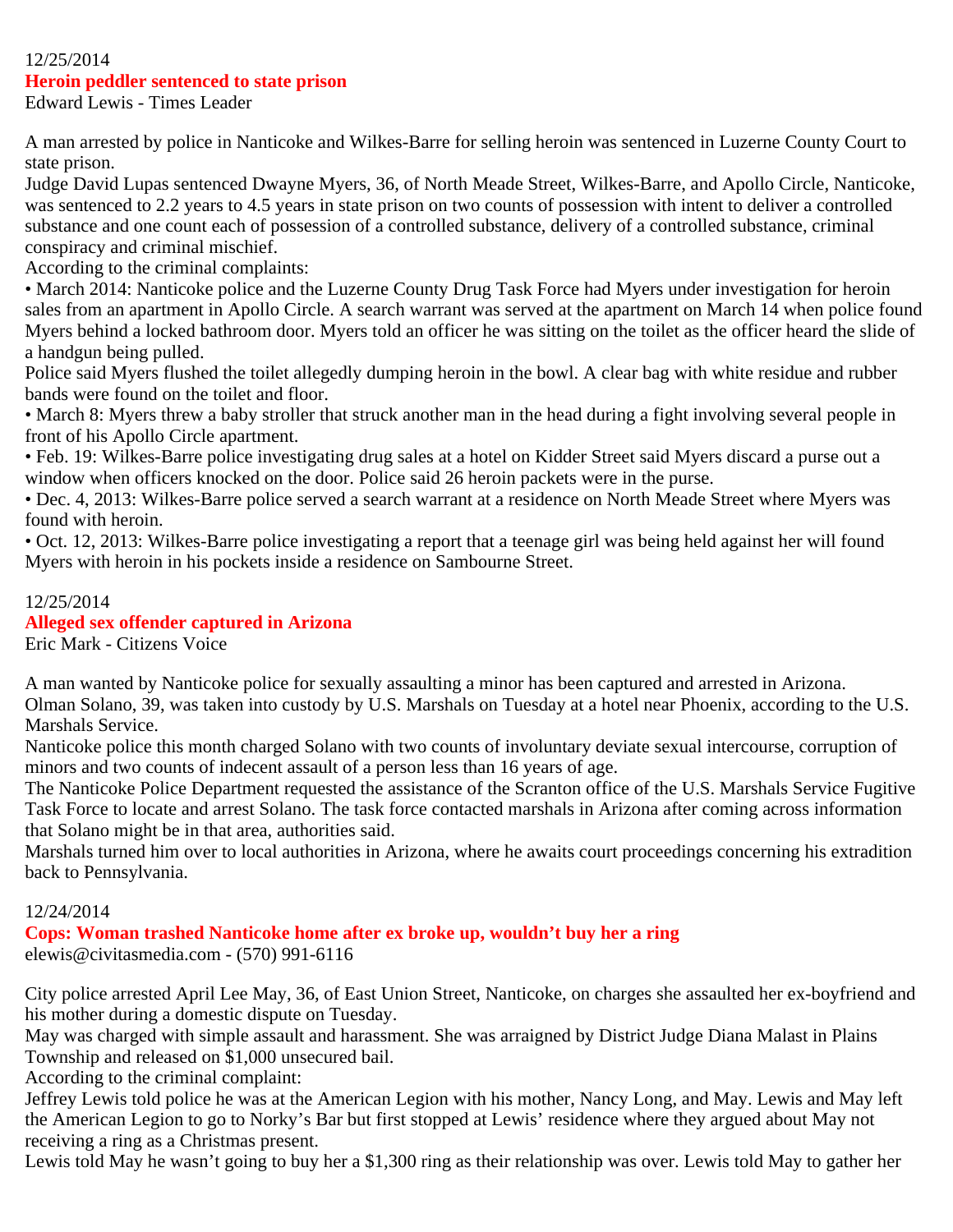#### 12/25/2014

#### **Heroin peddler sentenced to state prison**

Edward Lewis - Times Leader

A man arrested by police in Nanticoke and Wilkes-Barre for selling heroin was sentenced in Luzerne County Court to state prison.

Judge David Lupas sentenced Dwayne Myers, 36, of North Meade Street, Wilkes-Barre, and Apollo Circle, Nanticoke, was sentenced to 2.2 years to 4.5 years in state prison on two counts of possession with intent to deliver a controlled substance and one count each of possession of a controlled substance, delivery of a controlled substance, criminal conspiracy and criminal mischief.

According to the criminal complaints:

• March 2014: Nanticoke police and the Luzerne County Drug Task Force had Myers under investigation for heroin sales from an apartment in Apollo Circle. A search warrant was served at the apartment on March 14 when police found Myers behind a locked bathroom door. Myers told an officer he was sitting on the toilet as the officer heard the slide of a handgun being pulled.

Police said Myers flushed the toilet allegedly dumping heroin in the bowl. A clear bag with white residue and rubber bands were found on the toilet and floor.

• March 8: Myers threw a baby stroller that struck another man in the head during a fight involving several people in front of his Apollo Circle apartment.

• Feb. 19: Wilkes-Barre police investigating drug sales at a hotel on Kidder Street said Myers discard a purse out a window when officers knocked on the door. Police said 26 heroin packets were in the purse.

• Dec. 4, 2013: Wilkes-Barre police served a search warrant at a residence on North Meade Street where Myers was found with heroin.

• Oct. 12, 2013: Wilkes-Barre police investigating a report that a teenage girl was being held against her will found Myers with heroin in his pockets inside a residence on Sambourne Street.

#### 12/25/2014

#### **Alleged sex offender captured in Arizona**

Eric Mark - Citizens Voice

A man wanted by Nanticoke police for sexually assaulting a minor has been captured and arrested in Arizona. Olman Solano, 39, was taken into custody by U.S. Marshals on Tuesday at a hotel near Phoenix, according to the U.S. Marshals Service.

Nanticoke police this month charged Solano with two counts of involuntary deviate sexual intercourse, corruption of minors and two counts of indecent assault of a person less than 16 years of age.

The Nanticoke Police Department requested the assistance of the Scranton office of the U.S. Marshals Service Fugitive Task Force to locate and arrest Solano. The task force contacted marshals in Arizona after coming across information that Solano might be in that area, authorities said.

Marshals turned him over to local authorities in Arizona, where he awaits court proceedings concerning his extradition back to Pennsylvania.

#### 12/24/2014

**Cops: Woman trashed Nanticoke home after ex broke up, wouldn't buy her a ring** elewis@civitasmedia.com - (570) 991-6116

City police arrested April Lee May, 36, of East Union Street, Nanticoke, on charges she assaulted her ex-boyfriend and his mother during a domestic dispute on Tuesday.

May was charged with simple assault and harassment. She was arraigned by District Judge Diana Malast in Plains Township and released on \$1,000 unsecured bail.

According to the criminal complaint:

Jeffrey Lewis told police he was at the American Legion with his mother, Nancy Long, and May. Lewis and May left the American Legion to go to Norky's Bar but first stopped at Lewis' residence where they argued about May not receiving a ring as a Christmas present.

Lewis told May he wasn't going to buy her a \$1,300 ring as their relationship was over. Lewis told May to gather her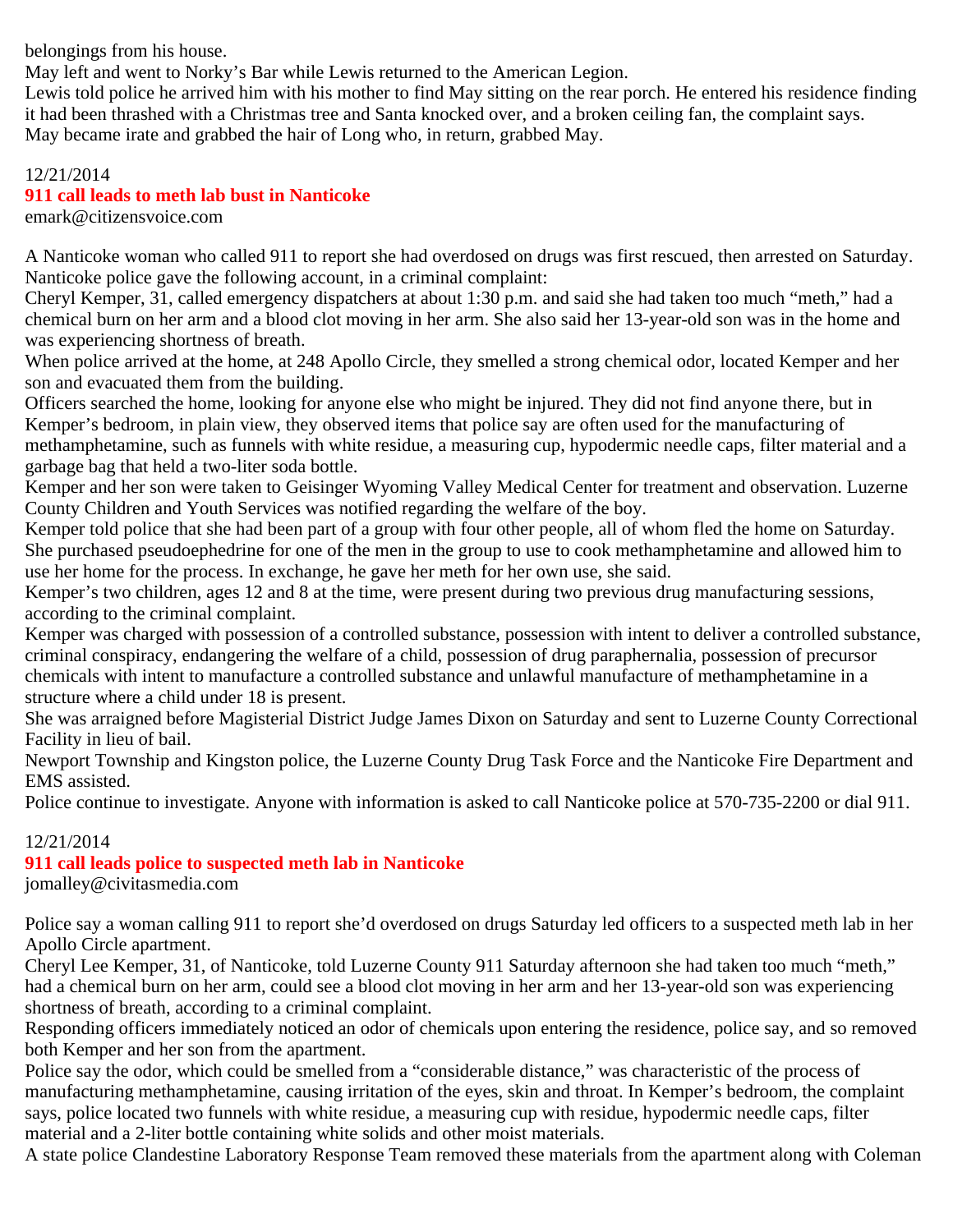belongings from his house.

May left and went to Norky's Bar while Lewis returned to the American Legion.

Lewis told police he arrived him with his mother to find May sitting on the rear porch. He entered his residence finding it had been thrashed with a Christmas tree and Santa knocked over, and a broken ceiling fan, the complaint says. May became irate and grabbed the hair of Long who, in return, grabbed May.

#### 12/21/2014

## **911 call leads to meth lab bust in Nanticoke**

emark@citizensvoice.com

A Nanticoke woman who called 911 to report she had overdosed on drugs was first rescued, then arrested on Saturday. Nanticoke police gave the following account, in a criminal complaint:

Cheryl Kemper, 31, called emergency dispatchers at about 1:30 p.m. and said she had taken too much "meth," had a chemical burn on her arm and a blood clot moving in her arm. She also said her 13-year-old son was in the home and was experiencing shortness of breath.

When police arrived at the home, at 248 Apollo Circle, they smelled a strong chemical odor, located Kemper and her son and evacuated them from the building.

Officers searched the home, looking for anyone else who might be injured. They did not find anyone there, but in Kemper's bedroom, in plain view, they observed items that police say are often used for the manufacturing of methamphetamine, such as funnels with white residue, a measuring cup, hypodermic needle caps, filter material and a garbage bag that held a two-liter soda bottle.

Kemper and her son were taken to Geisinger Wyoming Valley Medical Center for treatment and observation. Luzerne County Children and Youth Services was notified regarding the welfare of the boy.

Kemper told police that she had been part of a group with four other people, all of whom fled the home on Saturday. She purchased pseudoephedrine for one of the men in the group to use to cook methamphetamine and allowed him to use her home for the process. In exchange, he gave her meth for her own use, she said.

Kemper's two children, ages 12 and 8 at the time, were present during two previous drug manufacturing sessions, according to the criminal complaint.

Kemper was charged with possession of a controlled substance, possession with intent to deliver a controlled substance, criminal conspiracy, endangering the welfare of a child, possession of drug paraphernalia, possession of precursor chemicals with intent to manufacture a controlled substance and unlawful manufacture of methamphetamine in a structure where a child under 18 is present.

She was arraigned before Magisterial District Judge James Dixon on Saturday and sent to Luzerne County Correctional Facility in lieu of bail.

Newport Township and Kingston police, the Luzerne County Drug Task Force and the Nanticoke Fire Department and EMS assisted.

Police continue to investigate. Anyone with information is asked to call Nanticoke police at 570-735-2200 or dial 911.

## 12/21/2014

## **911 call leads police to suspected meth lab in Nanticoke**

jomalley@civitasmedia.com

Police say a woman calling 911 to report she'd overdosed on drugs Saturday led officers to a suspected meth lab in her Apollo Circle apartment.

Cheryl Lee Kemper, 31, of Nanticoke, told Luzerne County 911 Saturday afternoon she had taken too much "meth," had a chemical burn on her arm, could see a blood clot moving in her arm and her 13-year-old son was experiencing shortness of breath, according to a criminal complaint.

Responding officers immediately noticed an odor of chemicals upon entering the residence, police say, and so removed both Kemper and her son from the apartment.

Police say the odor, which could be smelled from a "considerable distance," was characteristic of the process of manufacturing methamphetamine, causing irritation of the eyes, skin and throat. In Kemper's bedroom, the complaint says, police located two funnels with white residue, a measuring cup with residue, hypodermic needle caps, filter material and a 2-liter bottle containing white solids and other moist materials.

A state police Clandestine Laboratory Response Team removed these materials from the apartment along with Coleman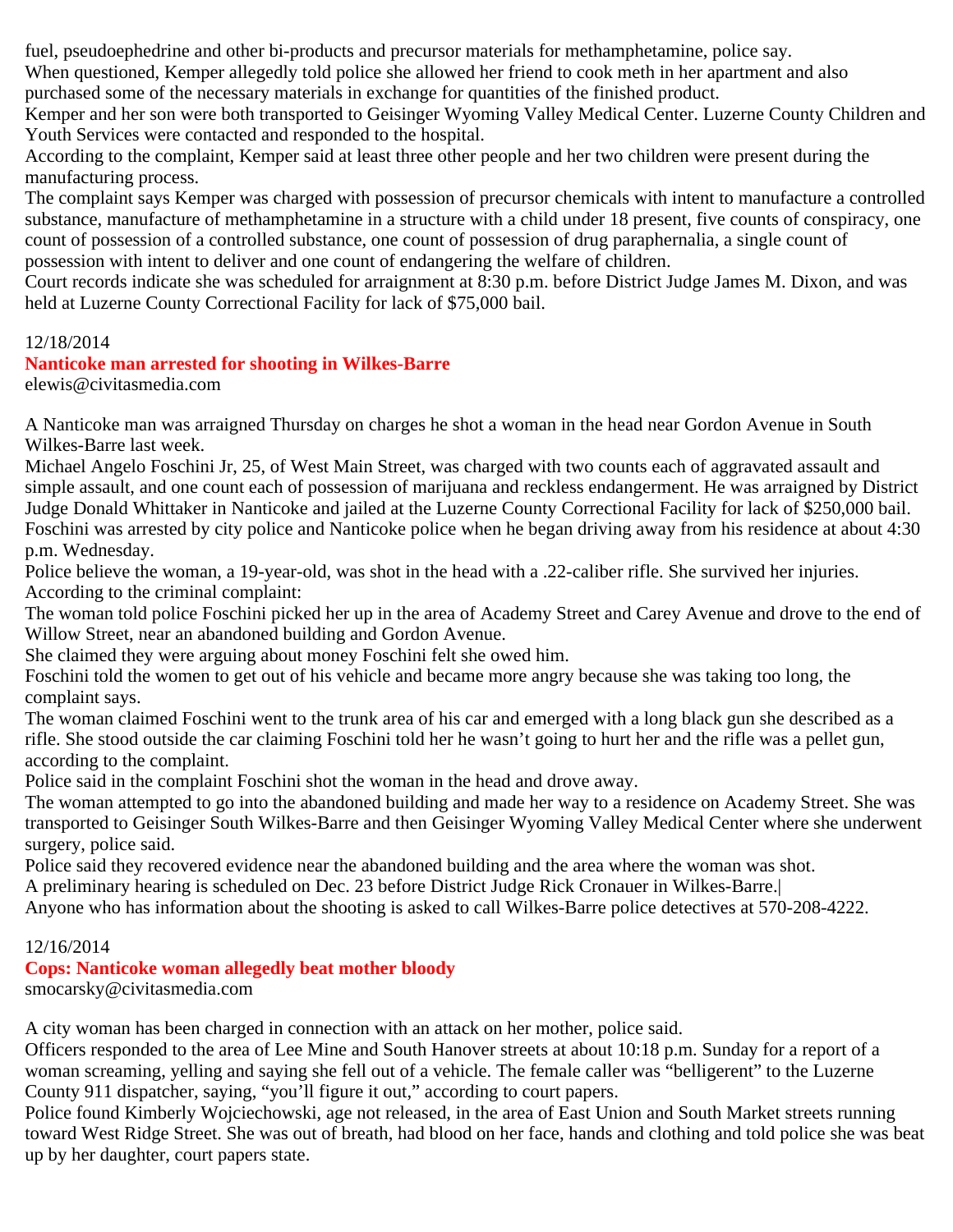fuel, pseudoephedrine and other bi-products and precursor materials for methamphetamine, police say.

When questioned, Kemper allegedly told police she allowed her friend to cook meth in her apartment and also purchased some of the necessary materials in exchange for quantities of the finished product.

Kemper and her son were both transported to Geisinger Wyoming Valley Medical Center. Luzerne County Children and Youth Services were contacted and responded to the hospital.

According to the complaint, Kemper said at least three other people and her two children were present during the manufacturing process.

The complaint says Kemper was charged with possession of precursor chemicals with intent to manufacture a controlled substance, manufacture of methamphetamine in a structure with a child under 18 present, five counts of conspiracy, one count of possession of a controlled substance, one count of possession of drug paraphernalia, a single count of possession with intent to deliver and one count of endangering the welfare of children.

Court records indicate she was scheduled for arraignment at 8:30 p.m. before District Judge James M. Dixon, and was held at Luzerne County Correctional Facility for lack of \$75,000 bail.

## 12/18/2014

## **Nanticoke man arrested for shooting in Wilkes-Barre**

elewis@civitasmedia.com

A Nanticoke man was arraigned Thursday on charges he shot a woman in the head near Gordon Avenue in South Wilkes-Barre last week.

Michael Angelo Foschini Jr, 25, of West Main Street, was charged with two counts each of aggravated assault and simple assault, and one count each of possession of marijuana and reckless endangerment. He was arraigned by District Judge Donald Whittaker in Nanticoke and jailed at the Luzerne County Correctional Facility for lack of \$250,000 bail. Foschini was arrested by city police and Nanticoke police when he began driving away from his residence at about 4:30 p.m. Wednesday.

Police believe the woman, a 19-year-old, was shot in the head with a .22-caliber rifle. She survived her injuries. According to the criminal complaint:

The woman told police Foschini picked her up in the area of Academy Street and Carey Avenue and drove to the end of Willow Street, near an abandoned building and Gordon Avenue.

She claimed they were arguing about money Foschini felt she owed him.

Foschini told the women to get out of his vehicle and became more angry because she was taking too long, the complaint says.

The woman claimed Foschini went to the trunk area of his car and emerged with a long black gun she described as a rifle. She stood outside the car claiming Foschini told her he wasn't going to hurt her and the rifle was a pellet gun, according to the complaint.

Police said in the complaint Foschini shot the woman in the head and drove away.

The woman attempted to go into the abandoned building and made her way to a residence on Academy Street. She was transported to Geisinger South Wilkes-Barre and then Geisinger Wyoming Valley Medical Center where she underwent surgery, police said.

Police said they recovered evidence near the abandoned building and the area where the woman was shot.

A preliminary hearing is scheduled on Dec. 23 before District Judge Rick Cronauer in Wilkes-Barre.|

Anyone who has information about the shooting is asked to call Wilkes-Barre police detectives at 570-208-4222.

## 12/16/2014

# **Cops: Nanticoke woman allegedly beat mother bloody**

smocarsky@civitasmedia.com

A city woman has been charged in connection with an attack on her mother, police said.

Officers responded to the area of Lee Mine and South Hanover streets at about 10:18 p.m. Sunday for a report of a woman screaming, yelling and saying she fell out of a vehicle. The female caller was "belligerent" to the Luzerne County 911 dispatcher, saying, "you'll figure it out," according to court papers.

Police found Kimberly Wojciechowski, age not released, in the area of East Union and South Market streets running toward West Ridge Street. She was out of breath, had blood on her face, hands and clothing and told police she was beat up by her daughter, court papers state.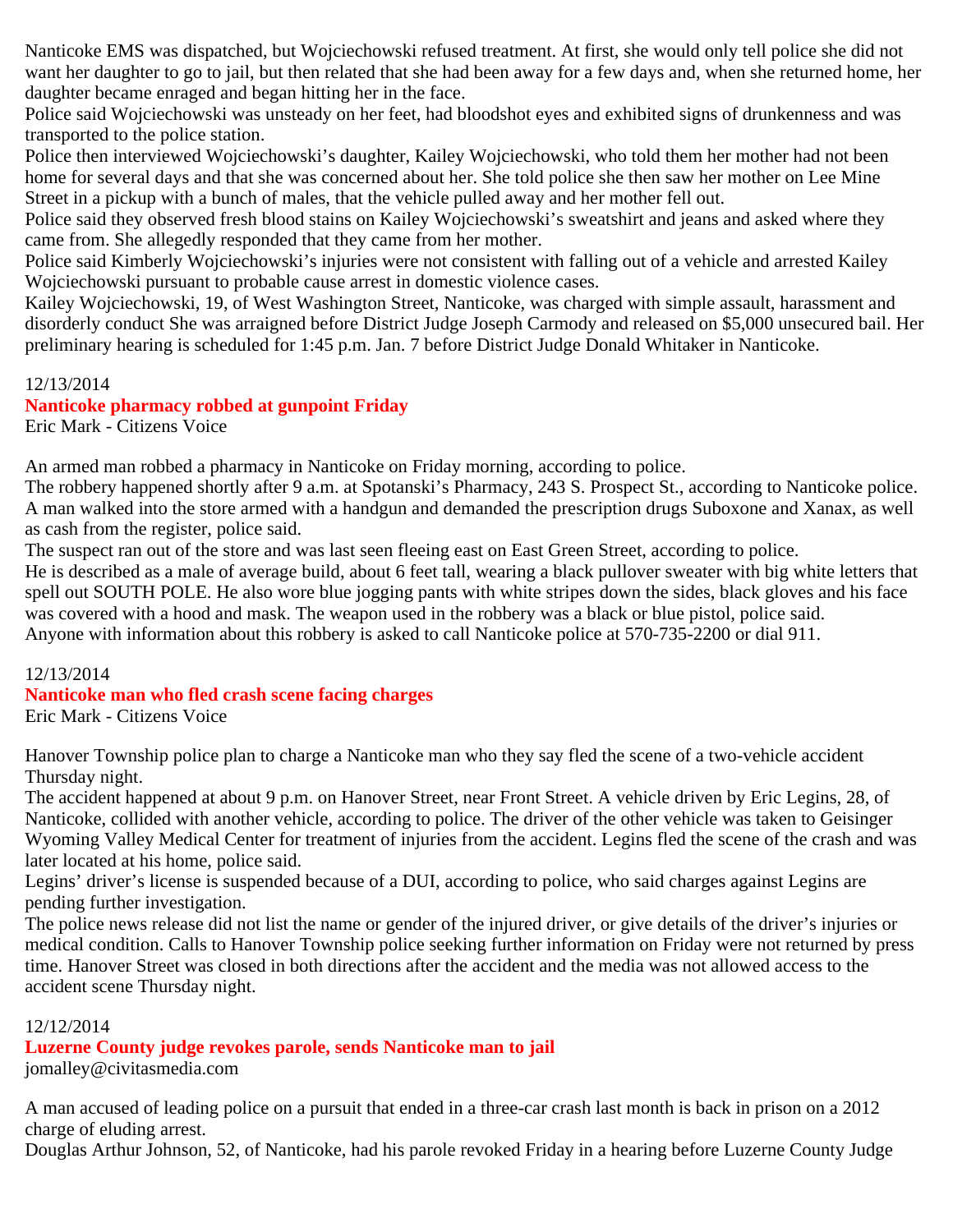Nanticoke EMS was dispatched, but Wojciechowski refused treatment. At first, she would only tell police she did not want her daughter to go to jail, but then related that she had been away for a few days and, when she returned home, her daughter became enraged and began hitting her in the face.

Police said Wojciechowski was unsteady on her feet, had bloodshot eyes and exhibited signs of drunkenness and was transported to the police station.

Police then interviewed Wojciechowski's daughter, Kailey Wojciechowski, who told them her mother had not been home for several days and that she was concerned about her. She told police she then saw her mother on Lee Mine Street in a pickup with a bunch of males, that the vehicle pulled away and her mother fell out.

Police said they observed fresh blood stains on Kailey Wojciechowski's sweatshirt and jeans and asked where they came from. She allegedly responded that they came from her mother.

Police said Kimberly Wojciechowski's injuries were not consistent with falling out of a vehicle and arrested Kailey Wojciechowski pursuant to probable cause arrest in domestic violence cases.

Kailey Wojciechowski, 19, of West Washington Street, Nanticoke, was charged with simple assault, harassment and disorderly conduct She was arraigned before District Judge Joseph Carmody and released on \$5,000 unsecured bail. Her preliminary hearing is scheduled for 1:45 p.m. Jan. 7 before District Judge Donald Whitaker in Nanticoke.

## 12/13/2014

# **Nanticoke pharmacy robbed at gunpoint Friday**

Eric Mark - Citizens Voice

An armed man robbed a pharmacy in Nanticoke on Friday morning, according to police.

The robbery happened shortly after 9 a.m. at Spotanski's Pharmacy, 243 S. Prospect St., according to Nanticoke police. A man walked into the store armed with a handgun and demanded the prescription drugs Suboxone and Xanax, as well as cash from the register, police said.

The suspect ran out of the store and was last seen fleeing east on East Green Street, according to police.

He is described as a male of average build, about 6 feet tall, wearing a black pullover sweater with big white letters that spell out SOUTH POLE. He also wore blue jogging pants with white stripes down the sides, black gloves and his face was covered with a hood and mask. The weapon used in the robbery was a black or blue pistol, police said. Anyone with information about this robbery is asked to call Nanticoke police at 570-735-2200 or dial 911.

## 12/13/2014

# **Nanticoke man who fled crash scene facing charges**

Eric Mark - Citizens Voice

Hanover Township police plan to charge a Nanticoke man who they say fled the scene of a two-vehicle accident Thursday night.

The accident happened at about 9 p.m. on Hanover Street, near Front Street. A vehicle driven by Eric Legins, 28, of Nanticoke, collided with another vehicle, according to police. The driver of the other vehicle was taken to Geisinger Wyoming Valley Medical Center for treatment of injuries from the accident. Legins fled the scene of the crash and was later located at his home, police said.

Legins' driver's license is suspended because of a DUI, according to police, who said charges against Legins are pending further investigation.

The police news release did not list the name or gender of the injured driver, or give details of the driver's injuries or medical condition. Calls to Hanover Township police seeking further information on Friday were not returned by press time. Hanover Street was closed in both directions after the accident and the media was not allowed access to the accident scene Thursday night.

12/12/2014

# **Luzerne County judge revokes parole, sends Nanticoke man to jail**

jomalley@civitasmedia.com

A man accused of leading police on a pursuit that ended in a three-car crash last month is back in prison on a 2012 charge of eluding arrest.

Douglas Arthur Johnson, 52, of Nanticoke, had his parole revoked Friday in a hearing before Luzerne County Judge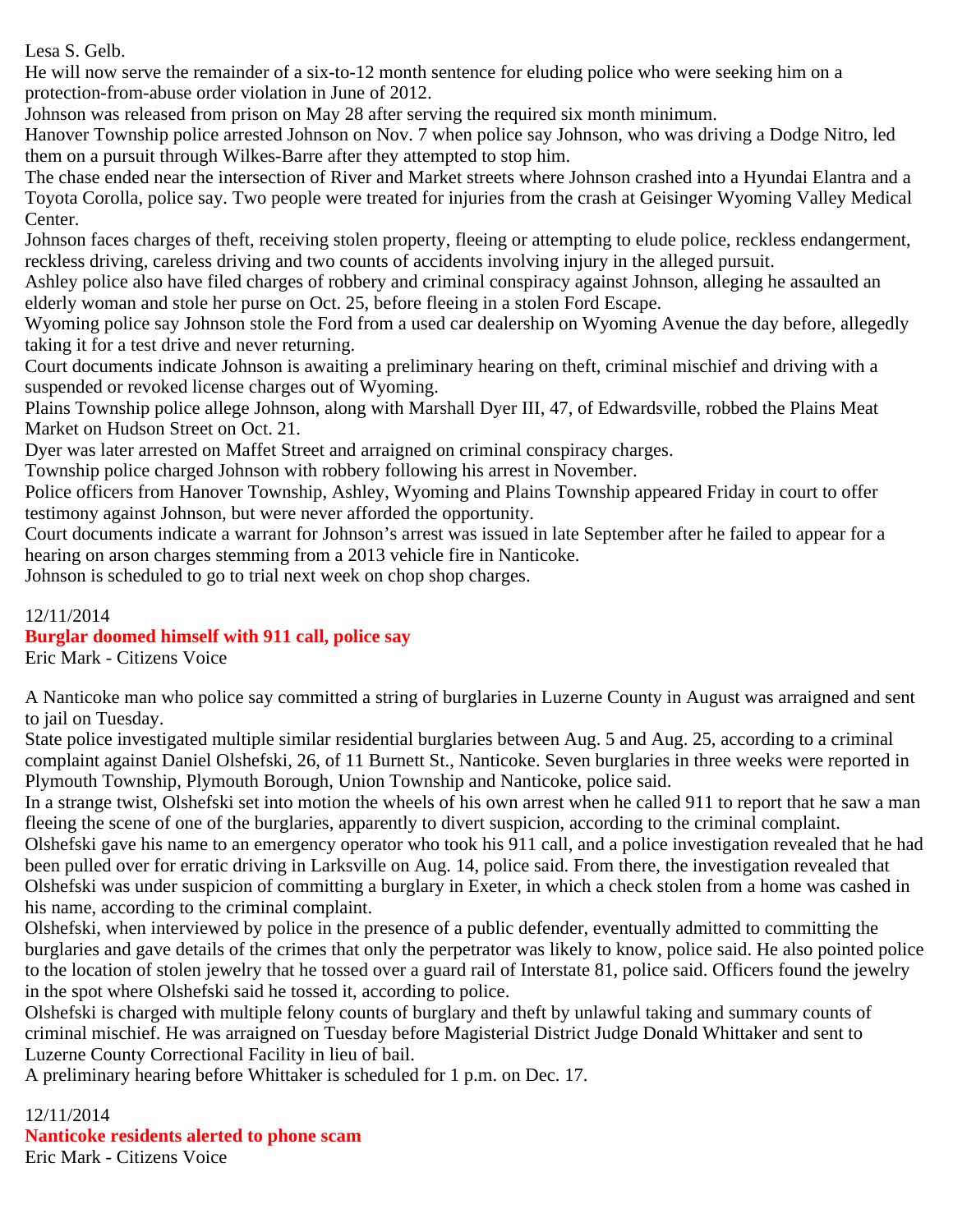Lesa S. Gelb.

He will now serve the remainder of a six-to-12 month sentence for eluding police who were seeking him on a protection-from-abuse order violation in June of 2012.

Johnson was released from prison on May 28 after serving the required six month minimum.

Hanover Township police arrested Johnson on Nov. 7 when police say Johnson, who was driving a Dodge Nitro, led them on a pursuit through Wilkes-Barre after they attempted to stop him.

The chase ended near the intersection of River and Market streets where Johnson crashed into a Hyundai Elantra and a Toyota Corolla, police say. Two people were treated for injuries from the crash at Geisinger Wyoming Valley Medical Center.

Johnson faces charges of theft, receiving stolen property, fleeing or attempting to elude police, reckless endangerment, reckless driving, careless driving and two counts of accidents involving injury in the alleged pursuit.

Ashley police also have filed charges of robbery and criminal conspiracy against Johnson, alleging he assaulted an elderly woman and stole her purse on Oct. 25, before fleeing in a stolen Ford Escape.

Wyoming police say Johnson stole the Ford from a used car dealership on Wyoming Avenue the day before, allegedly taking it for a test drive and never returning.

Court documents indicate Johnson is awaiting a preliminary hearing on theft, criminal mischief and driving with a suspended or revoked license charges out of Wyoming.

Plains Township police allege Johnson, along with Marshall Dyer III, 47, of Edwardsville, robbed the Plains Meat Market on Hudson Street on Oct. 21.

Dyer was later arrested on Maffet Street and arraigned on criminal conspiracy charges.

Township police charged Johnson with robbery following his arrest in November.

Police officers from Hanover Township, Ashley, Wyoming and Plains Township appeared Friday in court to offer testimony against Johnson, but were never afforded the opportunity.

Court documents indicate a warrant for Johnson's arrest was issued in late September after he failed to appear for a hearing on arson charges stemming from a 2013 vehicle fire in Nanticoke.

Johnson is scheduled to go to trial next week on chop shop charges.

## 12/11/2014 **Burglar doomed himself with 911 call, police say**

Eric Mark - Citizens Voice

A Nanticoke man who police say committed a string of burglaries in Luzerne County in August was arraigned and sent to jail on Tuesday.

State police investigated multiple similar residential burglaries between Aug. 5 and Aug. 25, according to a criminal complaint against Daniel Olshefski, 26, of 11 Burnett St., Nanticoke. Seven burglaries in three weeks were reported in Plymouth Township, Plymouth Borough, Union Township and Nanticoke, police said.

In a strange twist, Olshefski set into motion the wheels of his own arrest when he called 911 to report that he saw a man fleeing the scene of one of the burglaries, apparently to divert suspicion, according to the criminal complaint.

Olshefski gave his name to an emergency operator who took his 911 call, and a police investigation revealed that he had been pulled over for erratic driving in Larksville on Aug. 14, police said. From there, the investigation revealed that Olshefski was under suspicion of committing a burglary in Exeter, in which a check stolen from a home was cashed in his name, according to the criminal complaint.

Olshefski, when interviewed by police in the presence of a public defender, eventually admitted to committing the burglaries and gave details of the crimes that only the perpetrator was likely to know, police said. He also pointed police to the location of stolen jewelry that he tossed over a guard rail of Interstate 81, police said. Officers found the jewelry in the spot where Olshefski said he tossed it, according to police.

Olshefski is charged with multiple felony counts of burglary and theft by unlawful taking and summary counts of criminal mischief. He was arraigned on Tuesday before Magisterial District Judge Donald Whittaker and sent to Luzerne County Correctional Facility in lieu of bail.

A preliminary hearing before Whittaker is scheduled for 1 p.m. on Dec. 17.

## 12/11/2014

**Nanticoke residents alerted to phone scam**

Eric Mark - Citizens Voice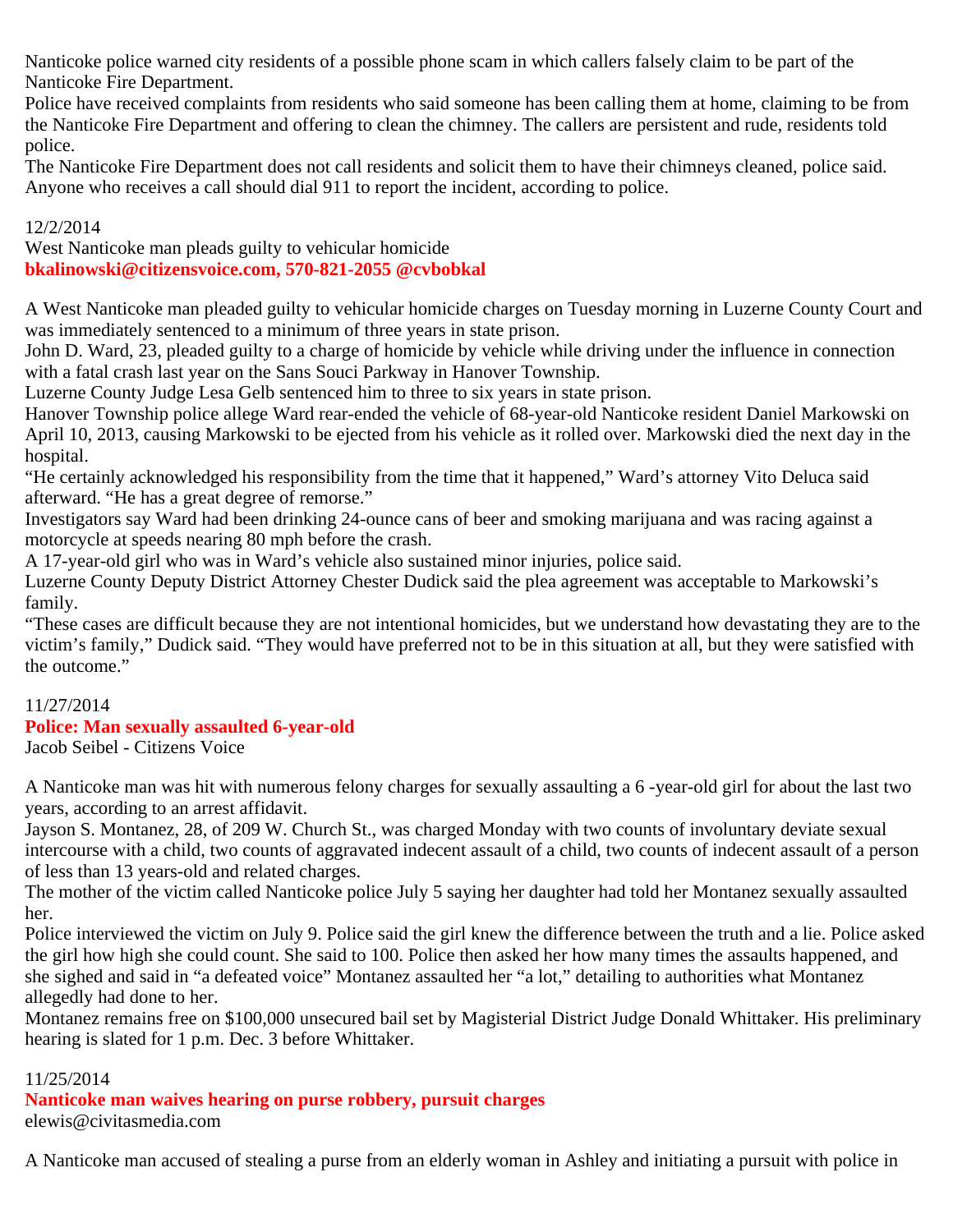Nanticoke police warned city residents of a possible phone scam in which callers falsely claim to be part of the Nanticoke Fire Department.

Police have received complaints from residents who said someone has been calling them at home, claiming to be from the Nanticoke Fire Department and offering to clean the chimney. The callers are persistent and rude, residents told police.

The Nanticoke Fire Department does not call residents and solicit them to have their chimneys cleaned, police said. Anyone who receives a call should dial 911 to report the incident, according to police.

12/2/2014

West Nanticoke man pleads guilty to vehicular homicide **bkalinowski@citizensvoice.com, 570-821-2055 @cvbobkal**

A West Nanticoke man pleaded guilty to vehicular homicide charges on Tuesday morning in Luzerne County Court and was immediately sentenced to a minimum of three years in state prison.

John D. Ward, 23, pleaded guilty to a charge of homicide by vehicle while driving under the influence in connection with a fatal crash last year on the Sans Souci Parkway in Hanover Township.

Luzerne County Judge Lesa Gelb sentenced him to three to six years in state prison.

Hanover Township police allege Ward rear-ended the vehicle of 68-year-old Nanticoke resident Daniel Markowski on April 10, 2013, causing Markowski to be ejected from his vehicle as it rolled over. Markowski died the next day in the hospital.

"He certainly acknowledged his responsibility from the time that it happened," Ward's attorney Vito Deluca said afterward. "He has a great degree of remorse."

Investigators say Ward had been drinking 24-ounce cans of beer and smoking marijuana and was racing against a motorcycle at speeds nearing 80 mph before the crash.

A 17-year-old girl who was in Ward's vehicle also sustained minor injuries, police said.

Luzerne County Deputy District Attorney Chester Dudick said the plea agreement was acceptable to Markowski's family.

"These cases are difficult because they are not intentional homicides, but we understand how devastating they are to the victim's family," Dudick said. "They would have preferred not to be in this situation at all, but they were satisfied with the outcome."

## 11/27/2014

## **Police: Man sexually assaulted 6-year-old**

Jacob Seibel - Citizens Voice

A Nanticoke man was hit with numerous felony charges for sexually assaulting a 6 -year-old girl for about the last two years, according to an arrest affidavit.

Jayson S. Montanez, 28, of 209 W. Church St., was charged Monday with two counts of involuntary deviate sexual intercourse with a child, two counts of aggravated indecent assault of a child, two counts of indecent assault of a person of less than 13 years-old and related charges.

The mother of the victim called Nanticoke police July 5 saying her daughter had told her Montanez sexually assaulted her.

Police interviewed the victim on July 9. Police said the girl knew the difference between the truth and a lie. Police asked the girl how high she could count. She said to 100. Police then asked her how many times the assaults happened, and she sighed and said in "a defeated voice" Montanez assaulted her "a lot," detailing to authorities what Montanez allegedly had done to her.

Montanez remains free on \$100,000 unsecured bail set by Magisterial District Judge Donald Whittaker. His preliminary hearing is slated for 1 p.m. Dec. 3 before Whittaker.

## 11/25/2014

**Nanticoke man waives hearing on purse robbery, pursuit charges** elewis@civitasmedia.com

A Nanticoke man accused of stealing a purse from an elderly woman in Ashley and initiating a pursuit with police in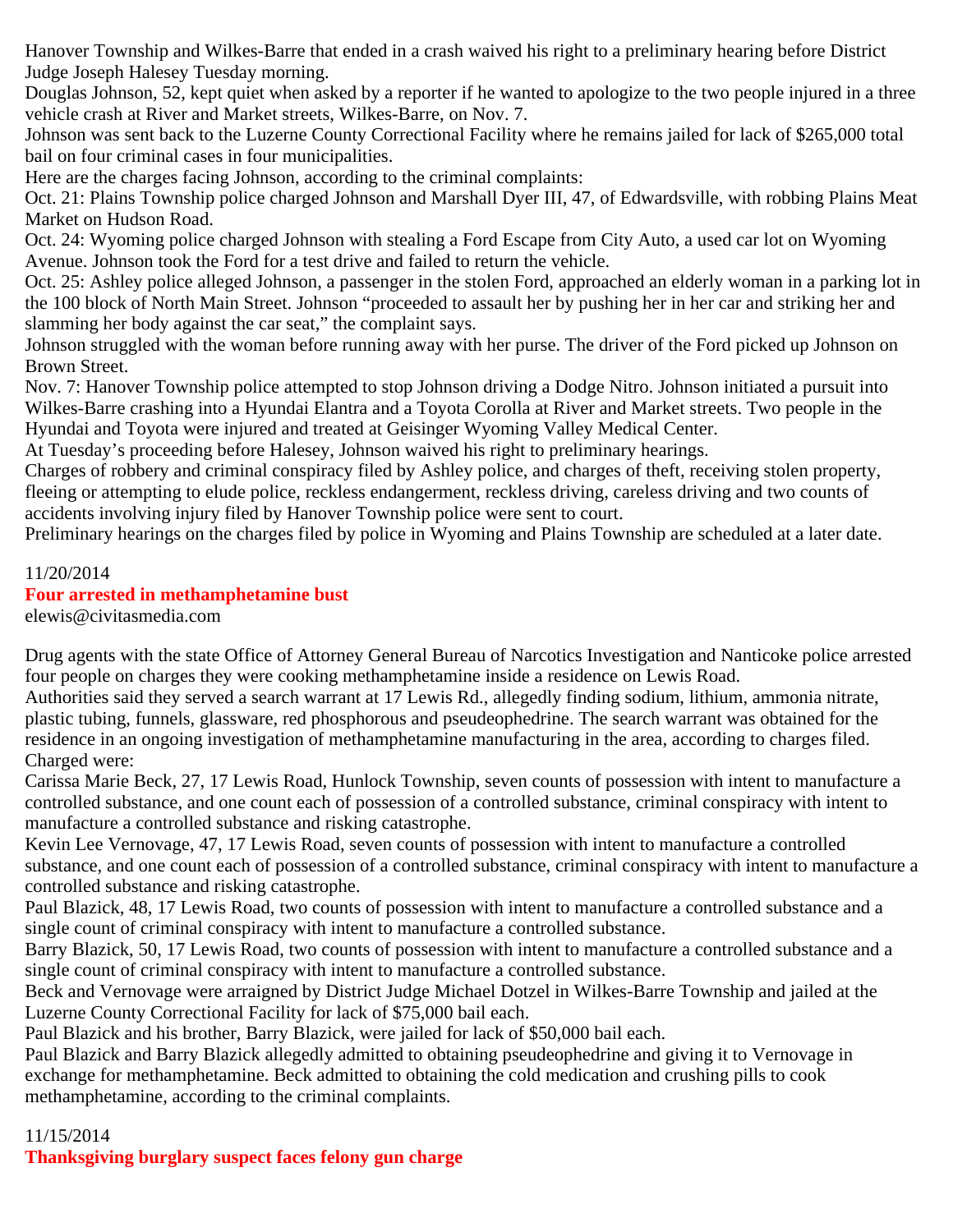Hanover Township and Wilkes-Barre that ended in a crash waived his right to a preliminary hearing before District Judge Joseph Halesey Tuesday morning.

Douglas Johnson, 52, kept quiet when asked by a reporter if he wanted to apologize to the two people injured in a three vehicle crash at River and Market streets, Wilkes-Barre, on Nov. 7.

Johnson was sent back to the Luzerne County Correctional Facility where he remains jailed for lack of \$265,000 total bail on four criminal cases in four municipalities.

Here are the charges facing Johnson, according to the criminal complaints:

Oct. 21: Plains Township police charged Johnson and Marshall Dyer III, 47, of Edwardsville, with robbing Plains Meat Market on Hudson Road.

Oct. 24: Wyoming police charged Johnson with stealing a Ford Escape from City Auto, a used car lot on Wyoming Avenue. Johnson took the Ford for a test drive and failed to return the vehicle.

Oct. 25: Ashley police alleged Johnson, a passenger in the stolen Ford, approached an elderly woman in a parking lot in the 100 block of North Main Street. Johnson "proceeded to assault her by pushing her in her car and striking her and slamming her body against the car seat," the complaint says.

Johnson struggled with the woman before running away with her purse. The driver of the Ford picked up Johnson on Brown Street.

Nov. 7: Hanover Township police attempted to stop Johnson driving a Dodge Nitro. Johnson initiated a pursuit into Wilkes-Barre crashing into a Hyundai Elantra and a Toyota Corolla at River and Market streets. Two people in the Hyundai and Toyota were injured and treated at Geisinger Wyoming Valley Medical Center.

At Tuesday's proceeding before Halesey, Johnson waived his right to preliminary hearings.

Charges of robbery and criminal conspiracy filed by Ashley police, and charges of theft, receiving stolen property, fleeing or attempting to elude police, reckless endangerment, reckless driving, careless driving and two counts of accidents involving injury filed by Hanover Township police were sent to court.

Preliminary hearings on the charges filed by police in Wyoming and Plains Township are scheduled at a later date.

#### 11/20/2014

## **Four arrested in methamphetamine bust**

elewis@civitasmedia.com

Drug agents with the state Office of Attorney General Bureau of Narcotics Investigation and Nanticoke police arrested four people on charges they were cooking methamphetamine inside a residence on Lewis Road.

Authorities said they served a search warrant at 17 Lewis Rd., allegedly finding sodium, lithium, ammonia nitrate, plastic tubing, funnels, glassware, red phosphorous and pseudeophedrine. The search warrant was obtained for the residence in an ongoing investigation of methamphetamine manufacturing in the area, according to charges filed. Charged were:

Carissa Marie Beck, 27, 17 Lewis Road, Hunlock Township, seven counts of possession with intent to manufacture a controlled substance, and one count each of possession of a controlled substance, criminal conspiracy with intent to manufacture a controlled substance and risking catastrophe.

Kevin Lee Vernovage, 47, 17 Lewis Road, seven counts of possession with intent to manufacture a controlled substance, and one count each of possession of a controlled substance, criminal conspiracy with intent to manufacture a controlled substance and risking catastrophe.

Paul Blazick, 48, 17 Lewis Road, two counts of possession with intent to manufacture a controlled substance and a single count of criminal conspiracy with intent to manufacture a controlled substance.

Barry Blazick, 50, 17 Lewis Road, two counts of possession with intent to manufacture a controlled substance and a single count of criminal conspiracy with intent to manufacture a controlled substance.

Beck and Vernovage were arraigned by District Judge Michael Dotzel in Wilkes-Barre Township and jailed at the Luzerne County Correctional Facility for lack of \$75,000 bail each.

Paul Blazick and his brother, Barry Blazick, were jailed for lack of \$50,000 bail each.

Paul Blazick and Barry Blazick allegedly admitted to obtaining pseudeophedrine and giving it to Vernovage in exchange for methamphetamine. Beck admitted to obtaining the cold medication and crushing pills to cook methamphetamine, according to the criminal complaints.

#### 11/15/2014

**Thanksgiving burglary suspect faces felony gun charge**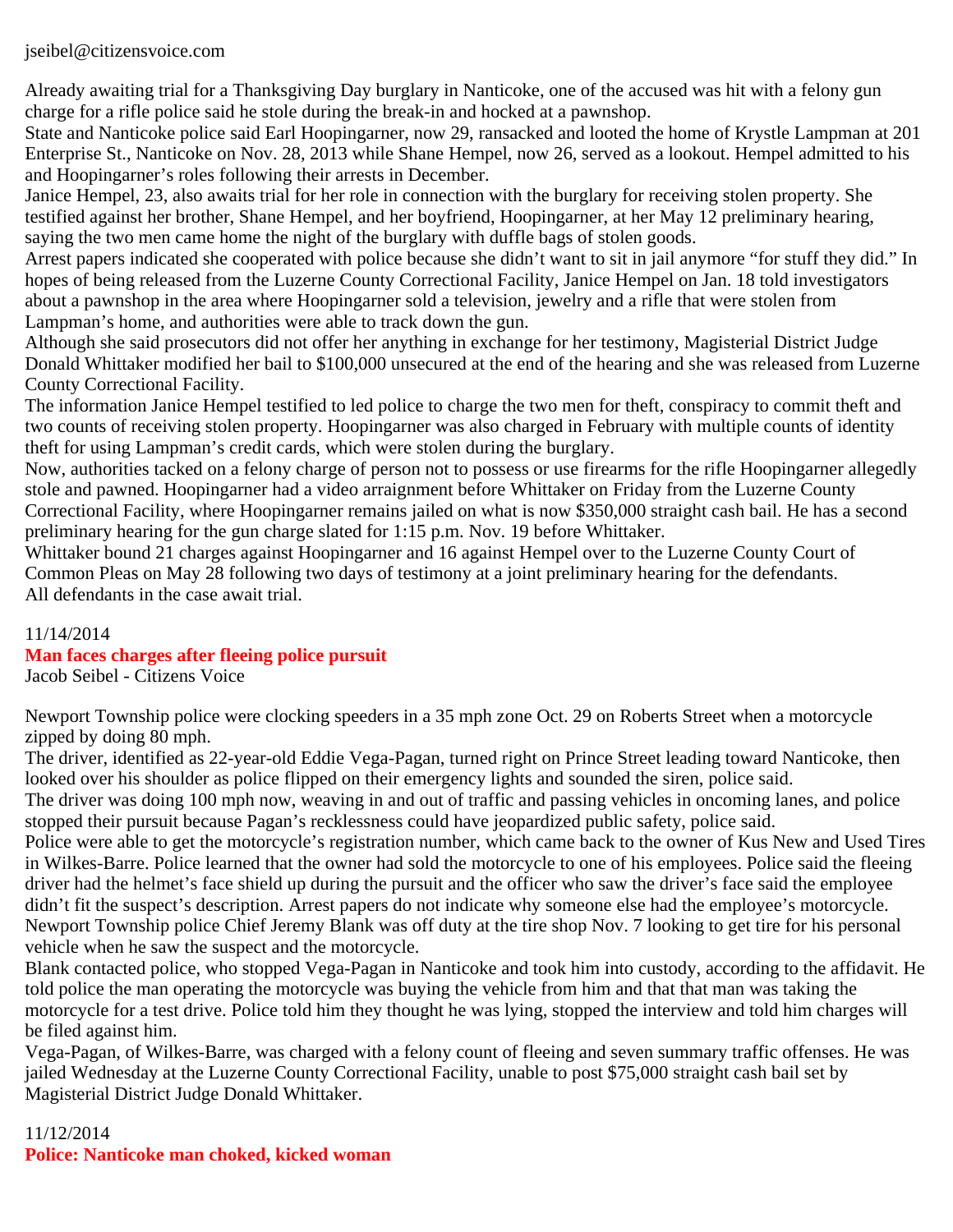#### jseibel@citizensvoice.com

Already awaiting trial for a Thanksgiving Day burglary in Nanticoke, one of the accused was hit with a felony gun charge for a rifle police said he stole during the break-in and hocked at a pawnshop.

State and Nanticoke police said Earl Hoopingarner, now 29, ransacked and looted the home of Krystle Lampman at 201 Enterprise St., Nanticoke on Nov. 28, 2013 while Shane Hempel, now 26, served as a lookout. Hempel admitted to his and Hoopingarner's roles following their arrests in December.

Janice Hempel, 23, also awaits trial for her role in connection with the burglary for receiving stolen property. She testified against her brother, Shane Hempel, and her boyfriend, Hoopingarner, at her May 12 preliminary hearing, saying the two men came home the night of the burglary with duffle bags of stolen goods.

Arrest papers indicated she cooperated with police because she didn't want to sit in jail anymore "for stuff they did." In hopes of being released from the Luzerne County Correctional Facility, Janice Hempel on Jan. 18 told investigators about a pawnshop in the area where Hoopingarner sold a television, jewelry and a rifle that were stolen from Lampman's home, and authorities were able to track down the gun.

Although she said prosecutors did not offer her anything in exchange for her testimony, Magisterial District Judge Donald Whittaker modified her bail to \$100,000 unsecured at the end of the hearing and she was released from Luzerne County Correctional Facility.

The information Janice Hempel testified to led police to charge the two men for theft, conspiracy to commit theft and two counts of receiving stolen property. Hoopingarner was also charged in February with multiple counts of identity theft for using Lampman's credit cards, which were stolen during the burglary.

Now, authorities tacked on a felony charge of person not to possess or use firearms for the rifle Hoopingarner allegedly stole and pawned. Hoopingarner had a video arraignment before Whittaker on Friday from the Luzerne County Correctional Facility, where Hoopingarner remains jailed on what is now \$350,000 straight cash bail. He has a second preliminary hearing for the gun charge slated for 1:15 p.m. Nov. 19 before Whittaker.

Whittaker bound 21 charges against Hoopingarner and 16 against Hempel over to the Luzerne County Court of Common Pleas on May 28 following two days of testimony at a joint preliminary hearing for the defendants. All defendants in the case await trial.

# 11/14/2014

# **Man faces charges after fleeing police pursuit**

Jacob Seibel - Citizens Voice

Newport Township police were clocking speeders in a 35 mph zone Oct. 29 on Roberts Street when a motorcycle zipped by doing 80 mph.

The driver, identified as 22-year-old Eddie Vega-Pagan, turned right on Prince Street leading toward Nanticoke, then looked over his shoulder as police flipped on their emergency lights and sounded the siren, police said.

The driver was doing 100 mph now, weaving in and out of traffic and passing vehicles in oncoming lanes, and police stopped their pursuit because Pagan's recklessness could have jeopardized public safety, police said.

Police were able to get the motorcycle's registration number, which came back to the owner of Kus New and Used Tires in Wilkes-Barre. Police learned that the owner had sold the motorcycle to one of his employees. Police said the fleeing driver had the helmet's face shield up during the pursuit and the officer who saw the driver's face said the employee didn't fit the suspect's description. Arrest papers do not indicate why someone else had the employee's motorcycle. Newport Township police Chief Jeremy Blank was off duty at the tire shop Nov. 7 looking to get tire for his personal vehicle when he saw the suspect and the motorcycle.

Blank contacted police, who stopped Vega-Pagan in Nanticoke and took him into custody, according to the affidavit. He told police the man operating the motorcycle was buying the vehicle from him and that that man was taking the motorcycle for a test drive. Police told him they thought he was lying, stopped the interview and told him charges will be filed against him.

Vega-Pagan, of Wilkes-Barre, was charged with a felony count of fleeing and seven summary traffic offenses. He was jailed Wednesday at the Luzerne County Correctional Facility, unable to post \$75,000 straight cash bail set by Magisterial District Judge Donald Whittaker.

11/12/2014 **Police: Nanticoke man choked, kicked woman**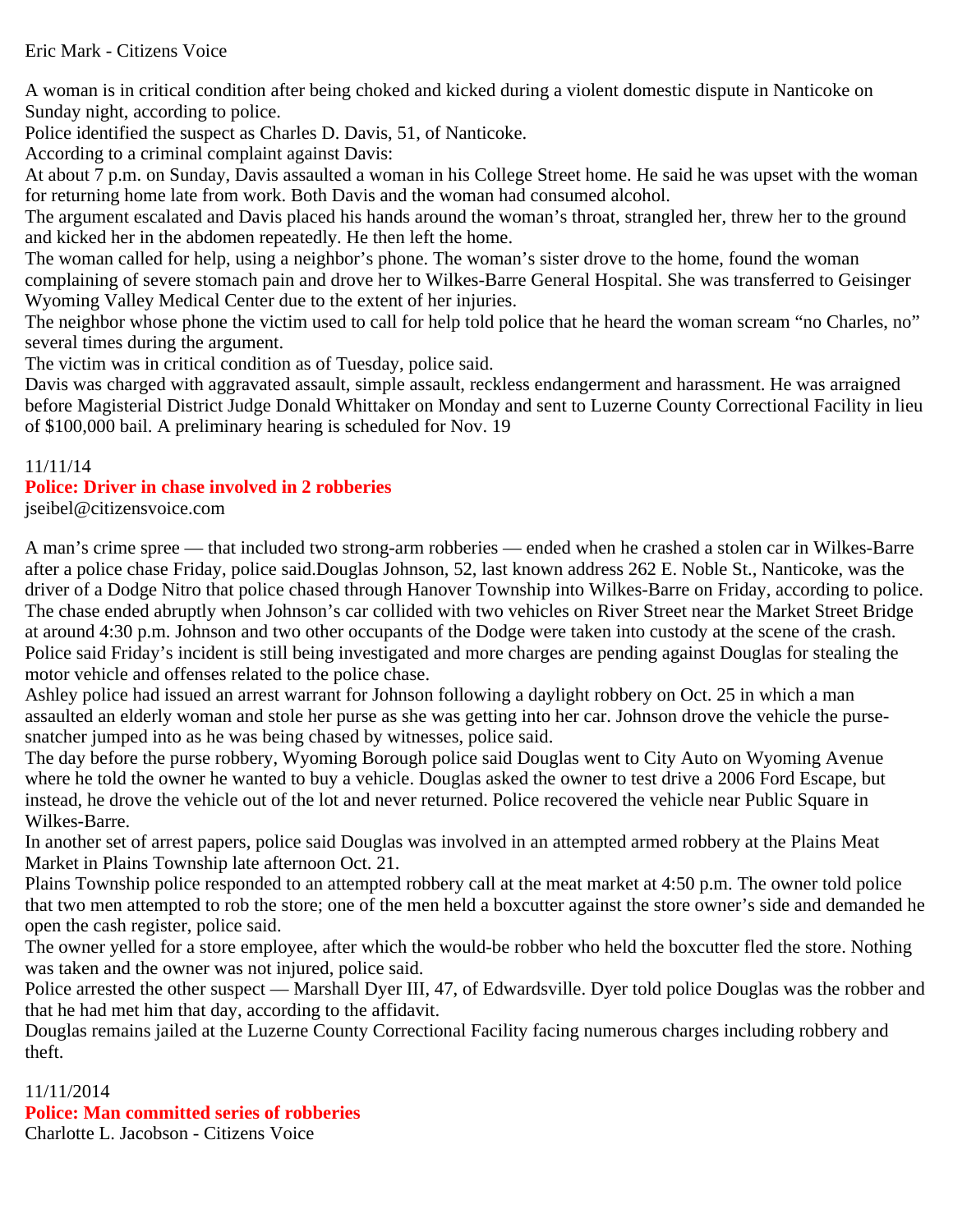## Eric Mark - Citizens Voice

A woman is in critical condition after being choked and kicked during a violent domestic dispute in Nanticoke on Sunday night, according to police.

Police identified the suspect as Charles D. Davis, 51, of Nanticoke.

According to a criminal complaint against Davis:

At about 7 p.m. on Sunday, Davis assaulted a woman in his College Street home. He said he was upset with the woman for returning home late from work. Both Davis and the woman had consumed alcohol.

The argument escalated and Davis placed his hands around the woman's throat, strangled her, threw her to the ground and kicked her in the abdomen repeatedly. He then left the home.

The woman called for help, using a neighbor's phone. The woman's sister drove to the home, found the woman complaining of severe stomach pain and drove her to Wilkes-Barre General Hospital. She was transferred to Geisinger Wyoming Valley Medical Center due to the extent of her injuries.

The neighbor whose phone the victim used to call for help told police that he heard the woman scream "no Charles, no" several times during the argument.

The victim was in critical condition as of Tuesday, police said.

Davis was charged with aggravated assault, simple assault, reckless endangerment and harassment. He was arraigned before Magisterial District Judge Donald Whittaker on Monday and sent to Luzerne County Correctional Facility in lieu of \$100,000 bail. A preliminary hearing is scheduled for Nov. 19

## 11/11/14

## **Police: Driver in chase involved in 2 robberies**

jseibel@citizensvoice.com

A man's crime spree — that included two strong-arm robberies — ended when he crashed a stolen car in Wilkes-Barre after a police chase Friday, police said.Douglas Johnson, 52, last known address 262 E. Noble St., Nanticoke, was the driver of a Dodge Nitro that police chased through Hanover Township into Wilkes-Barre on Friday, according to police. The chase ended abruptly when Johnson's car collided with two vehicles on River Street near the Market Street Bridge at around 4:30 p.m. Johnson and two other occupants of the Dodge were taken into custody at the scene of the crash. Police said Friday's incident is still being investigated and more charges are pending against Douglas for stealing the motor vehicle and offenses related to the police chase.

Ashley police had issued an arrest warrant for Johnson following a daylight robbery on Oct. 25 in which a man assaulted an elderly woman and stole her purse as she was getting into her car. Johnson drove the vehicle the pursesnatcher jumped into as he was being chased by witnesses, police said.

The day before the purse robbery, Wyoming Borough police said Douglas went to City Auto on Wyoming Avenue where he told the owner he wanted to buy a vehicle. Douglas asked the owner to test drive a 2006 Ford Escape, but instead, he drove the vehicle out of the lot and never returned. Police recovered the vehicle near Public Square in Wilkes-Barre.

In another set of arrest papers, police said Douglas was involved in an attempted armed robbery at the Plains Meat Market in Plains Township late afternoon Oct. 21.

Plains Township police responded to an attempted robbery call at the meat market at 4:50 p.m. The owner told police that two men attempted to rob the store; one of the men held a boxcutter against the store owner's side and demanded he open the cash register, police said.

The owner yelled for a store employee, after which the would-be robber who held the boxcutter fled the store. Nothing was taken and the owner was not injured, police said.

Police arrested the other suspect — Marshall Dyer III, 47, of Edwardsville. Dyer told police Douglas was the robber and that he had met him that day, according to the affidavit.

Douglas remains jailed at the Luzerne County Correctional Facility facing numerous charges including robbery and theft.

#### 11/11/2014 **Police: Man committed series of robberies** Charlotte L. Jacobson - Citizens Voice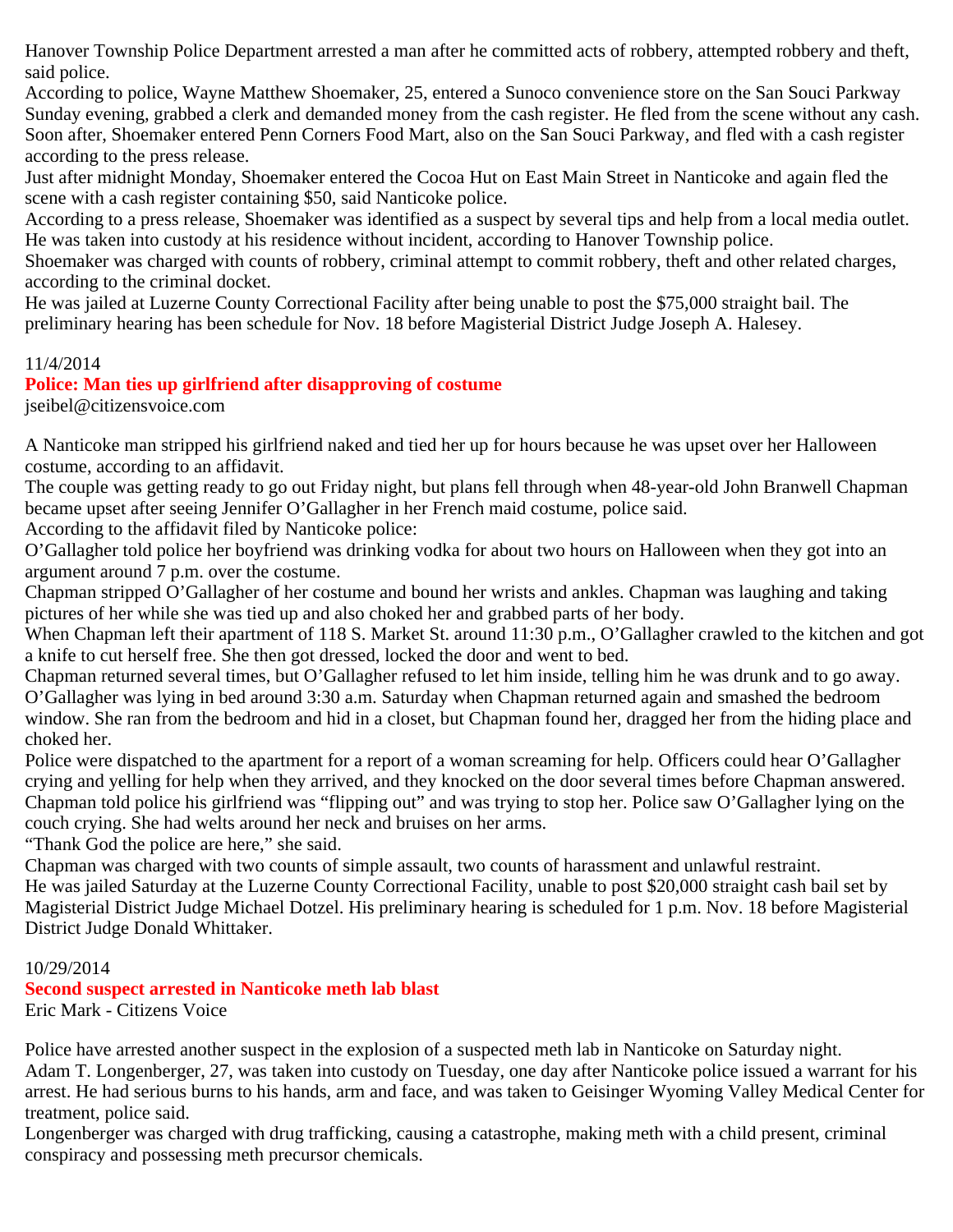Hanover Township Police Department arrested a man after he committed acts of robbery, attempted robbery and theft, said police.

According to police, Wayne Matthew Shoemaker, 25, entered a Sunoco convenience store on the San Souci Parkway Sunday evening, grabbed a clerk and demanded money from the cash register. He fled from the scene without any cash. Soon after, Shoemaker entered Penn Corners Food Mart, also on the San Souci Parkway, and fled with a cash register according to the press release.

Just after midnight Monday, Shoemaker entered the Cocoa Hut on East Main Street in Nanticoke and again fled the scene with a cash register containing \$50, said Nanticoke police.

According to a press release, Shoemaker was identified as a suspect by several tips and help from a local media outlet. He was taken into custody at his residence without incident, according to Hanover Township police.

Shoemaker was charged with counts of robbery, criminal attempt to commit robbery, theft and other related charges, according to the criminal docket.

He was jailed at Luzerne County Correctional Facility after being unable to post the \$75,000 straight bail. The preliminary hearing has been schedule for Nov. 18 before Magisterial District Judge Joseph A. Halesey.

## 11/4/2014

# **Police: Man ties up girlfriend after disapproving of costume**

jseibel@citizensvoice.com

A Nanticoke man stripped his girlfriend naked and tied her up for hours because he was upset over her Halloween costume, according to an affidavit.

The couple was getting ready to go out Friday night, but plans fell through when 48-year-old John Branwell Chapman became upset after seeing Jennifer O'Gallagher in her French maid costume, police said.

According to the affidavit filed by Nanticoke police:

O'Gallagher told police her boyfriend was drinking vodka for about two hours on Halloween when they got into an argument around 7 p.m. over the costume.

Chapman stripped O'Gallagher of her costume and bound her wrists and ankles. Chapman was laughing and taking pictures of her while she was tied up and also choked her and grabbed parts of her body.

When Chapman left their apartment of 118 S. Market St. around 11:30 p.m., O'Gallagher crawled to the kitchen and got a knife to cut herself free. She then got dressed, locked the door and went to bed.

Chapman returned several times, but O'Gallagher refused to let him inside, telling him he was drunk and to go away. O'Gallagher was lying in bed around 3:30 a.m. Saturday when Chapman returned again and smashed the bedroom window. She ran from the bedroom and hid in a closet, but Chapman found her, dragged her from the hiding place and choked her.

Police were dispatched to the apartment for a report of a woman screaming for help. Officers could hear O'Gallagher crying and yelling for help when they arrived, and they knocked on the door several times before Chapman answered. Chapman told police his girlfriend was "flipping out" and was trying to stop her. Police saw O'Gallagher lying on the couch crying. She had welts around her neck and bruises on her arms.

"Thank God the police are here," she said.

Chapman was charged with two counts of simple assault, two counts of harassment and unlawful restraint. He was jailed Saturday at the Luzerne County Correctional Facility, unable to post \$20,000 straight cash bail set by Magisterial District Judge Michael Dotzel. His preliminary hearing is scheduled for 1 p.m. Nov. 18 before Magisterial District Judge Donald Whittaker.

## 10/29/2014

# **Second suspect arrested in Nanticoke meth lab blast**

Eric Mark - Citizens Voice

Police have arrested another suspect in the explosion of a suspected meth lab in Nanticoke on Saturday night. Adam T. Longenberger, 27, was taken into custody on Tuesday, one day after Nanticoke police issued a warrant for his arrest. He had serious burns to his hands, arm and face, and was taken to Geisinger Wyoming Valley Medical Center for treatment, police said.

Longenberger was charged with drug trafficking, causing a catastrophe, making meth with a child present, criminal conspiracy and possessing meth precursor chemicals.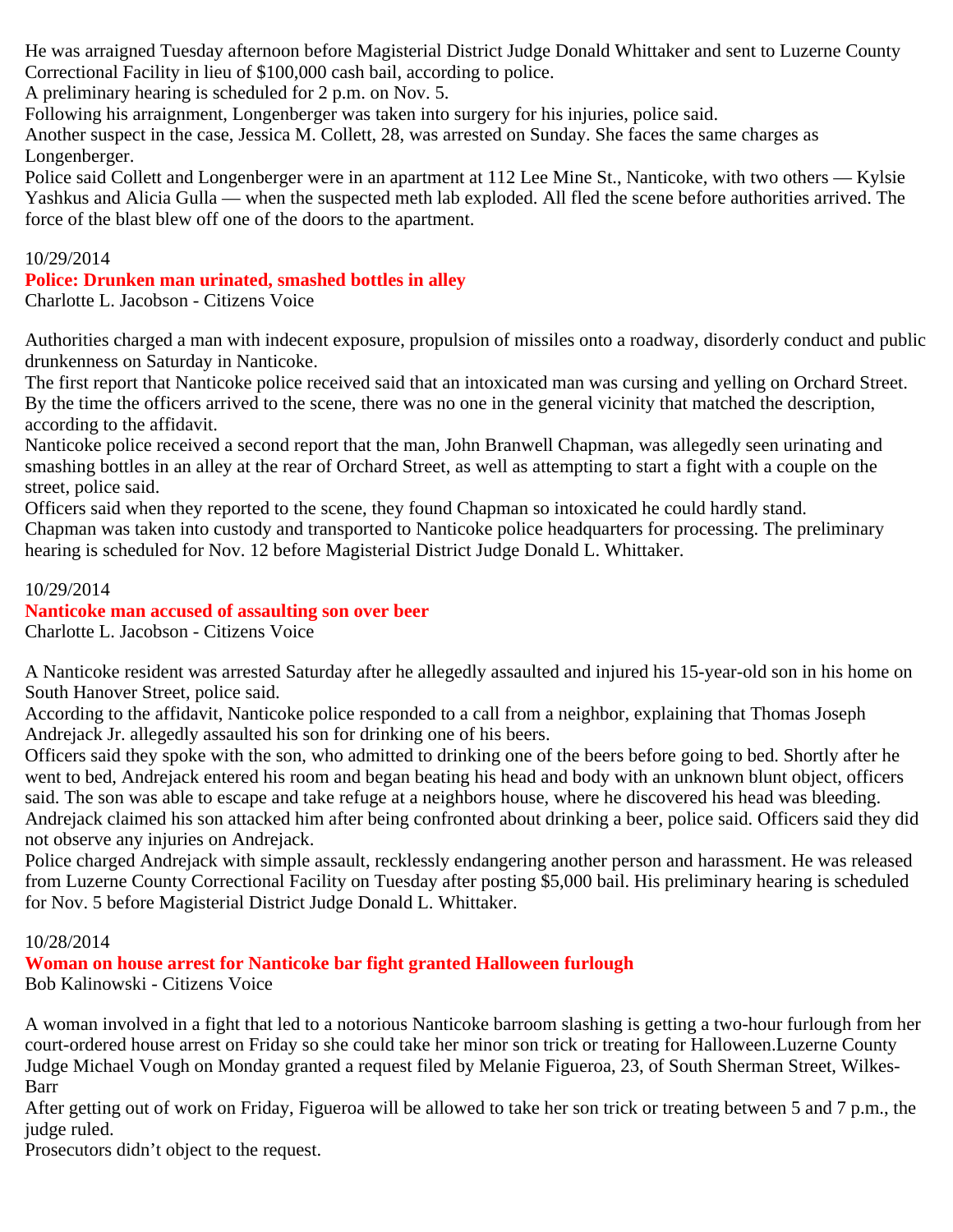He was arraigned Tuesday afternoon before Magisterial District Judge Donald Whittaker and sent to Luzerne County Correctional Facility in lieu of \$100,000 cash bail, according to police.

A preliminary hearing is scheduled for 2 p.m. on Nov. 5.

Following his arraignment, Longenberger was taken into surgery for his injuries, police said.

Another suspect in the case, Jessica M. Collett, 28, was arrested on Sunday. She faces the same charges as Longenberger.

Police said Collett and Longenberger were in an apartment at 112 Lee Mine St., Nanticoke, with two others — Kylsie Yashkus and Alicia Gulla — when the suspected meth lab exploded. All fled the scene before authorities arrived. The force of the blast blew off one of the doors to the apartment.

#### 10/29/2014

#### **Police: Drunken man urinated, smashed bottles in alley**

Charlotte L. Jacobson - Citizens Voice

Authorities charged a man with indecent exposure, propulsion of missiles onto a roadway, disorderly conduct and public drunkenness on Saturday in Nanticoke.

The first report that Nanticoke police received said that an intoxicated man was cursing and yelling on Orchard Street. By the time the officers arrived to the scene, there was no one in the general vicinity that matched the description, according to the affidavit.

Nanticoke police received a second report that the man, John Branwell Chapman, was allegedly seen urinating and smashing bottles in an alley at the rear of Orchard Street, as well as attempting to start a fight with a couple on the street, police said.

Officers said when they reported to the scene, they found Chapman so intoxicated he could hardly stand. Chapman was taken into custody and transported to Nanticoke police headquarters for processing. The preliminary hearing is scheduled for Nov. 12 before Magisterial District Judge Donald L. Whittaker.

#### 10/29/2014 **Nanticoke man accused of assaulting son over beer** Charlotte L. Jacobson - Citizens Voice

A Nanticoke resident was arrested Saturday after he allegedly assaulted and injured his 15-year-old son in his home on South Hanover Street, police said.

According to the affidavit, Nanticoke police responded to a call from a neighbor, explaining that Thomas Joseph Andrejack Jr. allegedly assaulted his son for drinking one of his beers.

Officers said they spoke with the son, who admitted to drinking one of the beers before going to bed. Shortly after he went to bed, Andrejack entered his room and began beating his head and body with an unknown blunt object, officers said. The son was able to escape and take refuge at a neighbors house, where he discovered his head was bleeding. Andrejack claimed his son attacked him after being confronted about drinking a beer, police said. Officers said they did not observe any injuries on Andrejack.

Police charged Andrejack with simple assault, recklessly endangering another person and harassment. He was released from Luzerne County Correctional Facility on Tuesday after posting \$5,000 bail. His preliminary hearing is scheduled for Nov. 5 before Magisterial District Judge Donald L. Whittaker.

## 10/28/2014

**Woman on house arrest for Nanticoke bar fight granted Halloween furlough**

Bob Kalinowski - Citizens Voice

A woman involved in a fight that led to a notorious Nanticoke barroom slashing is getting a two-hour furlough from her court-ordered house arrest on Friday so she could take her minor son trick or treating for Halloween.Luzerne County Judge Michael Vough on Monday granted a request filed by Melanie Figueroa, 23, of South Sherman Street, Wilkes-Barr

After getting out of work on Friday, Figueroa will be allowed to take her son trick or treating between 5 and 7 p.m., the judge ruled.

Prosecutors didn't object to the request.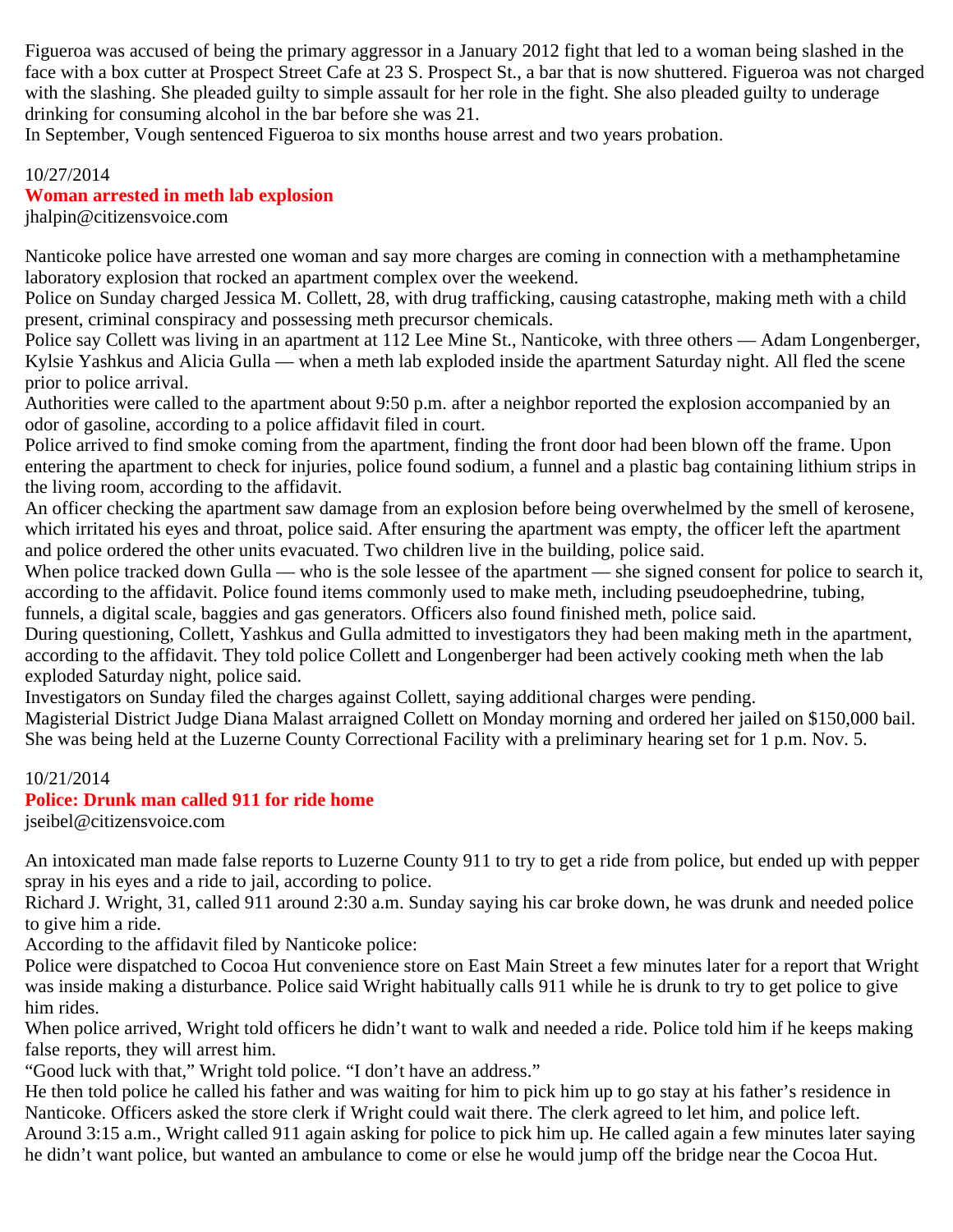Figueroa was accused of being the primary aggressor in a January 2012 fight that led to a woman being slashed in the face with a box cutter at Prospect Street Cafe at 23 S. Prospect St., a bar that is now shuttered. Figueroa was not charged with the slashing. She pleaded guilty to simple assault for her role in the fight. She also pleaded guilty to underage drinking for consuming alcohol in the bar before she was 21.

In September, Vough sentenced Figueroa to six months house arrest and two years probation.

#### 10/27/2014

#### **Woman arrested in meth lab explosion**

jhalpin@citizensvoice.com

Nanticoke police have arrested one woman and say more charges are coming in connection with a methamphetamine laboratory explosion that rocked an apartment complex over the weekend.

Police on Sunday charged Jessica M. Collett, 28, with drug trafficking, causing catastrophe, making meth with a child present, criminal conspiracy and possessing meth precursor chemicals.

Police say Collett was living in an apartment at 112 Lee Mine St., Nanticoke, with three others — Adam Longenberger, Kylsie Yashkus and Alicia Gulla — when a meth lab exploded inside the apartment Saturday night. All fled the scene prior to police arrival.

Authorities were called to the apartment about 9:50 p.m. after a neighbor reported the explosion accompanied by an odor of gasoline, according to a police affidavit filed in court.

Police arrived to find smoke coming from the apartment, finding the front door had been blown off the frame. Upon entering the apartment to check for injuries, police found sodium, a funnel and a plastic bag containing lithium strips in the living room, according to the affidavit.

An officer checking the apartment saw damage from an explosion before being overwhelmed by the smell of kerosene, which irritated his eyes and throat, police said. After ensuring the apartment was empty, the officer left the apartment and police ordered the other units evacuated. Two children live in the building, police said.

When police tracked down Gulla — who is the sole lessee of the apartment — she signed consent for police to search it, according to the affidavit. Police found items commonly used to make meth, including pseudoephedrine, tubing, funnels, a digital scale, baggies and gas generators. Officers also found finished meth, police said.

During questioning, Collett, Yashkus and Gulla admitted to investigators they had been making meth in the apartment, according to the affidavit. They told police Collett and Longenberger had been actively cooking meth when the lab exploded Saturday night, police said.

Investigators on Sunday filed the charges against Collett, saying additional charges were pending.

Magisterial District Judge Diana Malast arraigned Collett on Monday morning and ordered her jailed on \$150,000 bail. She was being held at the Luzerne County Correctional Facility with a preliminary hearing set for 1 p.m. Nov. 5.

#### 10/21/2014

#### **Police: Drunk man called 911 for ride home**

jseibel@citizensvoice.com

An intoxicated man made false reports to Luzerne County 911 to try to get a ride from police, but ended up with pepper spray in his eyes and a ride to jail, according to police.

Richard J. Wright, 31, called 911 around 2:30 a.m. Sunday saying his car broke down, he was drunk and needed police to give him a ride.

According to the affidavit filed by Nanticoke police:

Police were dispatched to Cocoa Hut convenience store on East Main Street a few minutes later for a report that Wright was inside making a disturbance. Police said Wright habitually calls 911 while he is drunk to try to get police to give him rides.

When police arrived, Wright told officers he didn't want to walk and needed a ride. Police told him if he keeps making false reports, they will arrest him.

"Good luck with that," Wright told police. "I don't have an address."

He then told police he called his father and was waiting for him to pick him up to go stay at his father's residence in Nanticoke. Officers asked the store clerk if Wright could wait there. The clerk agreed to let him, and police left. Around 3:15 a.m., Wright called 911 again asking for police to pick him up. He called again a few minutes later saying he didn't want police, but wanted an ambulance to come or else he would jump off the bridge near the Cocoa Hut.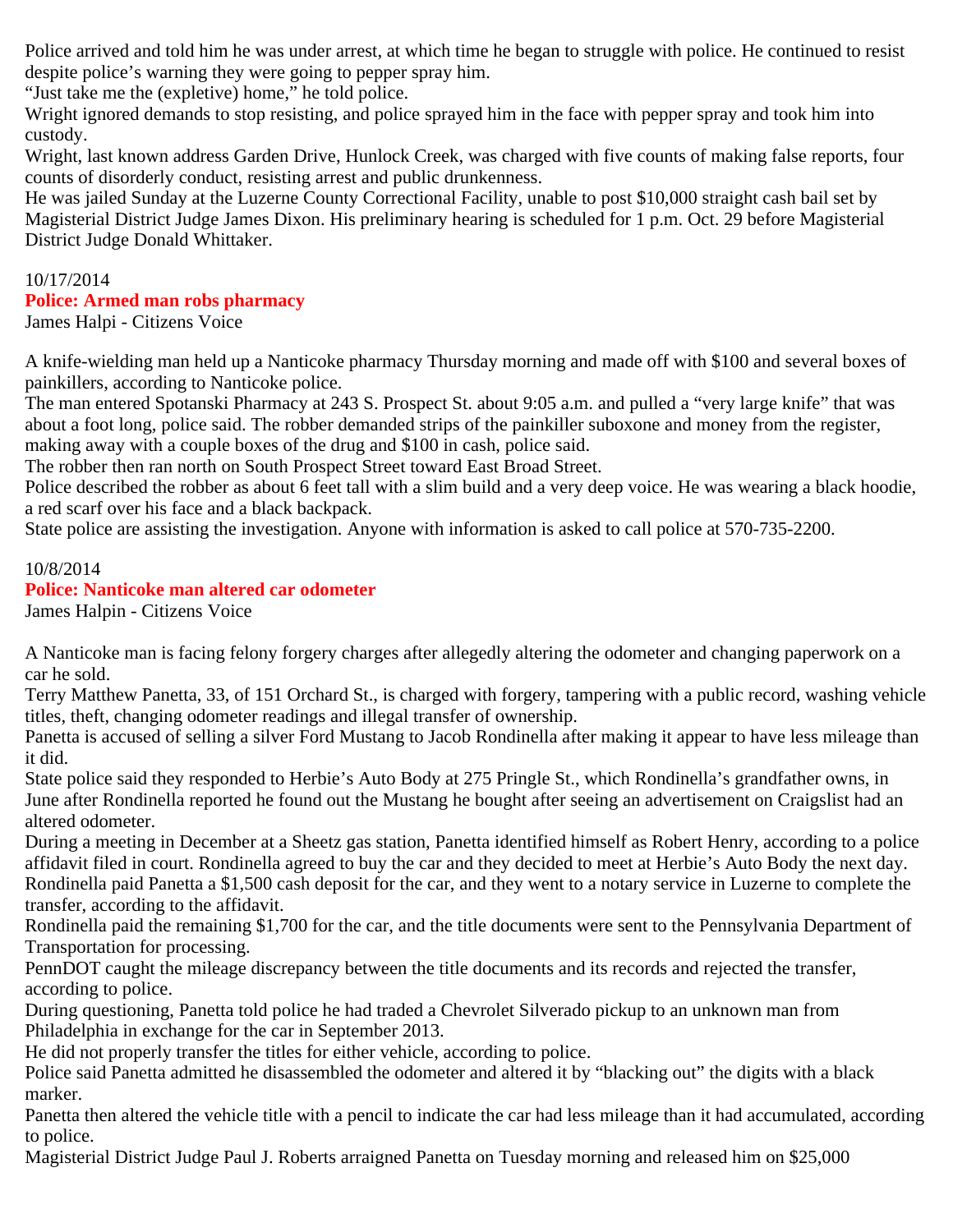Police arrived and told him he was under arrest, at which time he began to struggle with police. He continued to resist despite police's warning they were going to pepper spray him.

"Just take me the (expletive) home," he told police.

Wright ignored demands to stop resisting, and police sprayed him in the face with pepper spray and took him into custody.

Wright, last known address Garden Drive, Hunlock Creek, was charged with five counts of making false reports, four counts of disorderly conduct, resisting arrest and public drunkenness.

He was jailed Sunday at the Luzerne County Correctional Facility, unable to post \$10,000 straight cash bail set by Magisterial District Judge James Dixon. His preliminary hearing is scheduled for 1 p.m. Oct. 29 before Magisterial District Judge Donald Whittaker.

#### 10/17/2014 **Police: Armed man robs pharmacy** James Halpi - Citizens Voice

A knife-wielding man held up a Nanticoke pharmacy Thursday morning and made off with \$100 and several boxes of painkillers, according to Nanticoke police.

The man entered Spotanski Pharmacy at 243 S. Prospect St. about 9:05 a.m. and pulled a "very large knife" that was about a foot long, police said. The robber demanded strips of the painkiller suboxone and money from the register, making away with a couple boxes of the drug and \$100 in cash, police said.

The robber then ran north on South Prospect Street toward East Broad Street.

Police described the robber as about 6 feet tall with a slim build and a very deep voice. He was wearing a black hoodie, a red scarf over his face and a black backpack.

State police are assisting the investigation. Anyone with information is asked to call police at 570-735-2200.

#### 10/8/2014

## **Police: Nanticoke man altered car odometer**

James Halpin - Citizens Voice

A Nanticoke man is facing felony forgery charges after allegedly altering the odometer and changing paperwork on a car he sold.

Terry Matthew Panetta, 33, of 151 Orchard St., is charged with forgery, tampering with a public record, washing vehicle titles, theft, changing odometer readings and illegal transfer of ownership.

Panetta is accused of selling a silver Ford Mustang to Jacob Rondinella after making it appear to have less mileage than it did.

State police said they responded to Herbie's Auto Body at 275 Pringle St., which Rondinella's grandfather owns, in June after Rondinella reported he found out the Mustang he bought after seeing an advertisement on Craigslist had an altered odometer.

During a meeting in December at a Sheetz gas station, Panetta identified himself as Robert Henry, according to a police affidavit filed in court. Rondinella agreed to buy the car and they decided to meet at Herbie's Auto Body the next day. Rondinella paid Panetta a \$1,500 cash deposit for the car, and they went to a notary service in Luzerne to complete the transfer, according to the affidavit.

Rondinella paid the remaining \$1,700 for the car, and the title documents were sent to the Pennsylvania Department of Transportation for processing.

PennDOT caught the mileage discrepancy between the title documents and its records and rejected the transfer, according to police.

During questioning, Panetta told police he had traded a Chevrolet Silverado pickup to an unknown man from Philadelphia in exchange for the car in September 2013.

He did not properly transfer the titles for either vehicle, according to police.

Police said Panetta admitted he disassembled the odometer and altered it by "blacking out" the digits with a black marker.

Panetta then altered the vehicle title with a pencil to indicate the car had less mileage than it had accumulated, according to police.

Magisterial District Judge Paul J. Roberts arraigned Panetta on Tuesday morning and released him on \$25,000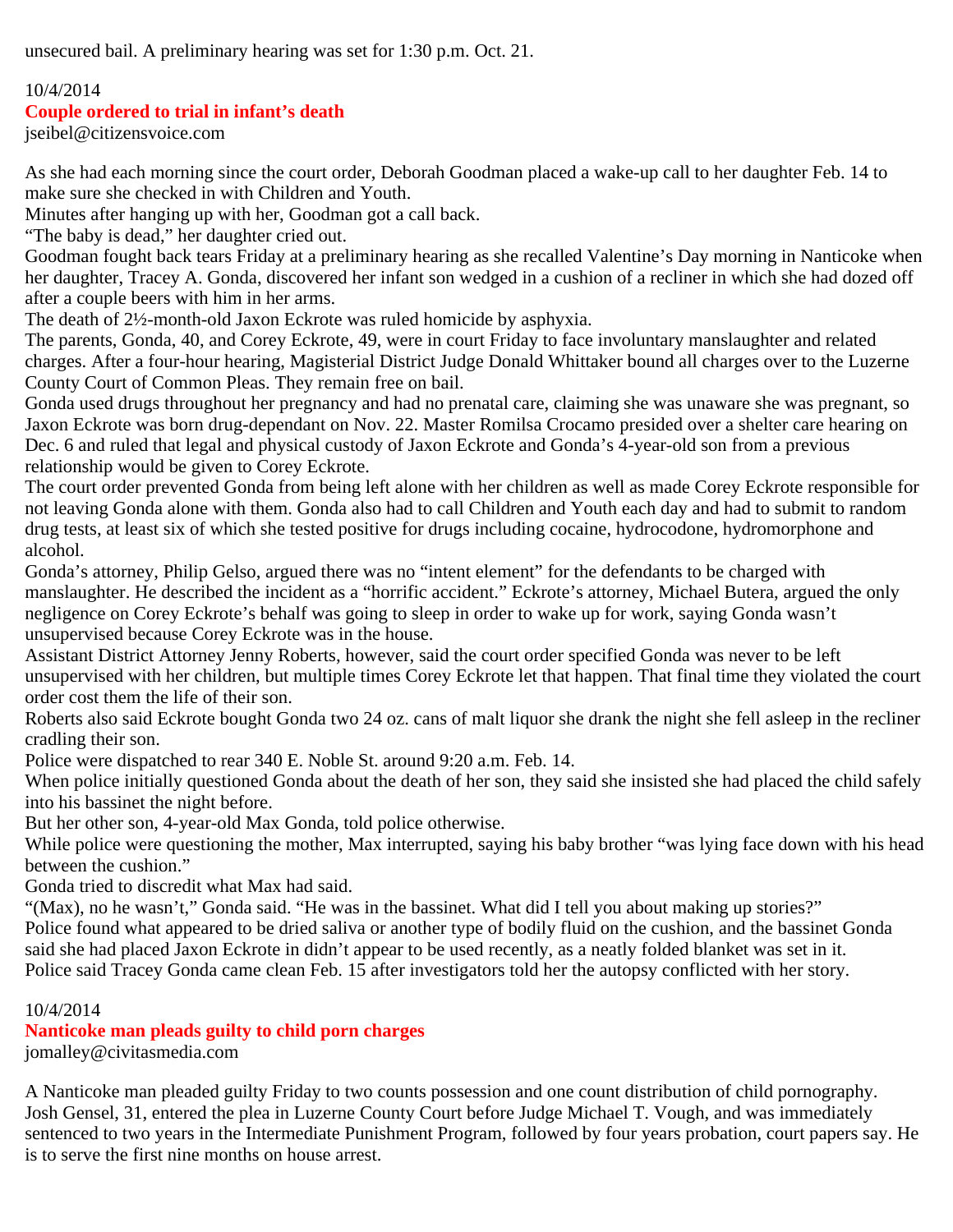unsecured bail. A preliminary hearing was set for 1:30 p.m. Oct. 21.

## 10/4/2014

## **Couple ordered to trial in infant's death**

jseibel@citizensvoice.com

As she had each morning since the court order, Deborah Goodman placed a wake-up call to her daughter Feb. 14 to make sure she checked in with Children and Youth.

Minutes after hanging up with her, Goodman got a call back.

"The baby is dead," her daughter cried out.

Goodman fought back tears Friday at a preliminary hearing as she recalled Valentine's Day morning in Nanticoke when her daughter, Tracey A. Gonda, discovered her infant son wedged in a cushion of a recliner in which she had dozed off after a couple beers with him in her arms.

The death of 2½-month-old Jaxon Eckrote was ruled homicide by asphyxia.

The parents, Gonda, 40, and Corey Eckrote, 49, were in court Friday to face involuntary manslaughter and related charges. After a four-hour hearing, Magisterial District Judge Donald Whittaker bound all charges over to the Luzerne County Court of Common Pleas. They remain free on bail.

Gonda used drugs throughout her pregnancy and had no prenatal care, claiming she was unaware she was pregnant, so Jaxon Eckrote was born drug-dependant on Nov. 22. Master Romilsa Crocamo presided over a shelter care hearing on Dec. 6 and ruled that legal and physical custody of Jaxon Eckrote and Gonda's 4-year-old son from a previous relationship would be given to Corey Eckrote.

The court order prevented Gonda from being left alone with her children as well as made Corey Eckrote responsible for not leaving Gonda alone with them. Gonda also had to call Children and Youth each day and had to submit to random drug tests, at least six of which she tested positive for drugs including cocaine, hydrocodone, hydromorphone and alcohol.

Gonda's attorney, Philip Gelso, argued there was no "intent element" for the defendants to be charged with manslaughter. He described the incident as a "horrific accident." Eckrote's attorney, Michael Butera, argued the only negligence on Corey Eckrote's behalf was going to sleep in order to wake up for work, saying Gonda wasn't unsupervised because Corey Eckrote was in the house.

Assistant District Attorney Jenny Roberts, however, said the court order specified Gonda was never to be left unsupervised with her children, but multiple times Corey Eckrote let that happen. That final time they violated the court order cost them the life of their son.

Roberts also said Eckrote bought Gonda two 24 oz. cans of malt liquor she drank the night she fell asleep in the recliner cradling their son.

Police were dispatched to rear 340 E. Noble St. around 9:20 a.m. Feb. 14.

When police initially questioned Gonda about the death of her son, they said she insisted she had placed the child safely into his bassinet the night before.

But her other son, 4-year-old Max Gonda, told police otherwise.

While police were questioning the mother, Max interrupted, saying his baby brother "was lying face down with his head between the cushion."

Gonda tried to discredit what Max had said.

"(Max), no he wasn't," Gonda said. "He was in the bassinet. What did I tell you about making up stories?" Police found what appeared to be dried saliva or another type of bodily fluid on the cushion, and the bassinet Gonda said she had placed Jaxon Eckrote in didn't appear to be used recently, as a neatly folded blanket was set in it. Police said Tracey Gonda came clean Feb. 15 after investigators told her the autopsy conflicted with her story.

## 10/4/2014

# **Nanticoke man pleads guilty to child porn charges**

jomalley@civitasmedia.com

A Nanticoke man pleaded guilty Friday to two counts possession and one count distribution of child pornography. Josh Gensel, 31, entered the plea in Luzerne County Court before Judge Michael T. Vough, and was immediately sentenced to two years in the Intermediate Punishment Program, followed by four years probation, court papers say. He is to serve the first nine months on house arrest.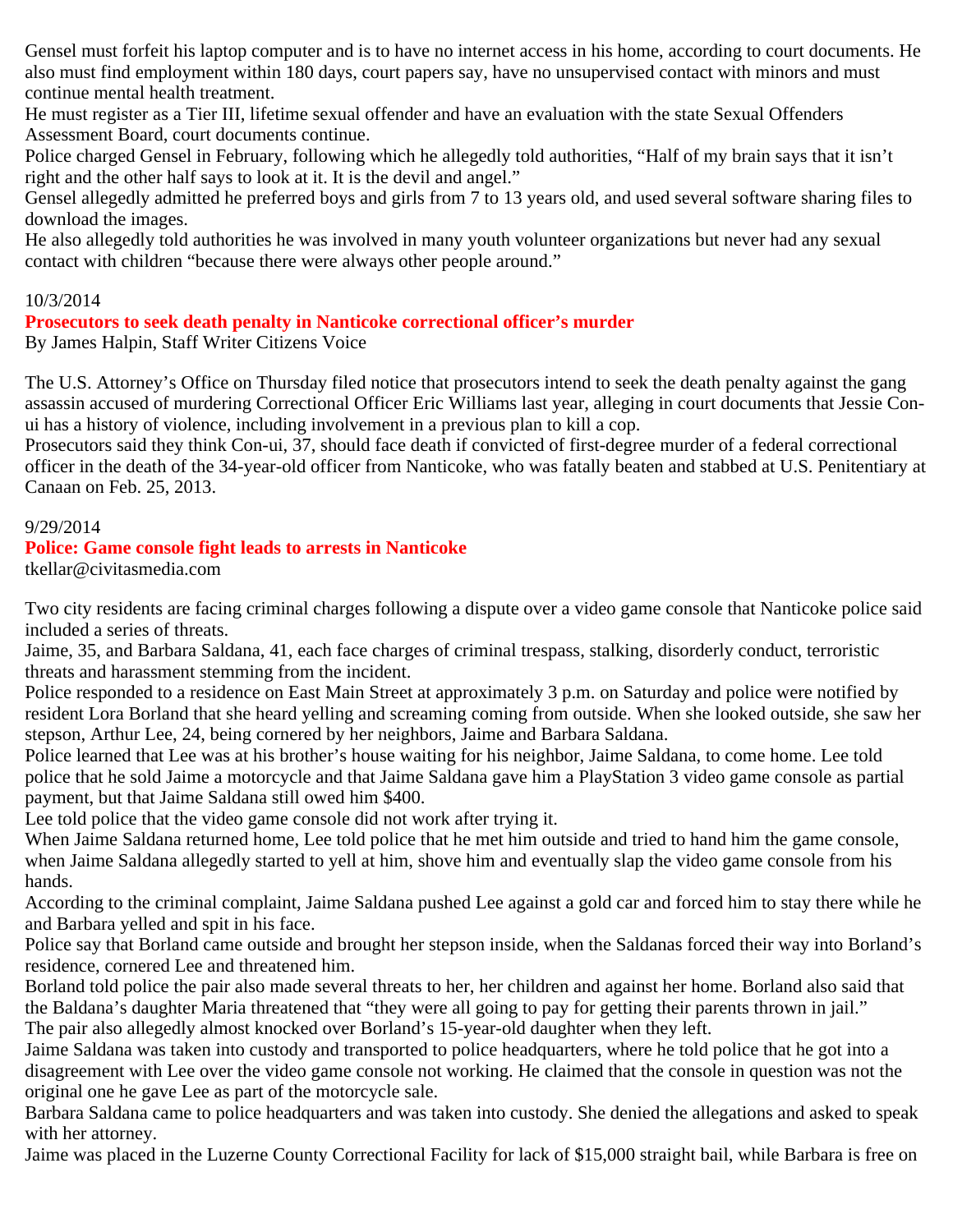Gensel must forfeit his laptop computer and is to have no internet access in his home, according to court documents. He also must find employment within 180 days, court papers say, have no unsupervised contact with minors and must continue mental health treatment.

He must register as a Tier III, lifetime sexual offender and have an evaluation with the state Sexual Offenders Assessment Board, court documents continue.

Police charged Gensel in February, following which he allegedly told authorities, "Half of my brain says that it isn't right and the other half says to look at it. It is the devil and angel."

Gensel allegedly admitted he preferred boys and girls from 7 to 13 years old, and used several software sharing files to download the images.

He also allegedly told authorities he was involved in many youth volunteer organizations but never had any sexual contact with children "because there were always other people around."

## 10/3/2014

# **Prosecutors to seek death penalty in Nanticoke correctional officer's murder**

By James Halpin, Staff Writer Citizens Voice

The U.S. Attorney's Office on Thursday filed notice that prosecutors intend to seek the death penalty against the gang assassin accused of murdering Correctional Officer Eric Williams last year, alleging in court documents that Jessie Conui has a history of violence, including involvement in a previous plan to kill a cop.

Prosecutors said they think Con-ui, 37, should face death if convicted of first-degree murder of a federal correctional officer in the death of the 34-year-old officer from Nanticoke, who was fatally beaten and stabbed at U.S. Penitentiary at Canaan on Feb. 25, 2013.

## 9/29/2014

## **Police: Game console fight leads to arrests in Nanticoke**

tkellar@civitasmedia.com

Two city residents are facing criminal charges following a dispute over a video game console that Nanticoke police said included a series of threats.

Jaime, 35, and Barbara Saldana, 41, each face charges of criminal trespass, stalking, disorderly conduct, terroristic threats and harassment stemming from the incident.

Police responded to a residence on East Main Street at approximately 3 p.m. on Saturday and police were notified by resident Lora Borland that she heard yelling and screaming coming from outside. When she looked outside, she saw her stepson, Arthur Lee, 24, being cornered by her neighbors, Jaime and Barbara Saldana.

Police learned that Lee was at his brother's house waiting for his neighbor, Jaime Saldana, to come home. Lee told police that he sold Jaime a motorcycle and that Jaime Saldana gave him a PlayStation 3 video game console as partial payment, but that Jaime Saldana still owed him \$400.

Lee told police that the video game console did not work after trying it.

When Jaime Saldana returned home, Lee told police that he met him outside and tried to hand him the game console, when Jaime Saldana allegedly started to yell at him, shove him and eventually slap the video game console from his hands.

According to the criminal complaint, Jaime Saldana pushed Lee against a gold car and forced him to stay there while he and Barbara yelled and spit in his face.

Police say that Borland came outside and brought her stepson inside, when the Saldanas forced their way into Borland's residence, cornered Lee and threatened him.

Borland told police the pair also made several threats to her, her children and against her home. Borland also said that the Baldana's daughter Maria threatened that "they were all going to pay for getting their parents thrown in jail." The pair also allegedly almost knocked over Borland's 15-year-old daughter when they left.

Jaime Saldana was taken into custody and transported to police headquarters, where he told police that he got into a disagreement with Lee over the video game console not working. He claimed that the console in question was not the original one he gave Lee as part of the motorcycle sale.

Barbara Saldana came to police headquarters and was taken into custody. She denied the allegations and asked to speak with her attorney.

Jaime was placed in the Luzerne County Correctional Facility for lack of \$15,000 straight bail, while Barbara is free on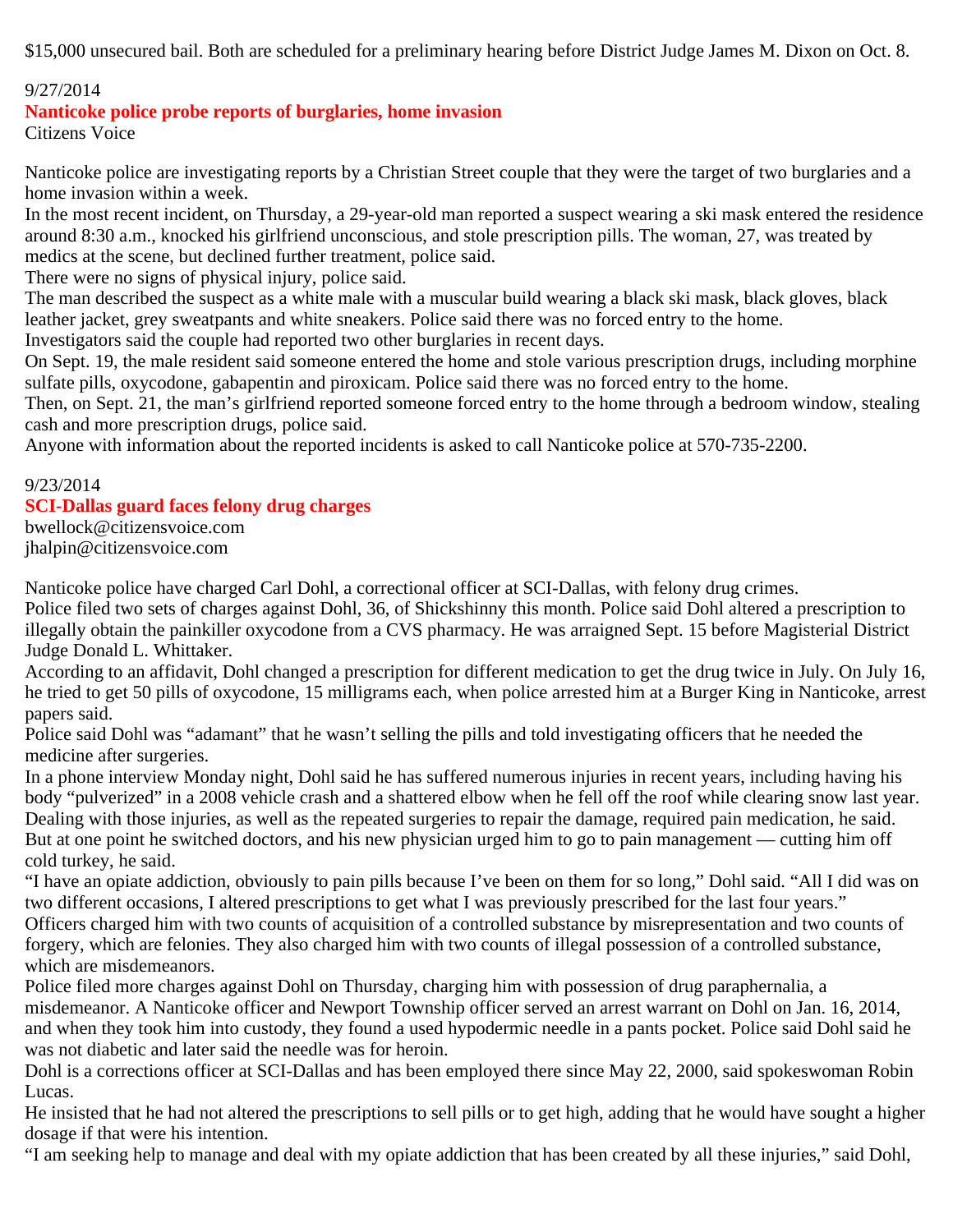\$15,000 unsecured bail. Both are scheduled for a preliminary hearing before District Judge James M. Dixon on Oct. 8.

## 9/27/2014

**Nanticoke police probe reports of burglaries, home invasion**

Citizens Voice

Nanticoke police are investigating reports by a Christian Street couple that they were the target of two burglaries and a home invasion within a week.

In the most recent incident, on Thursday, a 29-year-old man reported a suspect wearing a ski mask entered the residence around 8:30 a.m., knocked his girlfriend unconscious, and stole prescription pills. The woman, 27, was treated by medics at the scene, but declined further treatment, police said.

There were no signs of physical injury, police said.

The man described the suspect as a white male with a muscular build wearing a black ski mask, black gloves, black leather jacket, grey sweatpants and white sneakers. Police said there was no forced entry to the home.

Investigators said the couple had reported two other burglaries in recent days.

On Sept. 19, the male resident said someone entered the home and stole various prescription drugs, including morphine sulfate pills, oxycodone, gabapentin and piroxicam. Police said there was no forced entry to the home.

Then, on Sept. 21, the man's girlfriend reported someone forced entry to the home through a bedroom window, stealing cash and more prescription drugs, police said.

Anyone with information about the reported incidents is asked to call Nanticoke police at 570-735-2200.

# 9/23/2014 **SCI-Dallas guard faces felony drug charges**

bwellock@citizensvoice.com jhalpin@citizensvoice.com

Nanticoke police have charged Carl Dohl, a correctional officer at SCI-Dallas, with felony drug crimes.

Police filed two sets of charges against Dohl, 36, of Shickshinny this month. Police said Dohl altered a prescription to illegally obtain the painkiller oxycodone from a CVS pharmacy. He was arraigned Sept. 15 before Magisterial District Judge Donald L. Whittaker.

According to an affidavit, Dohl changed a prescription for different medication to get the drug twice in July. On July 16, he tried to get 50 pills of oxycodone, 15 milligrams each, when police arrested him at a Burger King in Nanticoke, arrest papers said.

Police said Dohl was "adamant" that he wasn't selling the pills and told investigating officers that he needed the medicine after surgeries.

In a phone interview Monday night, Dohl said he has suffered numerous injuries in recent years, including having his body "pulverized" in a 2008 vehicle crash and a shattered elbow when he fell off the roof while clearing snow last year. Dealing with those injuries, as well as the repeated surgeries to repair the damage, required pain medication, he said. But at one point he switched doctors, and his new physician urged him to go to pain management — cutting him off cold turkey, he said.

"I have an opiate addiction, obviously to pain pills because I've been on them for so long," Dohl said. "All I did was on two different occasions, I altered prescriptions to get what I was previously prescribed for the last four years."

Officers charged him with two counts of acquisition of a controlled substance by misrepresentation and two counts of forgery, which are felonies. They also charged him with two counts of illegal possession of a controlled substance, which are misdemeanors.

Police filed more charges against Dohl on Thursday, charging him with possession of drug paraphernalia, a misdemeanor. A Nanticoke officer and Newport Township officer served an arrest warrant on Dohl on Jan. 16, 2014, and when they took him into custody, they found a used hypodermic needle in a pants pocket. Police said Dohl said he was not diabetic and later said the needle was for heroin.

Dohl is a corrections officer at SCI-Dallas and has been employed there since May 22, 2000, said spokeswoman Robin Lucas.

He insisted that he had not altered the prescriptions to sell pills or to get high, adding that he would have sought a higher dosage if that were his intention.

"I am seeking help to manage and deal with my opiate addiction that has been created by all these injuries," said Dohl,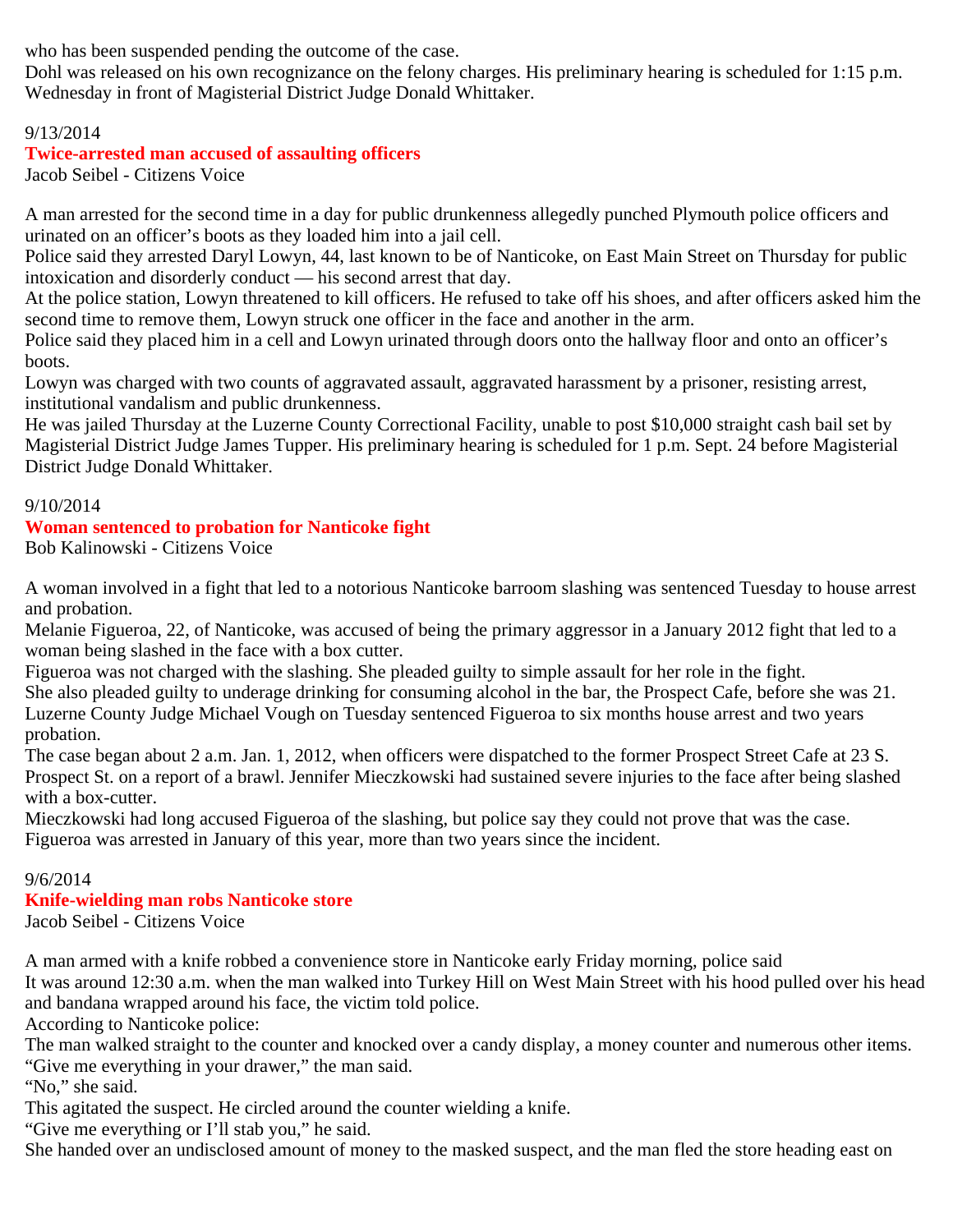who has been suspended pending the outcome of the case.

Dohl was released on his own recognizance on the felony charges. His preliminary hearing is scheduled for 1:15 p.m. Wednesday in front of Magisterial District Judge Donald Whittaker.

## 9/13/2014

# **Twice-arrested man accused of assaulting officers**

Jacob Seibel - Citizens Voice

A man arrested for the second time in a day for public drunkenness allegedly punched Plymouth police officers and urinated on an officer's boots as they loaded him into a jail cell.

Police said they arrested Daryl Lowyn, 44, last known to be of Nanticoke, on East Main Street on Thursday for public intoxication and disorderly conduct — his second arrest that day.

At the police station, Lowyn threatened to kill officers. He refused to take off his shoes, and after officers asked him the second time to remove them, Lowyn struck one officer in the face and another in the arm.

Police said they placed him in a cell and Lowyn urinated through doors onto the hallway floor and onto an officer's boots.

Lowyn was charged with two counts of aggravated assault, aggravated harassment by a prisoner, resisting arrest, institutional vandalism and public drunkenness.

He was jailed Thursday at the Luzerne County Correctional Facility, unable to post \$10,000 straight cash bail set by Magisterial District Judge James Tupper. His preliminary hearing is scheduled for 1 p.m. Sept. 24 before Magisterial District Judge Donald Whittaker.

## 9/10/2014

# **Woman sentenced to probation for Nanticoke fight**

Bob Kalinowski - Citizens Voice

A woman involved in a fight that led to a notorious Nanticoke barroom slashing was sentenced Tuesday to house arrest and probation.

Melanie Figueroa, 22, of Nanticoke, was accused of being the primary aggressor in a January 2012 fight that led to a woman being slashed in the face with a box cutter.

Figueroa was not charged with the slashing. She pleaded guilty to simple assault for her role in the fight.

She also pleaded guilty to underage drinking for consuming alcohol in the bar, the Prospect Cafe, before she was 21. Luzerne County Judge Michael Vough on Tuesday sentenced Figueroa to six months house arrest and two years probation.

The case began about 2 a.m. Jan. 1, 2012, when officers were dispatched to the former Prospect Street Cafe at 23 S. Prospect St. on a report of a brawl. Jennifer Mieczkowski had sustained severe injuries to the face after being slashed with a box-cutter.

Mieczkowski had long accused Figueroa of the slashing, but police say they could not prove that was the case. Figueroa was arrested in January of this year, more than two years since the incident.

## 9/6/2014

# **Knife-wielding man robs Nanticoke store**

Jacob Seibel - Citizens Voice

A man armed with a knife robbed a convenience store in Nanticoke early Friday morning, police said It was around 12:30 a.m. when the man walked into Turkey Hill on West Main Street with his hood pulled over his head and bandana wrapped around his face, the victim told police.

According to Nanticoke police:

The man walked straight to the counter and knocked over a candy display, a money counter and numerous other items. "Give me everything in your drawer," the man said.

"No," she said.

This agitated the suspect. He circled around the counter wielding a knife.

"Give me everything or I'll stab you," he said.

She handed over an undisclosed amount of money to the masked suspect, and the man fled the store heading east on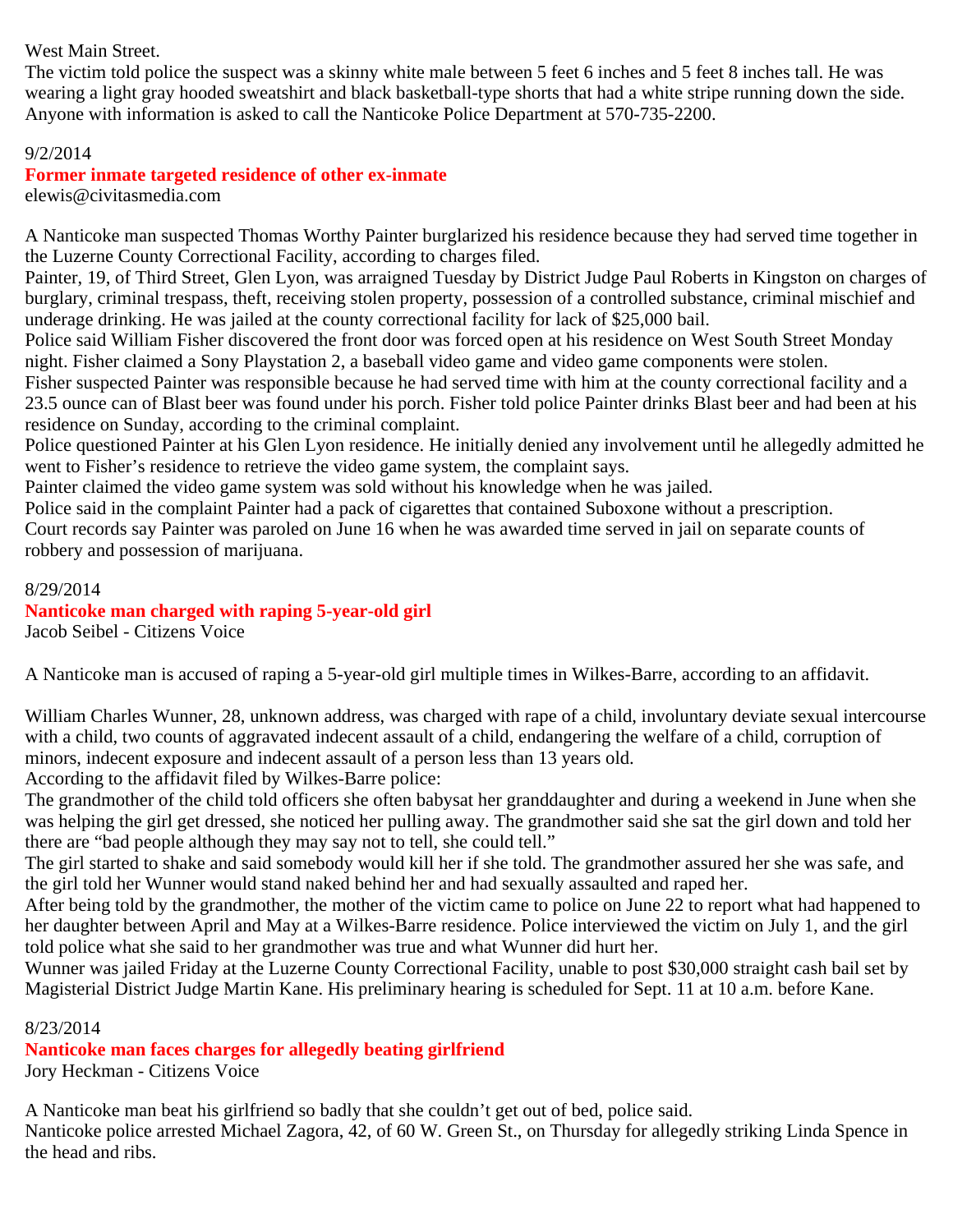## West Main Street.

The victim told police the suspect was a skinny white male between 5 feet 6 inches and 5 feet 8 inches tall. He was wearing a light gray hooded sweatshirt and black basketball-type shorts that had a white stripe running down the side. Anyone with information is asked to call the Nanticoke Police Department at 570-735-2200.

#### 9/2/2014

## **Former inmate targeted residence of other ex-inmate**

elewis@civitasmedia.com

A Nanticoke man suspected Thomas Worthy Painter burglarized his residence because they had served time together in the Luzerne County Correctional Facility, according to charges filed.

Painter, 19, of Third Street, Glen Lyon, was arraigned Tuesday by District Judge Paul Roberts in Kingston on charges of burglary, criminal trespass, theft, receiving stolen property, possession of a controlled substance, criminal mischief and underage drinking. He was jailed at the county correctional facility for lack of \$25,000 bail.

Police said William Fisher discovered the front door was forced open at his residence on West South Street Monday night. Fisher claimed a Sony Playstation 2, a baseball video game and video game components were stolen.

Fisher suspected Painter was responsible because he had served time with him at the county correctional facility and a 23.5 ounce can of Blast beer was found under his porch. Fisher told police Painter drinks Blast beer and had been at his residence on Sunday, according to the criminal complaint.

Police questioned Painter at his Glen Lyon residence. He initially denied any involvement until he allegedly admitted he went to Fisher's residence to retrieve the video game system, the complaint says.

Painter claimed the video game system was sold without his knowledge when he was jailed.

Police said in the complaint Painter had a pack of cigarettes that contained Suboxone without a prescription.

Court records say Painter was paroled on June 16 when he was awarded time served in jail on separate counts of robbery and possession of marijuana.

8/29/2014 **Nanticoke man charged with raping 5-year-old girl** Jacob Seibel - Citizens Voice

A Nanticoke man is accused of raping a 5-year-old girl multiple times in Wilkes-Barre, according to an affidavit.

William Charles Wunner, 28, unknown address, was charged with rape of a child, involuntary deviate sexual intercourse with a child, two counts of aggravated indecent assault of a child, endangering the welfare of a child, corruption of minors, indecent exposure and indecent assault of a person less than 13 years old.

According to the affidavit filed by Wilkes-Barre police:

The grandmother of the child told officers she often babysat her granddaughter and during a weekend in June when she was helping the girl get dressed, she noticed her pulling away. The grandmother said she sat the girl down and told her there are "bad people although they may say not to tell, she could tell."

The girl started to shake and said somebody would kill her if she told. The grandmother assured her she was safe, and the girl told her Wunner would stand naked behind her and had sexually assaulted and raped her.

After being told by the grandmother, the mother of the victim came to police on June 22 to report what had happened to her daughter between April and May at a Wilkes-Barre residence. Police interviewed the victim on July 1, and the girl told police what she said to her grandmother was true and what Wunner did hurt her.

Wunner was jailed Friday at the Luzerne County Correctional Facility, unable to post \$30,000 straight cash bail set by Magisterial District Judge Martin Kane. His preliminary hearing is scheduled for Sept. 11 at 10 a.m. before Kane.

8/23/2014

**Nanticoke man faces charges for allegedly beating girlfriend**

Jory Heckman - Citizens Voice

A Nanticoke man beat his girlfriend so badly that she couldn't get out of bed, police said. Nanticoke police arrested Michael Zagora, 42, of 60 W. Green St., on Thursday for allegedly striking Linda Spence in the head and ribs.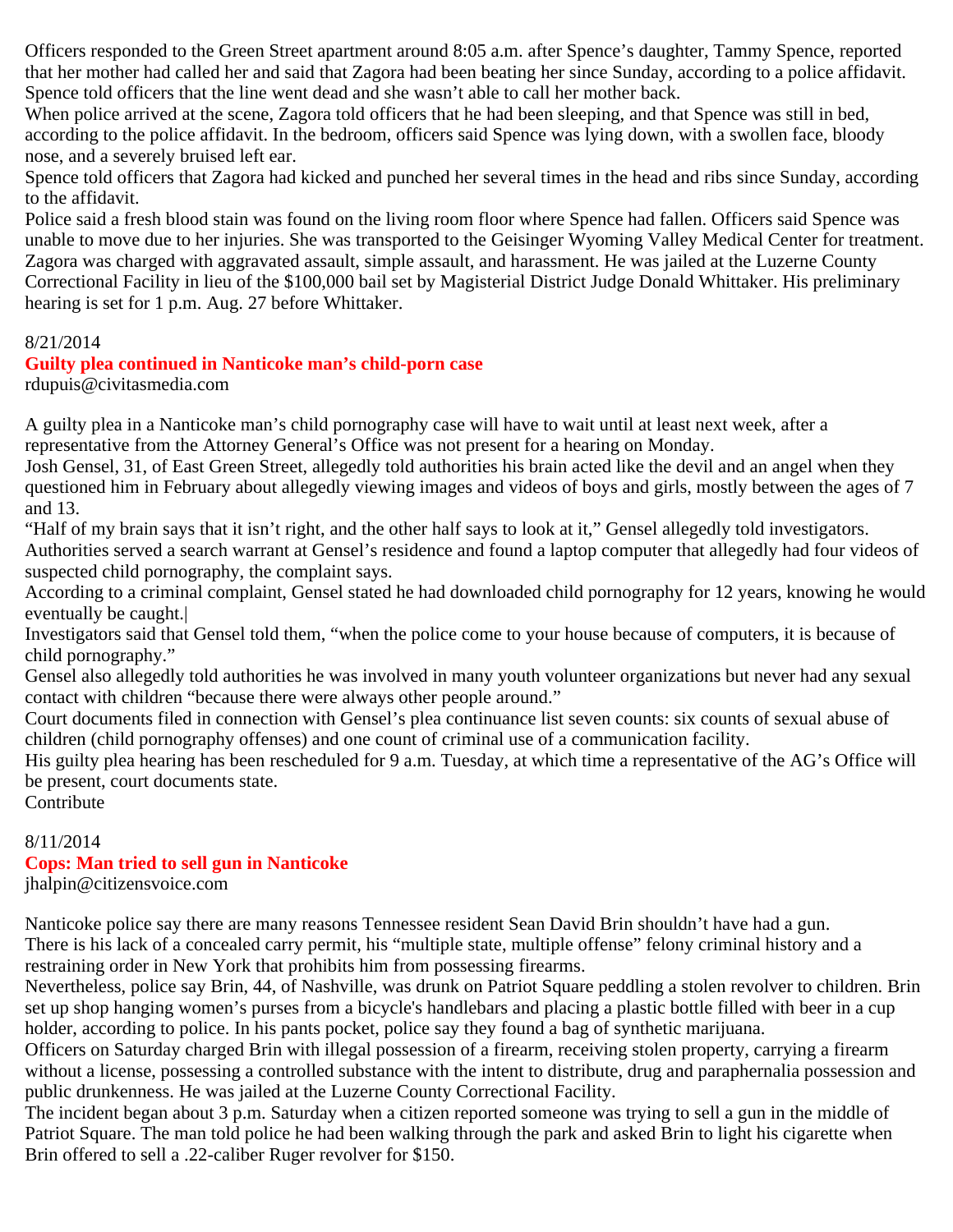Officers responded to the Green Street apartment around 8:05 a.m. after Spence's daughter, Tammy Spence, reported that her mother had called her and said that Zagora had been beating her since Sunday, according to a police affidavit. Spence told officers that the line went dead and she wasn't able to call her mother back.

When police arrived at the scene, Zagora told officers that he had been sleeping, and that Spence was still in bed, according to the police affidavit. In the bedroom, officers said Spence was lying down, with a swollen face, bloody nose, and a severely bruised left ear.

Spence told officers that Zagora had kicked and punched her several times in the head and ribs since Sunday, according to the affidavit.

Police said a fresh blood stain was found on the living room floor where Spence had fallen. Officers said Spence was unable to move due to her injuries. She was transported to the Geisinger Wyoming Valley Medical Center for treatment. Zagora was charged with aggravated assault, simple assault, and harassment. He was jailed at the Luzerne County Correctional Facility in lieu of the \$100,000 bail set by Magisterial District Judge Donald Whittaker. His preliminary hearing is set for 1 p.m. Aug. 27 before Whittaker.

#### 8/21/2014

## **Guilty plea continued in Nanticoke man's child-porn case**

rdupuis@civitasmedia.com

A guilty plea in a Nanticoke man's child pornography case will have to wait until at least next week, after a representative from the Attorney General's Office was not present for a hearing on Monday.

Josh Gensel, 31, of East Green Street, allegedly told authorities his brain acted like the devil and an angel when they questioned him in February about allegedly viewing images and videos of boys and girls, mostly between the ages of 7 and 13.

"Half of my brain says that it isn't right, and the other half says to look at it," Gensel allegedly told investigators. Authorities served a search warrant at Gensel's residence and found a laptop computer that allegedly had four videos of suspected child pornography, the complaint says.

According to a criminal complaint, Gensel stated he had downloaded child pornography for 12 years, knowing he would eventually be caught.|

Investigators said that Gensel told them, "when the police come to your house because of computers, it is because of child pornography."

Gensel also allegedly told authorities he was involved in many youth volunteer organizations but never had any sexual contact with children "because there were always other people around."

Court documents filed in connection with Gensel's plea continuance list seven counts: six counts of sexual abuse of children (child pornography offenses) and one count of criminal use of a communication facility.

His guilty plea hearing has been rescheduled for 9 a.m. Tuesday, at which time a representative of the AG's Office will be present, court documents state.

Contribute

# 8/11/2014 **Cops: Man tried to sell gun in Nanticoke**

jhalpin@citizensvoice.com

Nanticoke police say there are many reasons Tennessee resident Sean David Brin shouldn't have had a gun. There is his lack of a concealed carry permit, his "multiple state, multiple offense" felony criminal history and a restraining order in New York that prohibits him from possessing firearms.

Nevertheless, police say Brin, 44, of Nashville, was drunk on Patriot Square peddling a stolen revolver to children. Brin set up shop hanging women's purses from a bicycle's handlebars and placing a plastic bottle filled with beer in a cup holder, according to police. In his pants pocket, police say they found a bag of synthetic marijuana.

Officers on Saturday charged Brin with illegal possession of a firearm, receiving stolen property, carrying a firearm without a license, possessing a controlled substance with the intent to distribute, drug and paraphernalia possession and public drunkenness. He was jailed at the Luzerne County Correctional Facility.

The incident began about 3 p.m. Saturday when a citizen reported someone was trying to sell a gun in the middle of Patriot Square. The man told police he had been walking through the park and asked Brin to light his cigarette when Brin offered to sell a .22-caliber Ruger revolver for \$150.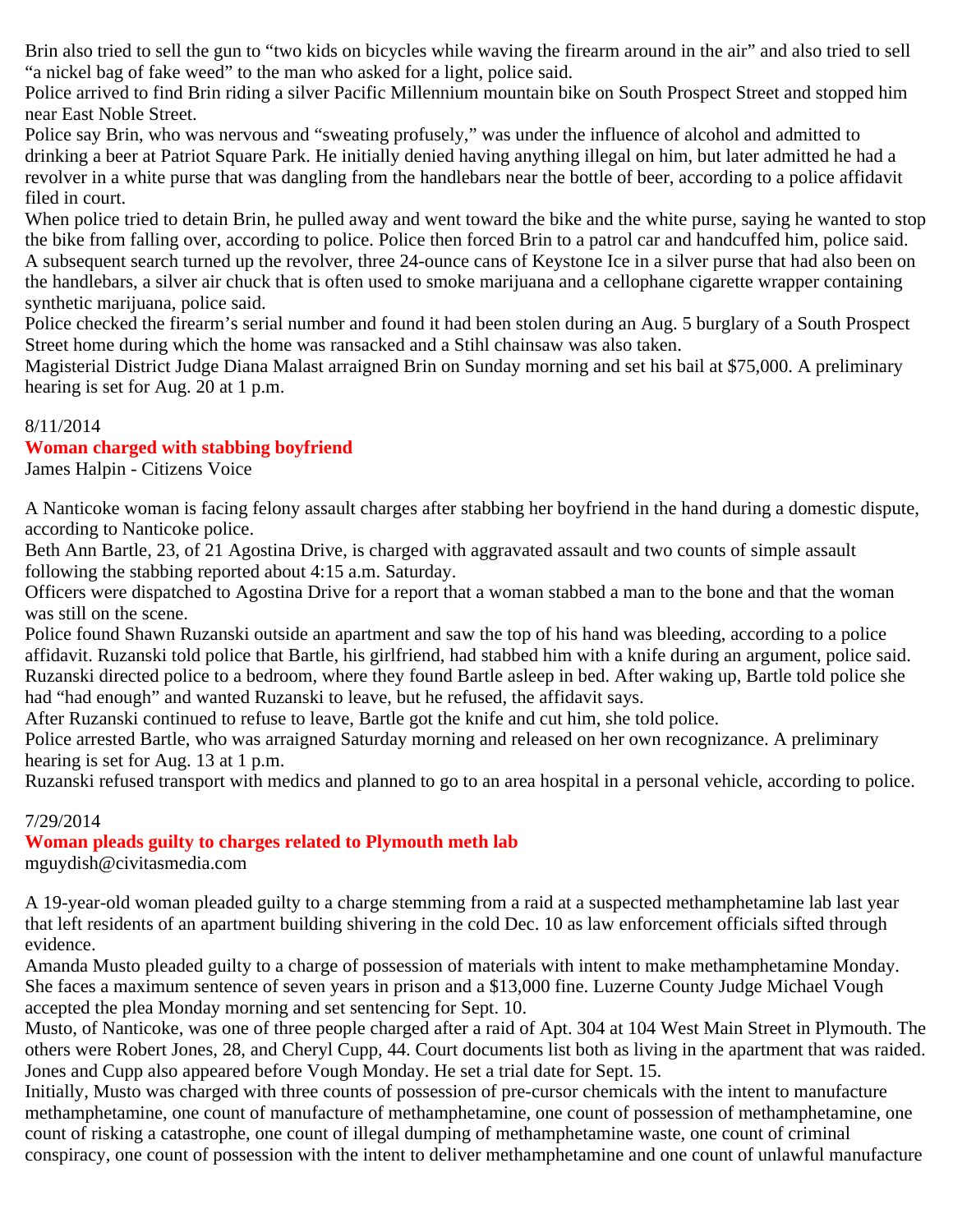Brin also tried to sell the gun to "two kids on bicycles while waving the firearm around in the air" and also tried to sell "a nickel bag of fake weed" to the man who asked for a light, police said.

Police arrived to find Brin riding a silver Pacific Millennium mountain bike on South Prospect Street and stopped him near East Noble Street.

Police say Brin, who was nervous and "sweating profusely," was under the influence of alcohol and admitted to drinking a beer at Patriot Square Park. He initially denied having anything illegal on him, but later admitted he had a revolver in a white purse that was dangling from the handlebars near the bottle of beer, according to a police affidavit filed in court.

When police tried to detain Brin, he pulled away and went toward the bike and the white purse, saying he wanted to stop the bike from falling over, according to police. Police then forced Brin to a patrol car and handcuffed him, police said. A subsequent search turned up the revolver, three 24-ounce cans of Keystone Ice in a silver purse that had also been on the handlebars, a silver air chuck that is often used to smoke marijuana and a cellophane cigarette wrapper containing synthetic marijuana, police said.

Police checked the firearm's serial number and found it had been stolen during an Aug. 5 burglary of a South Prospect Street home during which the home was ransacked and a Stihl chainsaw was also taken.

Magisterial District Judge Diana Malast arraigned Brin on Sunday morning and set his bail at \$75,000. A preliminary hearing is set for Aug. 20 at 1 p.m.

#### 8/11/2014

## **Woman charged with stabbing boyfriend**

James Halpin - Citizens Voice

A Nanticoke woman is facing felony assault charges after stabbing her boyfriend in the hand during a domestic dispute, according to Nanticoke police.

Beth Ann Bartle, 23, of 21 Agostina Drive, is charged with aggravated assault and two counts of simple assault following the stabbing reported about 4:15 a.m. Saturday.

Officers were dispatched to Agostina Drive for a report that a woman stabbed a man to the bone and that the woman was still on the scene.

Police found Shawn Ruzanski outside an apartment and saw the top of his hand was bleeding, according to a police affidavit. Ruzanski told police that Bartle, his girlfriend, had stabbed him with a knife during an argument, police said. Ruzanski directed police to a bedroom, where they found Bartle asleep in bed. After waking up, Bartle told police she had "had enough" and wanted Ruzanski to leave, but he refused, the affidavit says.

After Ruzanski continued to refuse to leave, Bartle got the knife and cut him, she told police.

Police arrested Bartle, who was arraigned Saturday morning and released on her own recognizance. A preliminary hearing is set for Aug. 13 at 1 p.m.

Ruzanski refused transport with medics and planned to go to an area hospital in a personal vehicle, according to police.

## 7/29/2014

## **Woman pleads guilty to charges related to Plymouth meth lab**

mguydish@civitasmedia.com

A 19-year-old woman pleaded guilty to a charge stemming from a raid at a suspected methamphetamine lab last year that left residents of an apartment building shivering in the cold Dec. 10 as law enforcement officials sifted through evidence.

Amanda Musto pleaded guilty to a charge of possession of materials with intent to make methamphetamine Monday. She faces a maximum sentence of seven years in prison and a \$13,000 fine. Luzerne County Judge Michael Vough accepted the plea Monday morning and set sentencing for Sept. 10.

Musto, of Nanticoke, was one of three people charged after a raid of Apt. 304 at 104 West Main Street in Plymouth. The others were Robert Jones, 28, and Cheryl Cupp, 44. Court documents list both as living in the apartment that was raided. Jones and Cupp also appeared before Vough Monday. He set a trial date for Sept. 15.

Initially, Musto was charged with three counts of possession of pre-cursor chemicals with the intent to manufacture methamphetamine, one count of manufacture of methamphetamine, one count of possession of methamphetamine, one count of risking a catastrophe, one count of illegal dumping of methamphetamine waste, one count of criminal conspiracy, one count of possession with the intent to deliver methamphetamine and one count of unlawful manufacture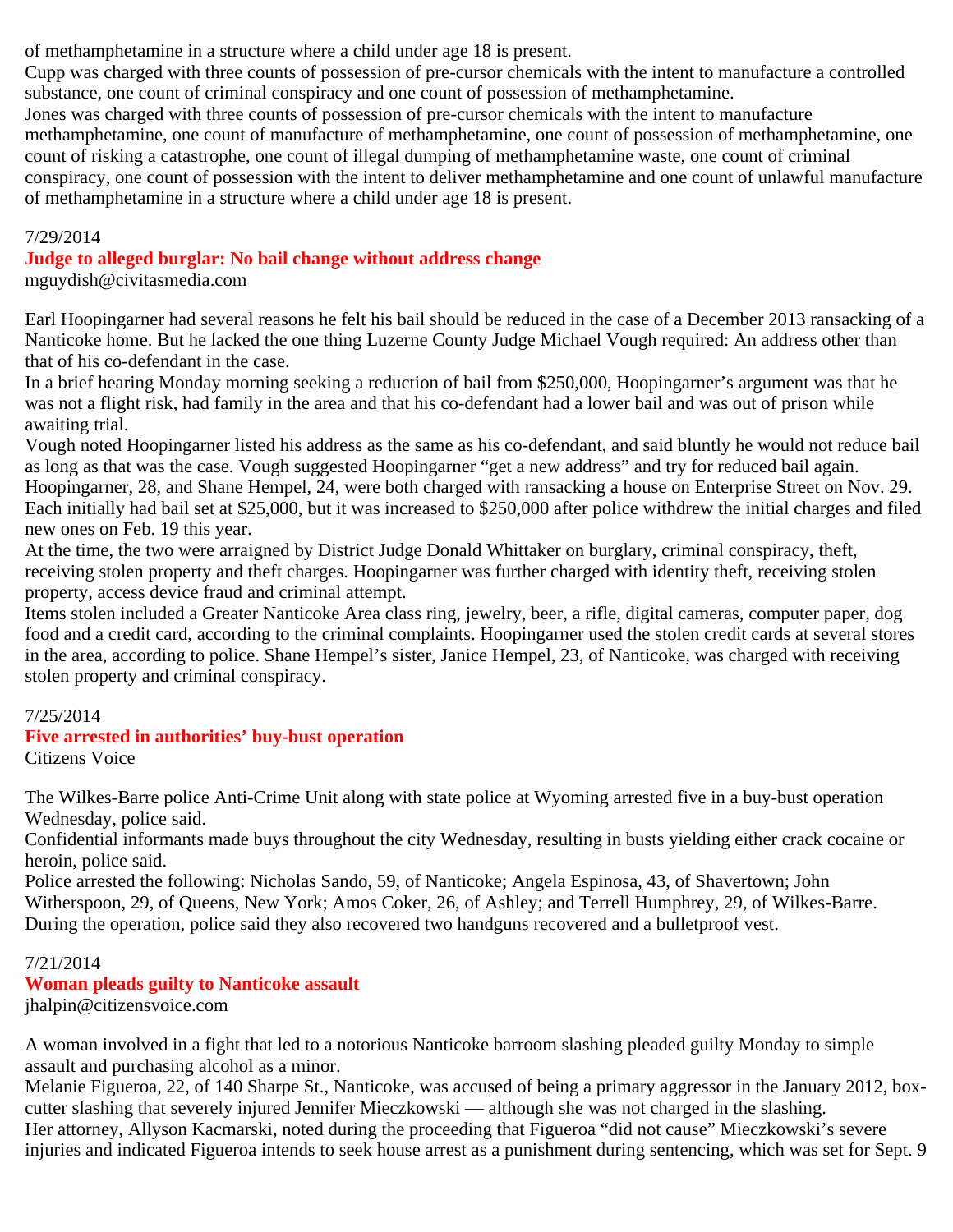of methamphetamine in a structure where a child under age 18 is present.

Cupp was charged with three counts of possession of pre-cursor chemicals with the intent to manufacture a controlled substance, one count of criminal conspiracy and one count of possession of methamphetamine.

Jones was charged with three counts of possession of pre-cursor chemicals with the intent to manufacture methamphetamine, one count of manufacture of methamphetamine, one count of possession of methamphetamine, one count of risking a catastrophe, one count of illegal dumping of methamphetamine waste, one count of criminal conspiracy, one count of possession with the intent to deliver methamphetamine and one count of unlawful manufacture of methamphetamine in a structure where a child under age 18 is present.

#### 7/29/2014

**Judge to alleged burglar: No bail change without address change**

mguydish@civitasmedia.com

Earl Hoopingarner had several reasons he felt his bail should be reduced in the case of a December 2013 ransacking of a Nanticoke home. But he lacked the one thing Luzerne County Judge Michael Vough required: An address other than that of his co-defendant in the case.

In a brief hearing Monday morning seeking a reduction of bail from \$250,000, Hoopingarner's argument was that he was not a flight risk, had family in the area and that his co-defendant had a lower bail and was out of prison while awaiting trial.

Vough noted Hoopingarner listed his address as the same as his co-defendant, and said bluntly he would not reduce bail as long as that was the case. Vough suggested Hoopingarner "get a new address" and try for reduced bail again. Hoopingarner, 28, and Shane Hempel, 24, were both charged with ransacking a house on Enterprise Street on Nov. 29. Each initially had bail set at \$25,000, but it was increased to \$250,000 after police withdrew the initial charges and filed new ones on Feb. 19 this year.

At the time, the two were arraigned by District Judge Donald Whittaker on burglary, criminal conspiracy, theft, receiving stolen property and theft charges. Hoopingarner was further charged with identity theft, receiving stolen property, access device fraud and criminal attempt.

Items stolen included a Greater Nanticoke Area class ring, jewelry, beer, a rifle, digital cameras, computer paper, dog food and a credit card, according to the criminal complaints. Hoopingarner used the stolen credit cards at several stores in the area, according to police. Shane Hempel's sister, Janice Hempel, 23, of Nanticoke, was charged with receiving stolen property and criminal conspiracy.

## 7/25/2014

# **Five arrested in authorities' buy-bust operation**

Citizens Voice

The Wilkes-Barre police Anti-Crime Unit along with state police at Wyoming arrested five in a buy-bust operation Wednesday, police said.

Confidential informants made buys throughout the city Wednesday, resulting in busts yielding either crack cocaine or heroin, police said.

Police arrested the following: Nicholas Sando, 59, of Nanticoke; Angela Espinosa, 43, of Shavertown; John Witherspoon, 29, of Queens, New York; Amos Coker, 26, of Ashley; and Terrell Humphrey, 29, of Wilkes-Barre. During the operation, police said they also recovered two handguns recovered and a bulletproof vest.

# 7/21/2014

# **Woman pleads guilty to Nanticoke assault**

jhalpin@citizensvoice.com

A woman involved in a fight that led to a notorious Nanticoke barroom slashing pleaded guilty Monday to simple assault and purchasing alcohol as a minor.

Melanie Figueroa, 22, of 140 Sharpe St., Nanticoke, was accused of being a primary aggressor in the January 2012, boxcutter slashing that severely injured Jennifer Mieczkowski — although she was not charged in the slashing. Her attorney, Allyson Kacmarski, noted during the proceeding that Figueroa "did not cause" Mieczkowski's severe injuries and indicated Figueroa intends to seek house arrest as a punishment during sentencing, which was set for Sept. 9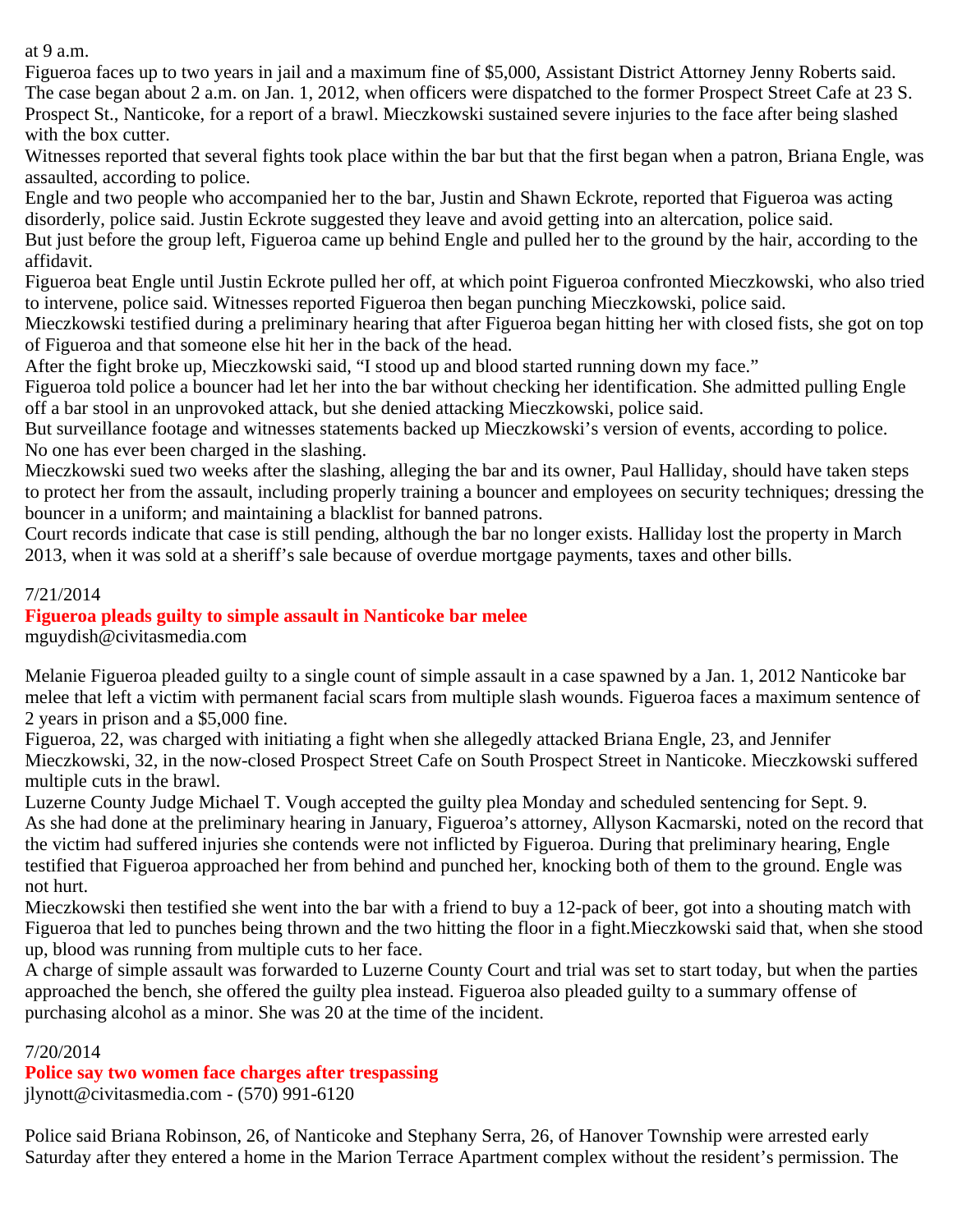at 9 a.m.

Figueroa faces up to two years in jail and a maximum fine of \$5,000, Assistant District Attorney Jenny Roberts said. The case began about 2 a.m. on Jan. 1, 2012, when officers were dispatched to the former Prospect Street Cafe at 23 S. Prospect St., Nanticoke, for a report of a brawl. Mieczkowski sustained severe injuries to the face after being slashed with the box cutter.

Witnesses reported that several fights took place within the bar but that the first began when a patron, Briana Engle, was assaulted, according to police.

Engle and two people who accompanied her to the bar, Justin and Shawn Eckrote, reported that Figueroa was acting disorderly, police said. Justin Eckrote suggested they leave and avoid getting into an altercation, police said.

But just before the group left, Figueroa came up behind Engle and pulled her to the ground by the hair, according to the affidavit.

Figueroa beat Engle until Justin Eckrote pulled her off, at which point Figueroa confronted Mieczkowski, who also tried to intervene, police said. Witnesses reported Figueroa then began punching Mieczkowski, police said.

Mieczkowski testified during a preliminary hearing that after Figueroa began hitting her with closed fists, she got on top of Figueroa and that someone else hit her in the back of the head.

After the fight broke up, Mieczkowski said, "I stood up and blood started running down my face."

Figueroa told police a bouncer had let her into the bar without checking her identification. She admitted pulling Engle off a bar stool in an unprovoked attack, but she denied attacking Mieczkowski, police said.

But surveillance footage and witnesses statements backed up Mieczkowski's version of events, according to police. No one has ever been charged in the slashing.

Mieczkowski sued two weeks after the slashing, alleging the bar and its owner, Paul Halliday, should have taken steps to protect her from the assault, including properly training a bouncer and employees on security techniques; dressing the bouncer in a uniform; and maintaining a blacklist for banned patrons.

Court records indicate that case is still pending, although the bar no longer exists. Halliday lost the property in March 2013, when it was sold at a sheriff's sale because of overdue mortgage payments, taxes and other bills.

## 7/21/2014

# **Figueroa pleads guilty to simple assault in Nanticoke bar melee**

mguydish@civitasmedia.com

Melanie Figueroa pleaded guilty to a single count of simple assault in a case spawned by a Jan. 1, 2012 Nanticoke bar melee that left a victim with permanent facial scars from multiple slash wounds. Figueroa faces a maximum sentence of 2 years in prison and a \$5,000 fine.

Figueroa, 22, was charged with initiating a fight when she allegedly attacked Briana Engle, 23, and Jennifer Mieczkowski, 32, in the now-closed Prospect Street Cafe on South Prospect Street in Nanticoke. Mieczkowski suffered multiple cuts in the brawl.

Luzerne County Judge Michael T. Vough accepted the guilty plea Monday and scheduled sentencing for Sept. 9. As she had done at the preliminary hearing in January, Figueroa's attorney, Allyson Kacmarski, noted on the record that the victim had suffered injuries she contends were not inflicted by Figueroa. During that preliminary hearing, Engle testified that Figueroa approached her from behind and punched her, knocking both of them to the ground. Engle was not hurt.

Mieczkowski then testified she went into the bar with a friend to buy a 12-pack of beer, got into a shouting match with Figueroa that led to punches being thrown and the two hitting the floor in a fight.Mieczkowski said that, when she stood up, blood was running from multiple cuts to her face.

A charge of simple assault was forwarded to Luzerne County Court and trial was set to start today, but when the parties approached the bench, she offered the guilty plea instead. Figueroa also pleaded guilty to a summary offense of purchasing alcohol as a minor. She was 20 at the time of the incident.

## 7/20/2014

**Police say two women face charges after trespassing** jlynott@civitasmedia.com - (570) 991-6120

Police said Briana Robinson, 26, of Nanticoke and Stephany Serra, 26, of Hanover Township were arrested early Saturday after they entered a home in the Marion Terrace Apartment complex without the resident's permission. The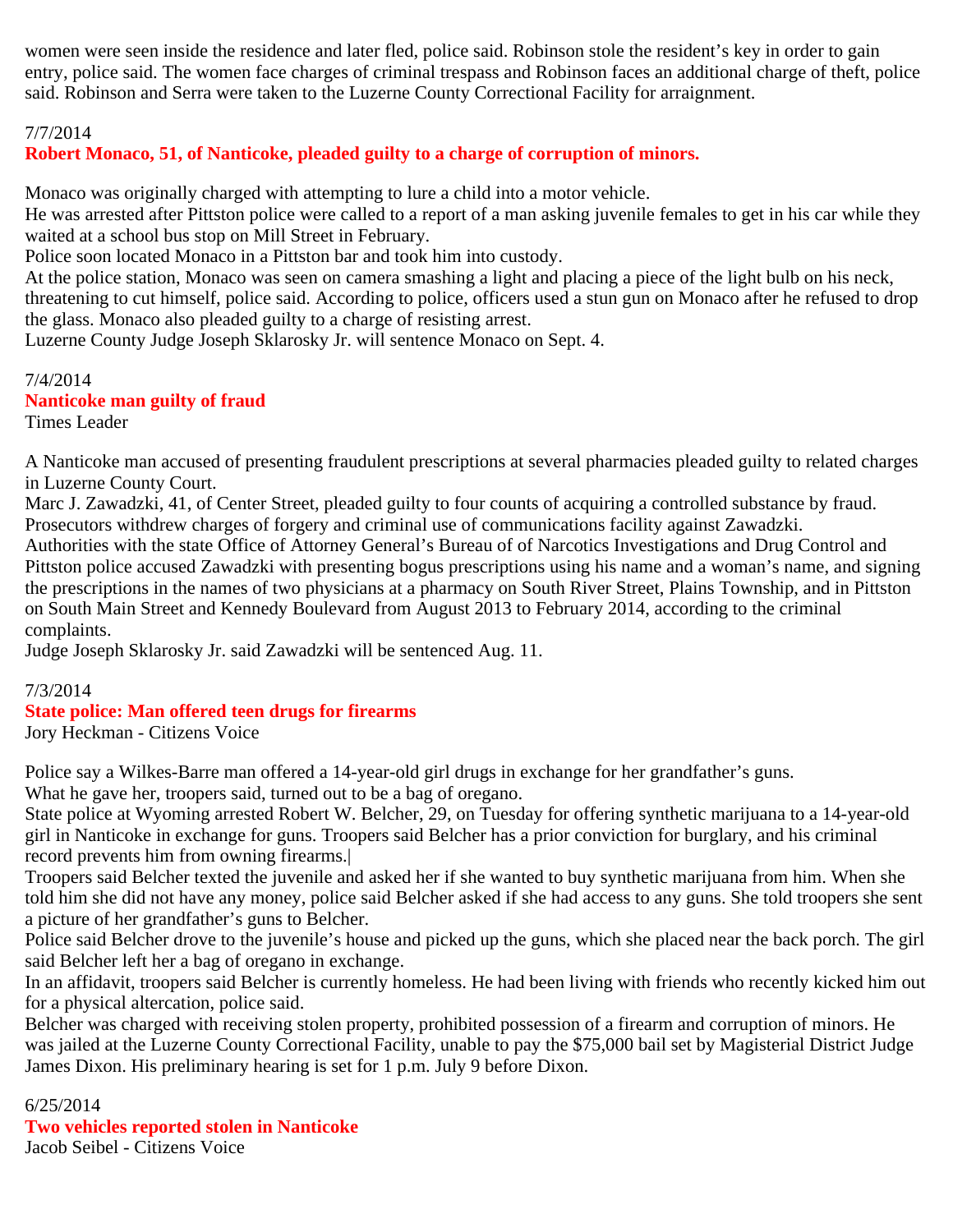women were seen inside the residence and later fled, police said. Robinson stole the resident's key in order to gain entry, police said. The women face charges of criminal trespass and Robinson faces an additional charge of theft, police said. Robinson and Serra were taken to the Luzerne County Correctional Facility for arraignment.

#### 7/7/2014

# **Robert Monaco, 51, of Nanticoke, pleaded guilty to a charge of corruption of minors.**

Monaco was originally charged with attempting to lure a child into a motor vehicle.

He was arrested after Pittston police were called to a report of a man asking juvenile females to get in his car while they waited at a school bus stop on Mill Street in February.

Police soon located Monaco in a Pittston bar and took him into custody.

At the police station, Monaco was seen on camera smashing a light and placing a piece of the light bulb on his neck, threatening to cut himself, police said. According to police, officers used a stun gun on Monaco after he refused to drop the glass. Monaco also pleaded guilty to a charge of resisting arrest.

Luzerne County Judge Joseph Sklarosky Jr. will sentence Monaco on Sept. 4.

7/4/2014 **Nanticoke man guilty of fraud** Times Leader

A Nanticoke man accused of presenting fraudulent prescriptions at several pharmacies pleaded guilty to related charges in Luzerne County Court.

Marc J. Zawadzki, 41, of Center Street, pleaded guilty to four counts of acquiring a controlled substance by fraud. Prosecutors withdrew charges of forgery and criminal use of communications facility against Zawadzki.

Authorities with the state Office of Attorney General's Bureau of of Narcotics Investigations and Drug Control and Pittston police accused Zawadzki with presenting bogus prescriptions using his name and a woman's name, and signing the prescriptions in the names of two physicians at a pharmacy on South River Street, Plains Township, and in Pittston on South Main Street and Kennedy Boulevard from August 2013 to February 2014, according to the criminal complaints.

Judge Joseph Sklarosky Jr. said Zawadzki will be sentenced Aug. 11.

## 7/3/2014

## **State police: Man offered teen drugs for firearms**

Jory Heckman - Citizens Voice

Police say a Wilkes-Barre man offered a 14-year-old girl drugs in exchange for her grandfather's guns. What he gave her, troopers said, turned out to be a bag of oregano.

State police at Wyoming arrested Robert W. Belcher, 29, on Tuesday for offering synthetic marijuana to a 14-year-old girl in Nanticoke in exchange for guns. Troopers said Belcher has a prior conviction for burglary, and his criminal record prevents him from owning firearms.|

Troopers said Belcher texted the juvenile and asked her if she wanted to buy synthetic marijuana from him. When she told him she did not have any money, police said Belcher asked if she had access to any guns. She told troopers she sent a picture of her grandfather's guns to Belcher.

Police said Belcher drove to the juvenile's house and picked up the guns, which she placed near the back porch. The girl said Belcher left her a bag of oregano in exchange.

In an affidavit, troopers said Belcher is currently homeless. He had been living with friends who recently kicked him out for a physical altercation, police said.

Belcher was charged with receiving stolen property, prohibited possession of a firearm and corruption of minors. He was jailed at the Luzerne County Correctional Facility, unable to pay the \$75,000 bail set by Magisterial District Judge James Dixon. His preliminary hearing is set for 1 p.m. July 9 before Dixon.

6/25/2014 **Two vehicles reported stolen in Nanticoke** Jacob Seibel - Citizens Voice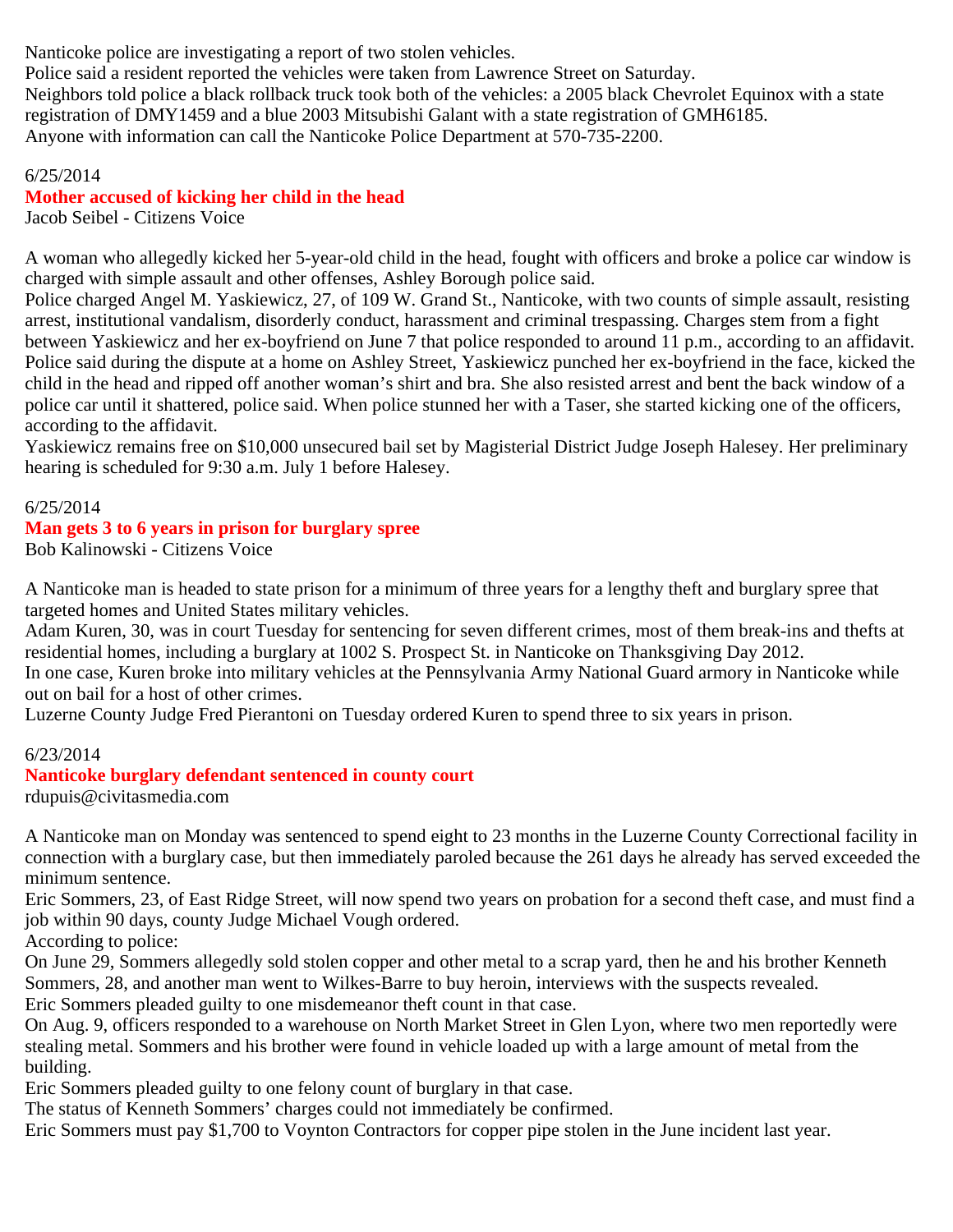Nanticoke police are investigating a report of two stolen vehicles.

Police said a resident reported the vehicles were taken from Lawrence Street on Saturday. Neighbors told police a black rollback truck took both of the vehicles: a 2005 black Chevrolet Equinox with a state registration of DMY1459 and a blue 2003 Mitsubishi Galant with a state registration of GMH6185. Anyone with information can call the Nanticoke Police Department at 570-735-2200.

## 6/25/2014

## **Mother accused of kicking her child in the head**

Jacob Seibel - Citizens Voice

A woman who allegedly kicked her 5-year-old child in the head, fought with officers and broke a police car window is charged with simple assault and other offenses, Ashley Borough police said.

Police charged Angel M. Yaskiewicz, 27, of 109 W. Grand St., Nanticoke, with two counts of simple assault, resisting arrest, institutional vandalism, disorderly conduct, harassment and criminal trespassing. Charges stem from a fight between Yaskiewicz and her ex-boyfriend on June 7 that police responded to around 11 p.m., according to an affidavit. Police said during the dispute at a home on Ashley Street, Yaskiewicz punched her ex-boyfriend in the face, kicked the child in the head and ripped off another woman's shirt and bra. She also resisted arrest and bent the back window of a police car until it shattered, police said. When police stunned her with a Taser, she started kicking one of the officers, according to the affidavit.

Yaskiewicz remains free on \$10,000 unsecured bail set by Magisterial District Judge Joseph Halesey. Her preliminary hearing is scheduled for 9:30 a.m. July 1 before Halesey.

#### 6/25/2014

#### **Man gets 3 to 6 years in prison for burglary spree**

Bob Kalinowski - Citizens Voice

A Nanticoke man is headed to state prison for a minimum of three years for a lengthy theft and burglary spree that targeted homes and United States military vehicles.

Adam Kuren, 30, was in court Tuesday for sentencing for seven different crimes, most of them break-ins and thefts at residential homes, including a burglary at 1002 S. Prospect St. in Nanticoke on Thanksgiving Day 2012.

In one case, Kuren broke into military vehicles at the Pennsylvania Army National Guard armory in Nanticoke while out on bail for a host of other crimes.

Luzerne County Judge Fred Pierantoni on Tuesday ordered Kuren to spend three to six years in prison.

## 6/23/2014

## **Nanticoke burglary defendant sentenced in county court**

rdupuis@civitasmedia.com

A Nanticoke man on Monday was sentenced to spend eight to 23 months in the Luzerne County Correctional facility in connection with a burglary case, but then immediately paroled because the 261 days he already has served exceeded the minimum sentence.

Eric Sommers, 23, of East Ridge Street, will now spend two years on probation for a second theft case, and must find a job within 90 days, county Judge Michael Vough ordered.

According to police:

On June 29, Sommers allegedly sold stolen copper and other metal to a scrap yard, then he and his brother Kenneth Sommers, 28, and another man went to Wilkes-Barre to buy heroin, interviews with the suspects revealed.

Eric Sommers pleaded guilty to one misdemeanor theft count in that case.

On Aug. 9, officers responded to a warehouse on North Market Street in Glen Lyon, where two men reportedly were stealing metal. Sommers and his brother were found in vehicle loaded up with a large amount of metal from the building.

Eric Sommers pleaded guilty to one felony count of burglary in that case.

The status of Kenneth Sommers' charges could not immediately be confirmed.

Eric Sommers must pay \$1,700 to Voynton Contractors for copper pipe stolen in the June incident last year.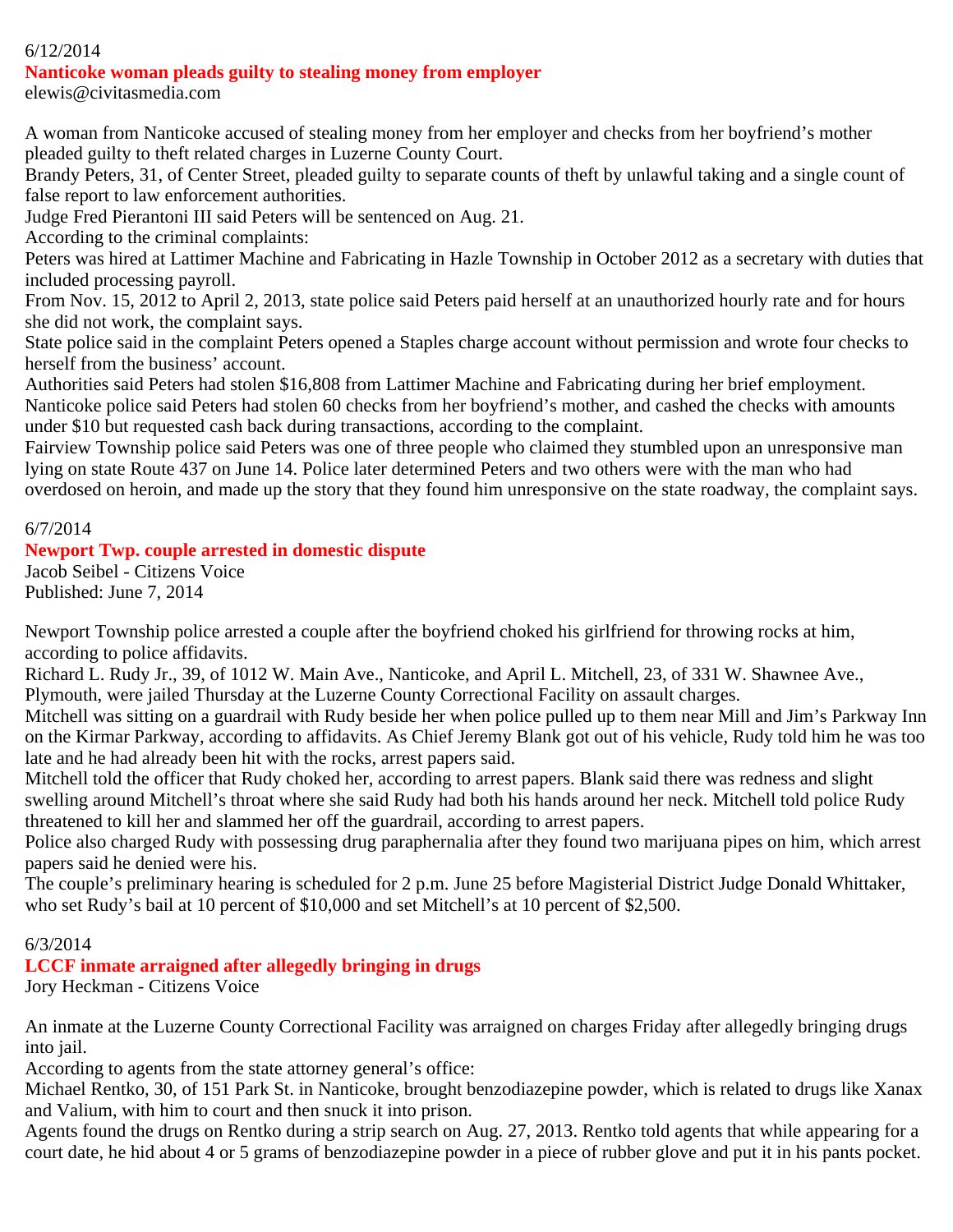# 6/12/2014

#### **Nanticoke woman pleads guilty to stealing money from employer**

elewis@civitasmedia.com

A woman from Nanticoke accused of stealing money from her employer and checks from her boyfriend's mother pleaded guilty to theft related charges in Luzerne County Court.

Brandy Peters, 31, of Center Street, pleaded guilty to separate counts of theft by unlawful taking and a single count of false report to law enforcement authorities.

Judge Fred Pierantoni III said Peters will be sentenced on Aug. 21.

According to the criminal complaints:

Peters was hired at Lattimer Machine and Fabricating in Hazle Township in October 2012 as a secretary with duties that included processing payroll.

From Nov. 15, 2012 to April 2, 2013, state police said Peters paid herself at an unauthorized hourly rate and for hours she did not work, the complaint says.

State police said in the complaint Peters opened a Staples charge account without permission and wrote four checks to herself from the business' account.

Authorities said Peters had stolen \$16,808 from Lattimer Machine and Fabricating during her brief employment. Nanticoke police said Peters had stolen 60 checks from her boyfriend's mother, and cashed the checks with amounts under \$10 but requested cash back during transactions, according to the complaint.

Fairview Township police said Peters was one of three people who claimed they stumbled upon an unresponsive man lying on state Route 437 on June 14. Police later determined Peters and two others were with the man who had overdosed on heroin, and made up the story that they found him unresponsive on the state roadway, the complaint says.

#### 6/7/2014

## **Newport Twp. couple arrested in domestic dispute**

Jacob Seibel - Citizens Voice Published: June 7, 2014

Newport Township police arrested a couple after the boyfriend choked his girlfriend for throwing rocks at him, according to police affidavits.

Richard L. Rudy Jr., 39, of 1012 W. Main Ave., Nanticoke, and April L. Mitchell, 23, of 331 W. Shawnee Ave., Plymouth, were jailed Thursday at the Luzerne County Correctional Facility on assault charges.

Mitchell was sitting on a guardrail with Rudy beside her when police pulled up to them near Mill and Jim's Parkway Inn on the Kirmar Parkway, according to affidavits. As Chief Jeremy Blank got out of his vehicle, Rudy told him he was too late and he had already been hit with the rocks, arrest papers said.

Mitchell told the officer that Rudy choked her, according to arrest papers. Blank said there was redness and slight swelling around Mitchell's throat where she said Rudy had both his hands around her neck. Mitchell told police Rudy threatened to kill her and slammed her off the guardrail, according to arrest papers.

Police also charged Rudy with possessing drug paraphernalia after they found two marijuana pipes on him, which arrest papers said he denied were his.

The couple's preliminary hearing is scheduled for 2 p.m. June 25 before Magisterial District Judge Donald Whittaker, who set Rudy's bail at 10 percent of \$10,000 and set Mitchell's at 10 percent of \$2,500.

## 6/3/2014

**LCCF inmate arraigned after allegedly bringing in drugs**

Jory Heckman - Citizens Voice

An inmate at the Luzerne County Correctional Facility was arraigned on charges Friday after allegedly bringing drugs into jail.

According to agents from the state attorney general's office:

Michael Rentko, 30, of 151 Park St. in Nanticoke, brought benzodiazepine powder, which is related to drugs like Xanax and Valium, with him to court and then snuck it into prison.

Agents found the drugs on Rentko during a strip search on Aug. 27, 2013. Rentko told agents that while appearing for a court date, he hid about 4 or 5 grams of benzodiazepine powder in a piece of rubber glove and put it in his pants pocket.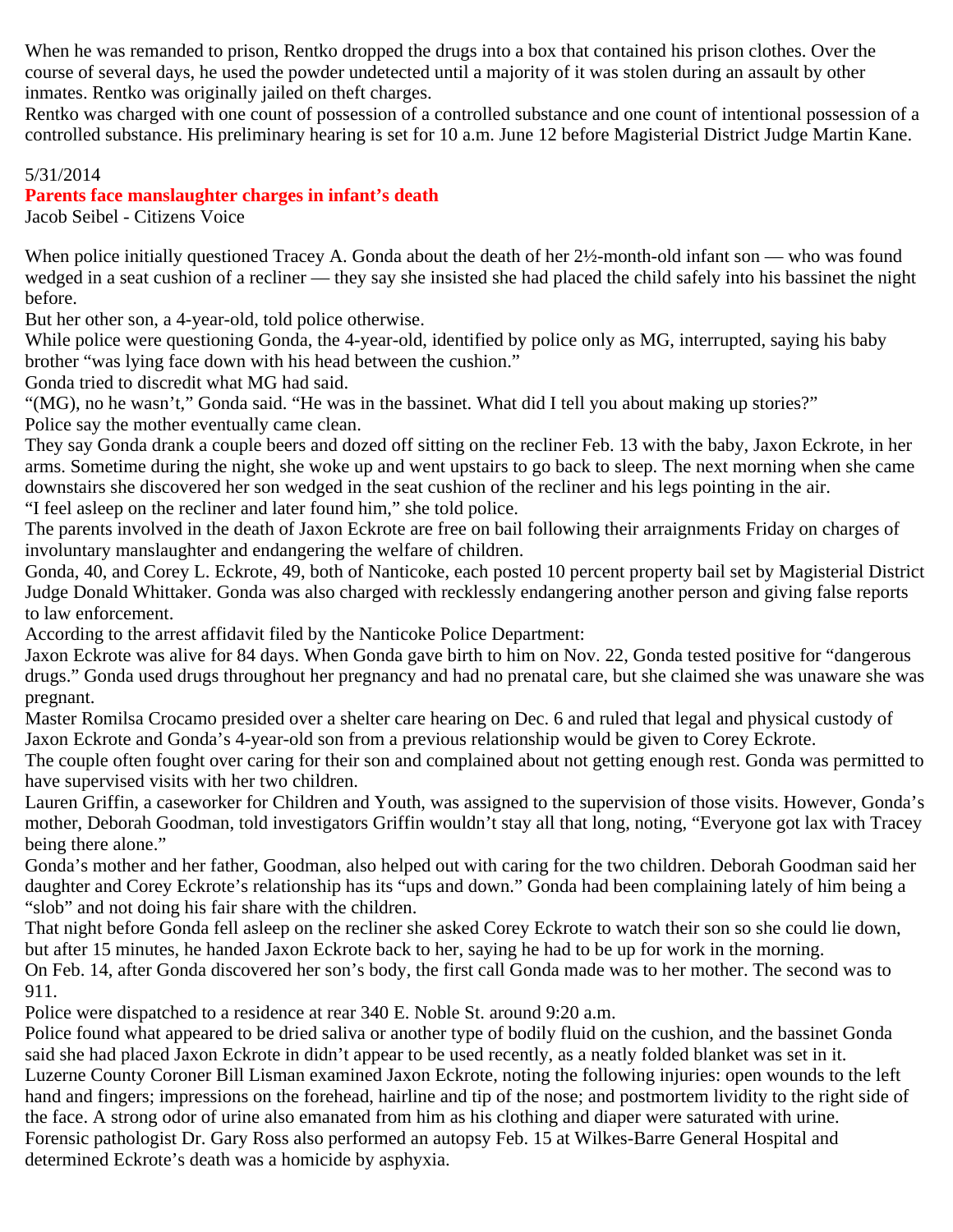When he was remanded to prison, Rentko dropped the drugs into a box that contained his prison clothes. Over the course of several days, he used the powder undetected until a majority of it was stolen during an assault by other inmates. Rentko was originally jailed on theft charges.

Rentko was charged with one count of possession of a controlled substance and one count of intentional possession of a controlled substance. His preliminary hearing is set for 10 a.m. June 12 before Magisterial District Judge Martin Kane.

## 5/31/2014

## **Parents face manslaughter charges in infant's death**

Jacob Seibel - Citizens Voice

When police initially questioned Tracey A. Gonda about the death of her 2½-month-old infant son — who was found wedged in a seat cushion of a recliner — they say she insisted she had placed the child safely into his bassinet the night before.

But her other son, a 4-year-old, told police otherwise.

While police were questioning Gonda, the 4-year-old, identified by police only as MG, interrupted, saying his baby brother "was lying face down with his head between the cushion."

Gonda tried to discredit what MG had said.

"(MG), no he wasn't," Gonda said. "He was in the bassinet. What did I tell you about making up stories?" Police say the mother eventually came clean.

They say Gonda drank a couple beers and dozed off sitting on the recliner Feb. 13 with the baby, Jaxon Eckrote, in her arms. Sometime during the night, she woke up and went upstairs to go back to sleep. The next morning when she came downstairs she discovered her son wedged in the seat cushion of the recliner and his legs pointing in the air. "I feel asleep on the recliner and later found him," she told police.

The parents involved in the death of Jaxon Eckrote are free on bail following their arraignments Friday on charges of involuntary manslaughter and endangering the welfare of children.

Gonda, 40, and Corey L. Eckrote, 49, both of Nanticoke, each posted 10 percent property bail set by Magisterial District Judge Donald Whittaker. Gonda was also charged with recklessly endangering another person and giving false reports to law enforcement.

According to the arrest affidavit filed by the Nanticoke Police Department:

Jaxon Eckrote was alive for 84 days. When Gonda gave birth to him on Nov. 22, Gonda tested positive for "dangerous drugs." Gonda used drugs throughout her pregnancy and had no prenatal care, but she claimed she was unaware she was pregnant.

Master Romilsa Crocamo presided over a shelter care hearing on Dec. 6 and ruled that legal and physical custody of Jaxon Eckrote and Gonda's 4-year-old son from a previous relationship would be given to Corey Eckrote.

The couple often fought over caring for their son and complained about not getting enough rest. Gonda was permitted to have supervised visits with her two children.

Lauren Griffin, a caseworker for Children and Youth, was assigned to the supervision of those visits. However, Gonda's mother, Deborah Goodman, told investigators Griffin wouldn't stay all that long, noting, "Everyone got lax with Tracey being there alone."

Gonda's mother and her father, Goodman, also helped out with caring for the two children. Deborah Goodman said her daughter and Corey Eckrote's relationship has its "ups and down." Gonda had been complaining lately of him being a "slob" and not doing his fair share with the children.

That night before Gonda fell asleep on the recliner she asked Corey Eckrote to watch their son so she could lie down, but after 15 minutes, he handed Jaxon Eckrote back to her, saying he had to be up for work in the morning.

On Feb. 14, after Gonda discovered her son's body, the first call Gonda made was to her mother. The second was to 911.

Police were dispatched to a residence at rear 340 E. Noble St. around 9:20 a.m.

Police found what appeared to be dried saliva or another type of bodily fluid on the cushion, and the bassinet Gonda said she had placed Jaxon Eckrote in didn't appear to be used recently, as a neatly folded blanket was set in it. Luzerne County Coroner Bill Lisman examined Jaxon Eckrote, noting the following injuries: open wounds to the left hand and fingers; impressions on the forehead, hairline and tip of the nose; and postmortem lividity to the right side of the face. A strong odor of urine also emanated from him as his clothing and diaper were saturated with urine. Forensic pathologist Dr. Gary Ross also performed an autopsy Feb. 15 at Wilkes-Barre General Hospital and determined Eckrote's death was a homicide by asphyxia.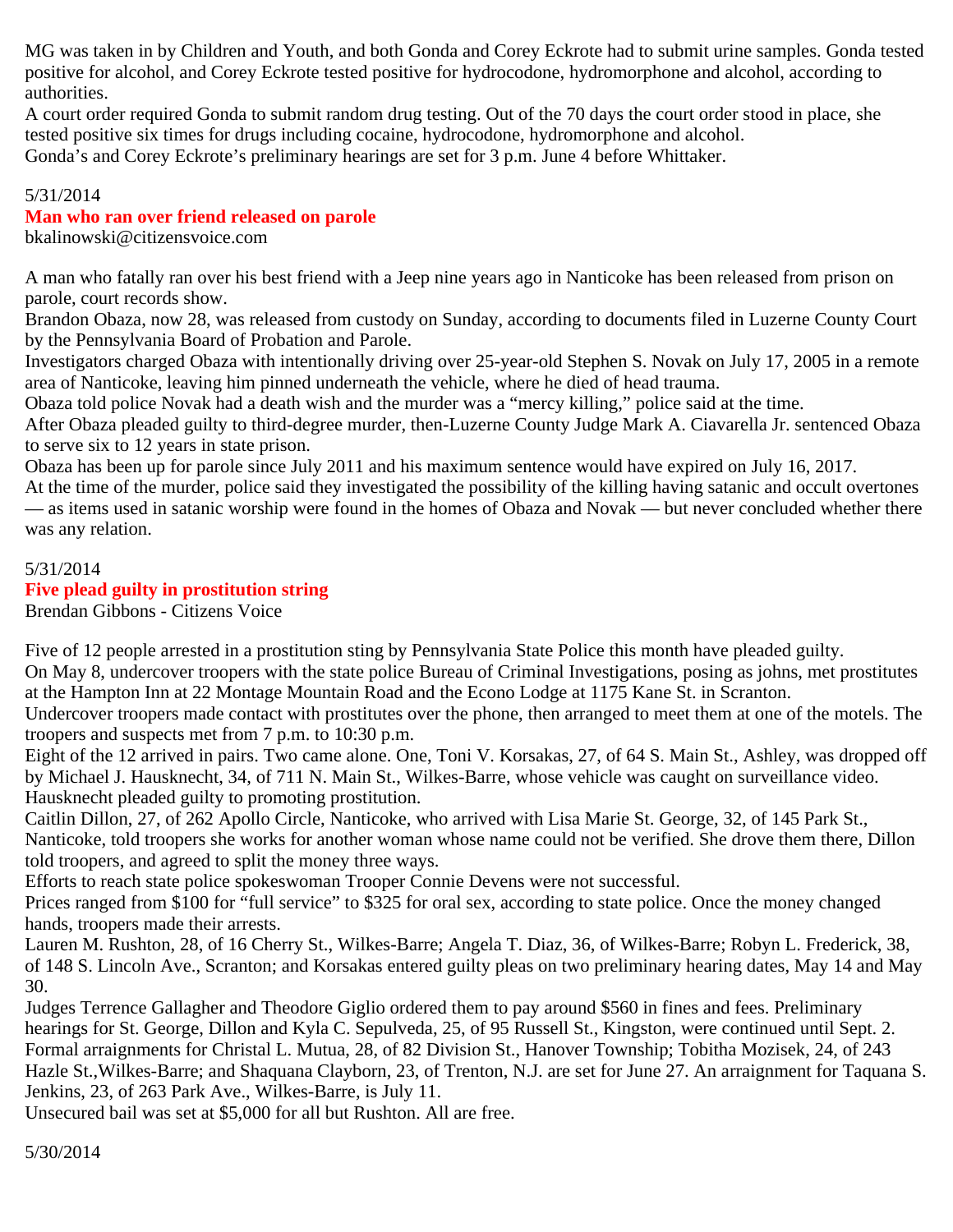MG was taken in by Children and Youth, and both Gonda and Corey Eckrote had to submit urine samples. Gonda tested positive for alcohol, and Corey Eckrote tested positive for hydrocodone, hydromorphone and alcohol, according to authorities.

A court order required Gonda to submit random drug testing. Out of the 70 days the court order stood in place, she tested positive six times for drugs including cocaine, hydrocodone, hydromorphone and alcohol. Gonda's and Corey Eckrote's preliminary hearings are set for 3 p.m. June 4 before Whittaker.

## 5/31/2014

## **Man who ran over friend released on parole**

bkalinowski@citizensvoice.com

A man who fatally ran over his best friend with a Jeep nine years ago in Nanticoke has been released from prison on parole, court records show.

Brandon Obaza, now 28, was released from custody on Sunday, according to documents filed in Luzerne County Court by the Pennsylvania Board of Probation and Parole.

Investigators charged Obaza with intentionally driving over 25-year-old Stephen S. Novak on July 17, 2005 in a remote area of Nanticoke, leaving him pinned underneath the vehicle, where he died of head trauma.

Obaza told police Novak had a death wish and the murder was a "mercy killing," police said at the time.

After Obaza pleaded guilty to third-degree murder, then-Luzerne County Judge Mark A. Ciavarella Jr. sentenced Obaza to serve six to 12 years in state prison.

Obaza has been up for parole since July 2011 and his maximum sentence would have expired on July 16, 2017.

At the time of the murder, police said they investigated the possibility of the killing having satanic and occult overtones — as items used in satanic worship were found in the homes of Obaza and Novak — but never concluded whether there was any relation.

#### 5/31/2014

## **Five plead guilty in prostitution string**

Brendan Gibbons - Citizens Voice

Five of 12 people arrested in a prostitution sting by Pennsylvania State Police this month have pleaded guilty. On May 8, undercover troopers with the state police Bureau of Criminal Investigations, posing as johns, met prostitutes at the Hampton Inn at 22 Montage Mountain Road and the Econo Lodge at 1175 Kane St. in Scranton.

Undercover troopers made contact with prostitutes over the phone, then arranged to meet them at one of the motels. The troopers and suspects met from 7 p.m. to 10:30 p.m.

Eight of the 12 arrived in pairs. Two came alone. One, Toni V. Korsakas, 27, of 64 S. Main St., Ashley, was dropped off by Michael J. Hausknecht, 34, of 711 N. Main St., Wilkes-Barre, whose vehicle was caught on surveillance video. Hausknecht pleaded guilty to promoting prostitution.

Caitlin Dillon, 27, of 262 Apollo Circle, Nanticoke, who arrived with Lisa Marie St. George, 32, of 145 Park St., Nanticoke, told troopers she works for another woman whose name could not be verified. She drove them there, Dillon told troopers, and agreed to split the money three ways.

Efforts to reach state police spokeswoman Trooper Connie Devens were not successful.

Prices ranged from \$100 for "full service" to \$325 for oral sex, according to state police. Once the money changed hands, troopers made their arrests.

Lauren M. Rushton, 28, of 16 Cherry St., Wilkes-Barre; Angela T. Diaz, 36, of Wilkes-Barre; Robyn L. Frederick, 38, of 148 S. Lincoln Ave., Scranton; and Korsakas entered guilty pleas on two preliminary hearing dates, May 14 and May 30.

Judges Terrence Gallagher and Theodore Giglio ordered them to pay around \$560 in fines and fees. Preliminary hearings for St. George, Dillon and Kyla C. Sepulveda, 25, of 95 Russell St., Kingston, were continued until Sept. 2. Formal arraignments for Christal L. Mutua, 28, of 82 Division St., Hanover Township; Tobitha Mozisek, 24, of 243 Hazle St.,Wilkes-Barre; and Shaquana Clayborn, 23, of Trenton, N.J. are set for June 27. An arraignment for Taquana S. Jenkins, 23, of 263 Park Ave., Wilkes-Barre, is July 11.

Unsecured bail was set at \$5,000 for all but Rushton. All are free.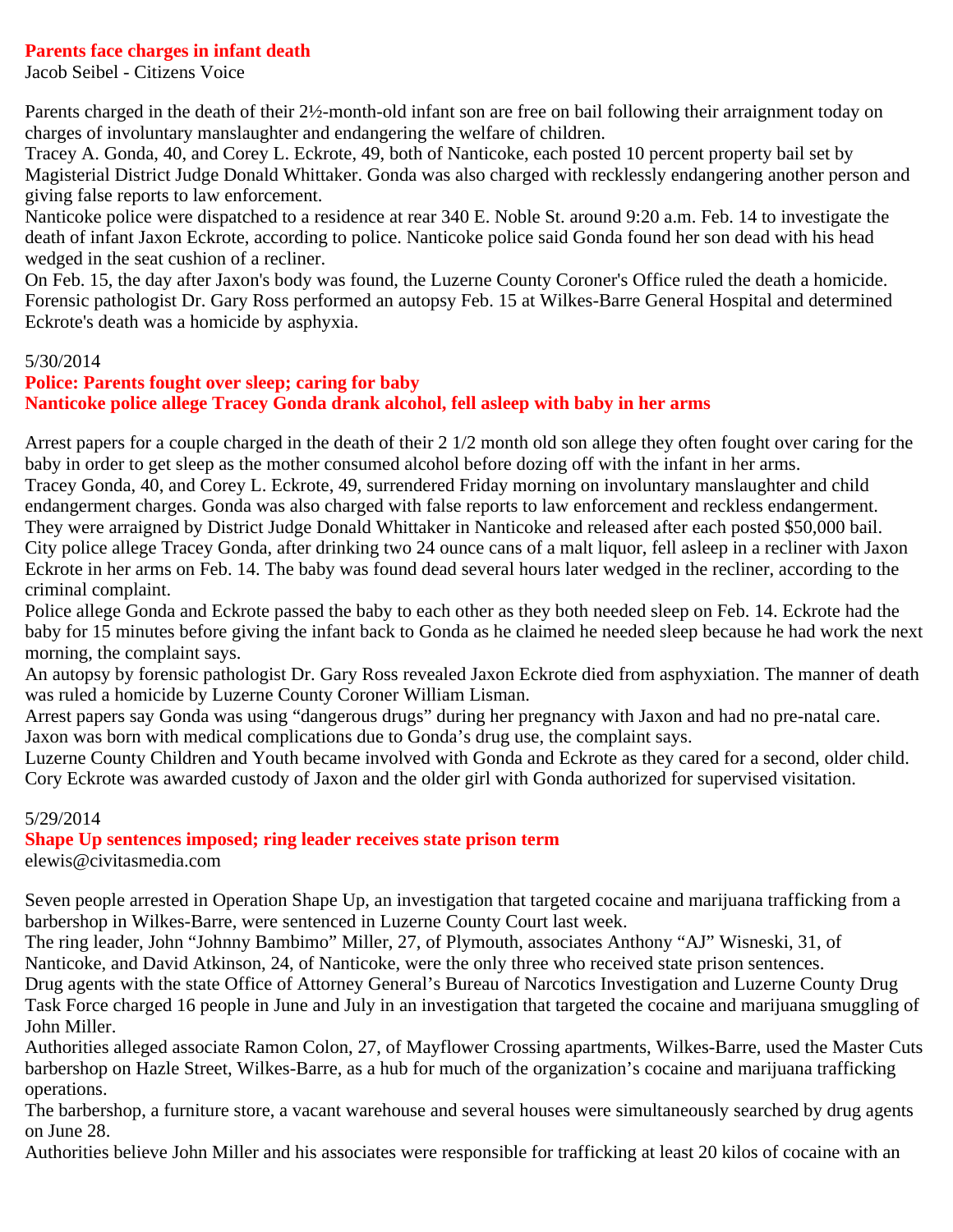#### **Parents face charges in infant death**

Jacob Seibel - Citizens Voice

Parents charged in the death of their 2½-month-old infant son are free on bail following their arraignment today on charges of involuntary manslaughter and endangering the welfare of children.

Tracey A. Gonda, 40, and Corey L. Eckrote, 49, both of Nanticoke, each posted 10 percent property bail set by Magisterial District Judge Donald Whittaker. Gonda was also charged with recklessly endangering another person and giving false reports to law enforcement.

Nanticoke police were dispatched to a residence at rear 340 E. Noble St. around 9:20 a.m. Feb. 14 to investigate the death of infant Jaxon Eckrote, according to police. Nanticoke police said Gonda found her son dead with his head wedged in the seat cushion of a recliner.

On Feb. 15, the day after Jaxon's body was found, the Luzerne County Coroner's Office ruled the death a homicide. Forensic pathologist Dr. Gary Ross performed an autopsy Feb. 15 at Wilkes-Barre General Hospital and determined Eckrote's death was a homicide by asphyxia.

#### 5/30/2014

# **Police: Parents fought over sleep; caring for baby Nanticoke police allege Tracey Gonda drank alcohol, fell asleep with baby in her arms**

Arrest papers for a couple charged in the death of their 2 1/2 month old son allege they often fought over caring for the baby in order to get sleep as the mother consumed alcohol before dozing off with the infant in her arms. Tracey Gonda, 40, and Corey L. Eckrote, 49, surrendered Friday morning on involuntary manslaughter and child endangerment charges. Gonda was also charged with false reports to law enforcement and reckless endangerment. They were arraigned by District Judge Donald Whittaker in Nanticoke and released after each posted \$50,000 bail. City police allege Tracey Gonda, after drinking two 24 ounce cans of a malt liquor, fell asleep in a recliner with Jaxon Eckrote in her arms on Feb. 14. The baby was found dead several hours later wedged in the recliner, according to the criminal complaint.

Police allege Gonda and Eckrote passed the baby to each other as they both needed sleep on Feb. 14. Eckrote had the baby for 15 minutes before giving the infant back to Gonda as he claimed he needed sleep because he had work the next morning, the complaint says.

An autopsy by forensic pathologist Dr. Gary Ross revealed Jaxon Eckrote died from asphyxiation. The manner of death was ruled a homicide by Luzerne County Coroner William Lisman.

Arrest papers say Gonda was using "dangerous drugs" during her pregnancy with Jaxon and had no pre-natal care. Jaxon was born with medical complications due to Gonda's drug use, the complaint says.

Luzerne County Children and Youth became involved with Gonda and Eckrote as they cared for a second, older child. Cory Eckrote was awarded custody of Jaxon and the older girl with Gonda authorized for supervised visitation.

## 5/29/2014

## **Shape Up sentences imposed; ring leader receives state prison term**

elewis@civitasmedia.com

Seven people arrested in Operation Shape Up, an investigation that targeted cocaine and marijuana trafficking from a barbershop in Wilkes-Barre, were sentenced in Luzerne County Court last week.

The ring leader, John "Johnny Bambimo" Miller, 27, of Plymouth, associates Anthony "AJ" Wisneski, 31, of Nanticoke, and David Atkinson, 24, of Nanticoke, were the only three who received state prison sentences.

Drug agents with the state Office of Attorney General's Bureau of Narcotics Investigation and Luzerne County Drug Task Force charged 16 people in June and July in an investigation that targeted the cocaine and marijuana smuggling of John Miller.

Authorities alleged associate Ramon Colon, 27, of Mayflower Crossing apartments, Wilkes-Barre, used the Master Cuts barbershop on Hazle Street, Wilkes-Barre, as a hub for much of the organization's cocaine and marijuana trafficking operations.

The barbershop, a furniture store, a vacant warehouse and several houses were simultaneously searched by drug agents on June 28.

Authorities believe John Miller and his associates were responsible for trafficking at least 20 kilos of cocaine with an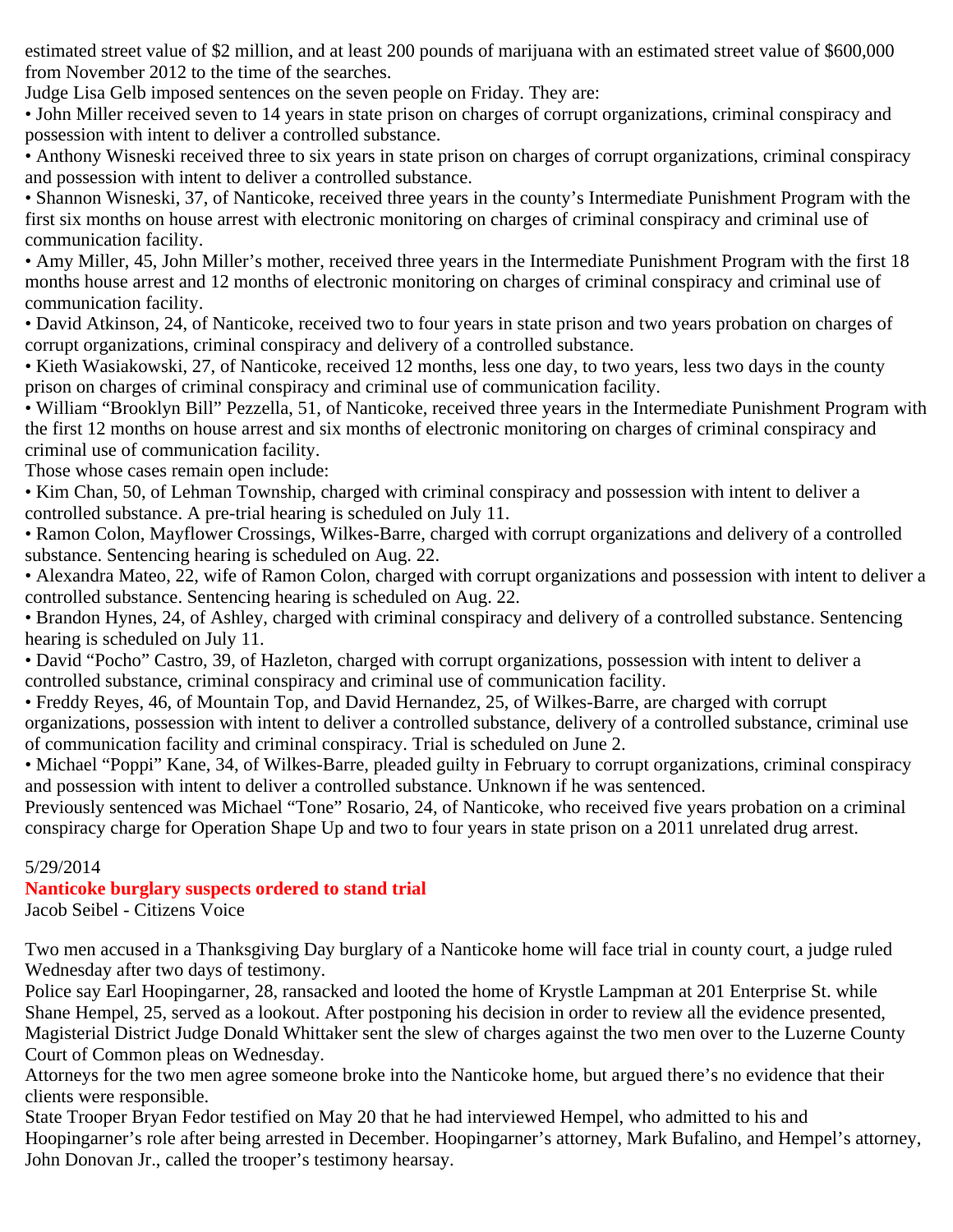estimated street value of \$2 million, and at least 200 pounds of marijuana with an estimated street value of \$600,000 from November 2012 to the time of the searches.

Judge Lisa Gelb imposed sentences on the seven people on Friday. They are:

• John Miller received seven to 14 years in state prison on charges of corrupt organizations, criminal conspiracy and possession with intent to deliver a controlled substance.

• Anthony Wisneski received three to six years in state prison on charges of corrupt organizations, criminal conspiracy and possession with intent to deliver a controlled substance.

• Shannon Wisneski, 37, of Nanticoke, received three years in the county's Intermediate Punishment Program with the first six months on house arrest with electronic monitoring on charges of criminal conspiracy and criminal use of communication facility.

• Amy Miller, 45, John Miller's mother, received three years in the Intermediate Punishment Program with the first 18 months house arrest and 12 months of electronic monitoring on charges of criminal conspiracy and criminal use of communication facility.

• David Atkinson, 24, of Nanticoke, received two to four years in state prison and two years probation on charges of corrupt organizations, criminal conspiracy and delivery of a controlled substance.

• Kieth Wasiakowski, 27, of Nanticoke, received 12 months, less one day, to two years, less two days in the county prison on charges of criminal conspiracy and criminal use of communication facility.

• William "Brooklyn Bill" Pezzella, 51, of Nanticoke, received three years in the Intermediate Punishment Program with the first 12 months on house arrest and six months of electronic monitoring on charges of criminal conspiracy and criminal use of communication facility.

Those whose cases remain open include:

• Kim Chan, 50, of Lehman Township, charged with criminal conspiracy and possession with intent to deliver a controlled substance. A pre-trial hearing is scheduled on July 11.

• Ramon Colon, Mayflower Crossings, Wilkes-Barre, charged with corrupt organizations and delivery of a controlled substance. Sentencing hearing is scheduled on Aug. 22.

• Alexandra Mateo, 22, wife of Ramon Colon, charged with corrupt organizations and possession with intent to deliver a controlled substance. Sentencing hearing is scheduled on Aug. 22.

• Brandon Hynes, 24, of Ashley, charged with criminal conspiracy and delivery of a controlled substance. Sentencing hearing is scheduled on July 11.

• David "Pocho" Castro, 39, of Hazleton, charged with corrupt organizations, possession with intent to deliver a controlled substance, criminal conspiracy and criminal use of communication facility.

• Freddy Reyes, 46, of Mountain Top, and David Hernandez, 25, of Wilkes-Barre, are charged with corrupt organizations, possession with intent to deliver a controlled substance, delivery of a controlled substance, criminal use of communication facility and criminal conspiracy. Trial is scheduled on June 2.

• Michael "Poppi" Kane, 34, of Wilkes-Barre, pleaded guilty in February to corrupt organizations, criminal conspiracy and possession with intent to deliver a controlled substance. Unknown if he was sentenced.

Previously sentenced was Michael "Tone" Rosario, 24, of Nanticoke, who received five years probation on a criminal conspiracy charge for Operation Shape Up and two to four years in state prison on a 2011 unrelated drug arrest.

## 5/29/2014

# **Nanticoke burglary suspects ordered to stand trial**

Jacob Seibel - Citizens Voice

Two men accused in a Thanksgiving Day burglary of a Nanticoke home will face trial in county court, a judge ruled Wednesday after two days of testimony.

Police say Earl Hoopingarner, 28, ransacked and looted the home of Krystle Lampman at 201 Enterprise St. while Shane Hempel, 25, served as a lookout. After postponing his decision in order to review all the evidence presented, Magisterial District Judge Donald Whittaker sent the slew of charges against the two men over to the Luzerne County Court of Common pleas on Wednesday.

Attorneys for the two men agree someone broke into the Nanticoke home, but argued there's no evidence that their clients were responsible.

State Trooper Bryan Fedor testified on May 20 that he had interviewed Hempel, who admitted to his and Hoopingarner's role after being arrested in December. Hoopingarner's attorney, Mark Bufalino, and Hempel's attorney, John Donovan Jr., called the trooper's testimony hearsay.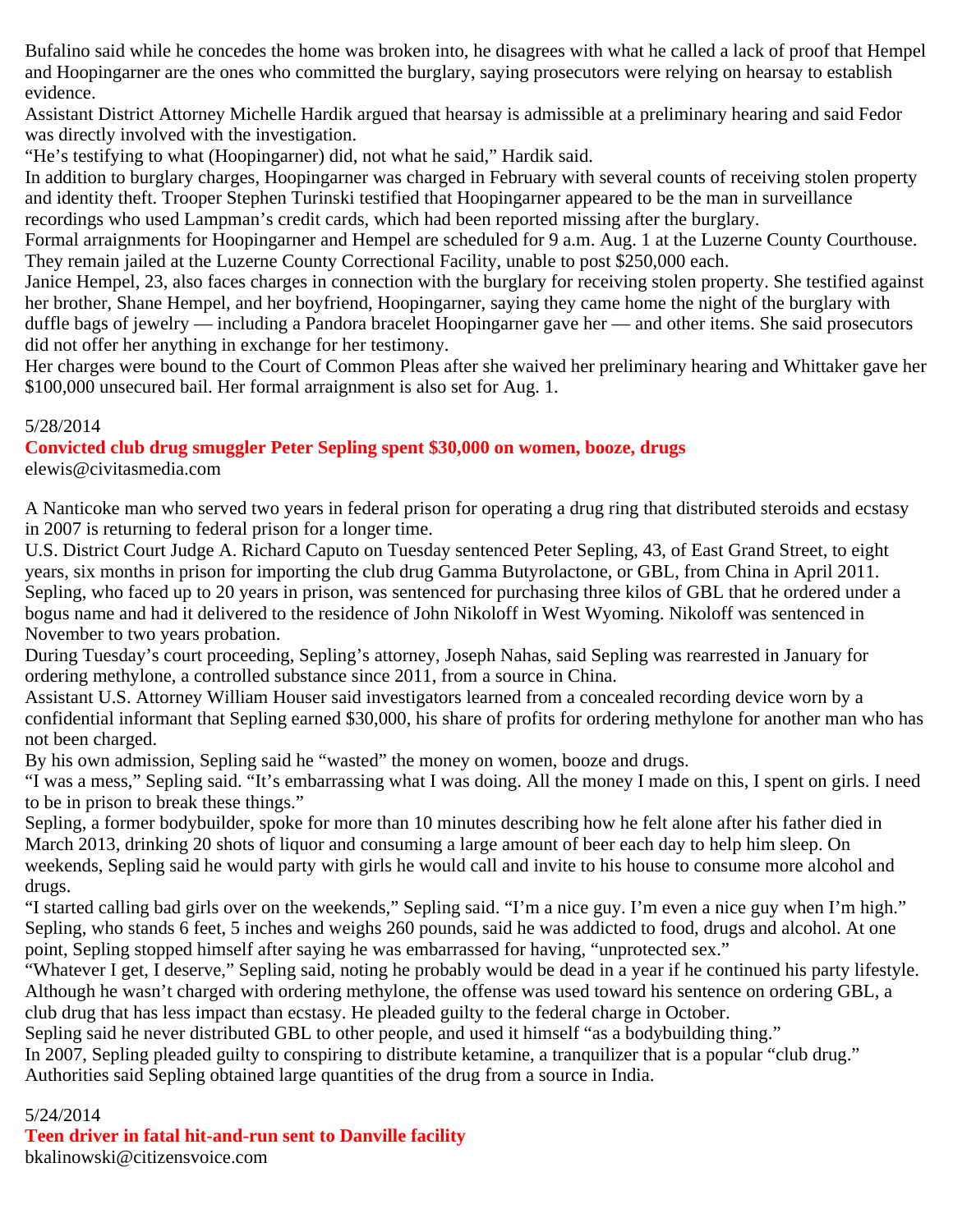Bufalino said while he concedes the home was broken into, he disagrees with what he called a lack of proof that Hempel and Hoopingarner are the ones who committed the burglary, saying prosecutors were relying on hearsay to establish evidence.

Assistant District Attorney Michelle Hardik argued that hearsay is admissible at a preliminary hearing and said Fedor was directly involved with the investigation.

"He's testifying to what (Hoopingarner) did, not what he said," Hardik said.

In addition to burglary charges, Hoopingarner was charged in February with several counts of receiving stolen property and identity theft. Trooper Stephen Turinski testified that Hoopingarner appeared to be the man in surveillance recordings who used Lampman's credit cards, which had been reported missing after the burglary.

Formal arraignments for Hoopingarner and Hempel are scheduled for 9 a.m. Aug. 1 at the Luzerne County Courthouse. They remain jailed at the Luzerne County Correctional Facility, unable to post \$250,000 each.

Janice Hempel, 23, also faces charges in connection with the burglary for receiving stolen property. She testified against her brother, Shane Hempel, and her boyfriend, Hoopingarner, saying they came home the night of the burglary with duffle bags of jewelry — including a Pandora bracelet Hoopingarner gave her — and other items. She said prosecutors did not offer her anything in exchange for her testimony.

Her charges were bound to the Court of Common Pleas after she waived her preliminary hearing and Whittaker gave her \$100,000 unsecured bail. Her formal arraignment is also set for Aug. 1.

## 5/28/2014

**Convicted club drug smuggler Peter Sepling spent \$30,000 on women, booze, drugs**

elewis@civitasmedia.com

A Nanticoke man who served two years in federal prison for operating a drug ring that distributed steroids and ecstasy in 2007 is returning to federal prison for a longer time.

U.S. District Court Judge A. Richard Caputo on Tuesday sentenced Peter Sepling, 43, of East Grand Street, to eight years, six months in prison for importing the club drug Gamma Butyrolactone, or GBL, from China in April 2011. Sepling, who faced up to 20 years in prison, was sentenced for purchasing three kilos of GBL that he ordered under a bogus name and had it delivered to the residence of John Nikoloff in West Wyoming. Nikoloff was sentenced in November to two years probation.

During Tuesday's court proceeding, Sepling's attorney, Joseph Nahas, said Sepling was rearrested in January for ordering methylone, a controlled substance since 2011, from a source in China.

Assistant U.S. Attorney William Houser said investigators learned from a concealed recording device worn by a confidential informant that Sepling earned \$30,000, his share of profits for ordering methylone for another man who has not been charged.

By his own admission, Sepling said he "wasted" the money on women, booze and drugs.

"I was a mess," Sepling said. "It's embarrassing what I was doing. All the money I made on this, I spent on girls. I need to be in prison to break these things."

Sepling, a former bodybuilder, spoke for more than 10 minutes describing how he felt alone after his father died in March 2013, drinking 20 shots of liquor and consuming a large amount of beer each day to help him sleep. On weekends, Sepling said he would party with girls he would call and invite to his house to consume more alcohol and drugs.

"I started calling bad girls over on the weekends," Sepling said. "I'm a nice guy. I'm even a nice guy when I'm high." Sepling, who stands 6 feet, 5 inches and weighs 260 pounds, said he was addicted to food, drugs and alcohol. At one point, Sepling stopped himself after saying he was embarrassed for having, "unprotected sex."

"Whatever I get, I deserve," Sepling said, noting he probably would be dead in a year if he continued his party lifestyle. Although he wasn't charged with ordering methylone, the offense was used toward his sentence on ordering GBL, a club drug that has less impact than ecstasy. He pleaded guilty to the federal charge in October.

Sepling said he never distributed GBL to other people, and used it himself "as a bodybuilding thing."

In 2007, Sepling pleaded guilty to conspiring to distribute ketamine, a tranquilizer that is a popular "club drug." Authorities said Sepling obtained large quantities of the drug from a source in India.

#### 5/24/2014

## **Teen driver in fatal hit-and-run sent to Danville facility**

bkalinowski@citizensvoice.com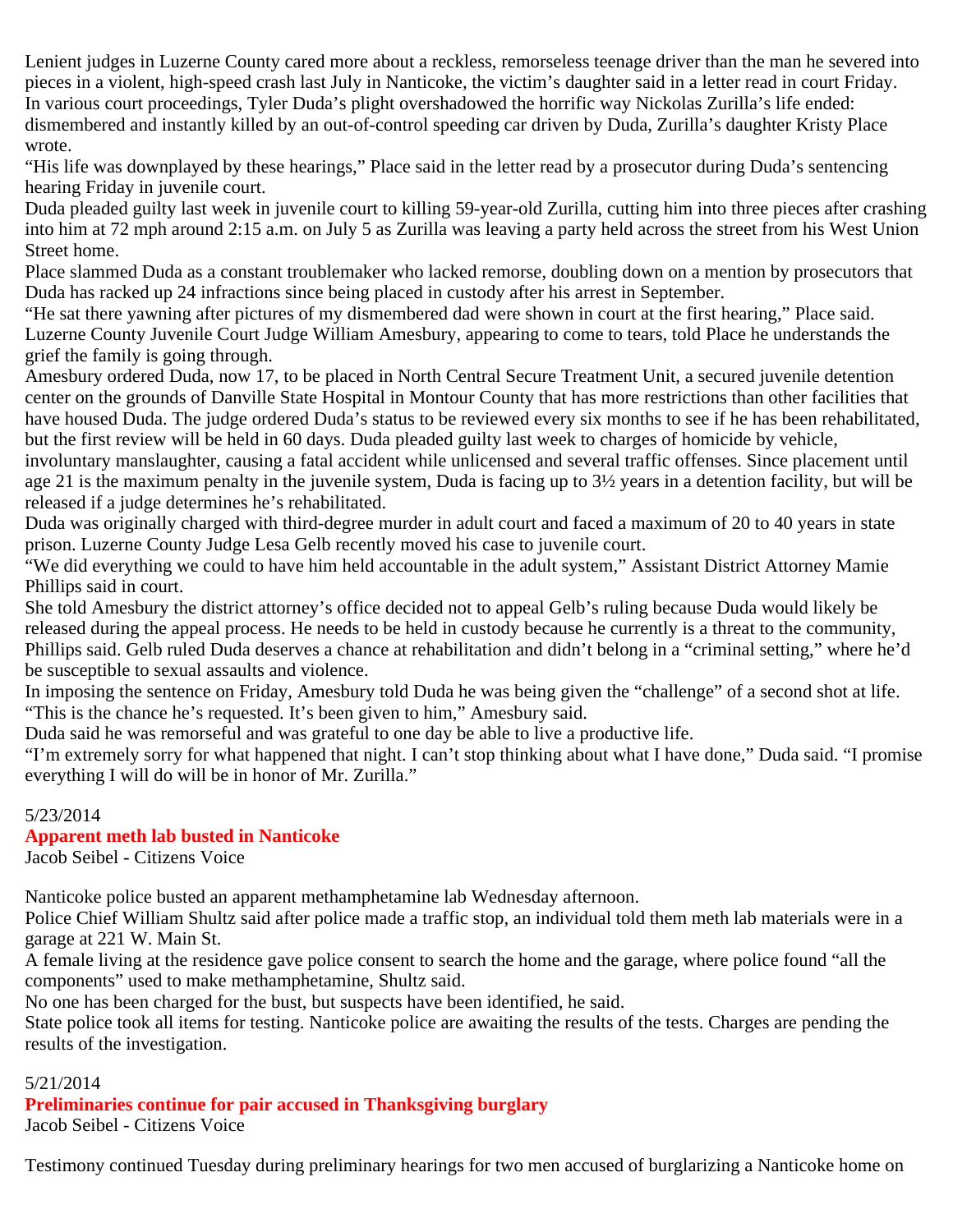Lenient judges in Luzerne County cared more about a reckless, remorseless teenage driver than the man he severed into pieces in a violent, high-speed crash last July in Nanticoke, the victim's daughter said in a letter read in court Friday. In various court proceedings, Tyler Duda's plight overshadowed the horrific way Nickolas Zurilla's life ended: dismembered and instantly killed by an out-of-control speeding car driven by Duda, Zurilla's daughter Kristy Place wrote.

"His life was downplayed by these hearings," Place said in the letter read by a prosecutor during Duda's sentencing hearing Friday in juvenile court.

Duda pleaded guilty last week in juvenile court to killing 59-year-old Zurilla, cutting him into three pieces after crashing into him at 72 mph around 2:15 a.m. on July 5 as Zurilla was leaving a party held across the street from his West Union Street home.

Place slammed Duda as a constant troublemaker who lacked remorse, doubling down on a mention by prosecutors that Duda has racked up 24 infractions since being placed in custody after his arrest in September.

"He sat there yawning after pictures of my dismembered dad were shown in court at the first hearing," Place said. Luzerne County Juvenile Court Judge William Amesbury, appearing to come to tears, told Place he understands the grief the family is going through.

Amesbury ordered Duda, now 17, to be placed in North Central Secure Treatment Unit, a secured juvenile detention center on the grounds of Danville State Hospital in Montour County that has more restrictions than other facilities that have housed Duda. The judge ordered Duda's status to be reviewed every six months to see if he has been rehabilitated, but the first review will be held in 60 days. Duda pleaded guilty last week to charges of homicide by vehicle,

involuntary manslaughter, causing a fatal accident while unlicensed and several traffic offenses. Since placement until age 21 is the maximum penalty in the juvenile system, Duda is facing up to  $3\frac{1}{2}$  years in a detention facility, but will be released if a judge determines he's rehabilitated.

Duda was originally charged with third-degree murder in adult court and faced a maximum of 20 to 40 years in state prison. Luzerne County Judge Lesa Gelb recently moved his case to juvenile court.

"We did everything we could to have him held accountable in the adult system," Assistant District Attorney Mamie Phillips said in court.

She told Amesbury the district attorney's office decided not to appeal Gelb's ruling because Duda would likely be released during the appeal process. He needs to be held in custody because he currently is a threat to the community, Phillips said. Gelb ruled Duda deserves a chance at rehabilitation and didn't belong in a "criminal setting," where he'd be susceptible to sexual assaults and violence.

In imposing the sentence on Friday, Amesbury told Duda he was being given the "challenge" of a second shot at life. "This is the chance he's requested. It's been given to him," Amesbury said.

Duda said he was remorseful and was grateful to one day be able to live a productive life.

"I'm extremely sorry for what happened that night. I can't stop thinking about what I have done," Duda said. "I promise everything I will do will be in honor of Mr. Zurilla."

## 5/23/2014

## **Apparent meth lab busted in Nanticoke**

Jacob Seibel - Citizens Voice

Nanticoke police busted an apparent methamphetamine lab Wednesday afternoon.

Police Chief William Shultz said after police made a traffic stop, an individual told them meth lab materials were in a garage at 221 W. Main St.

A female living at the residence gave police consent to search the home and the garage, where police found "all the components" used to make methamphetamine, Shultz said.

No one has been charged for the bust, but suspects have been identified, he said.

State police took all items for testing. Nanticoke police are awaiting the results of the tests. Charges are pending the results of the investigation.

## 5/21/2014

**Preliminaries continue for pair accused in Thanksgiving burglary** Jacob Seibel - Citizens Voice

Testimony continued Tuesday during preliminary hearings for two men accused of burglarizing a Nanticoke home on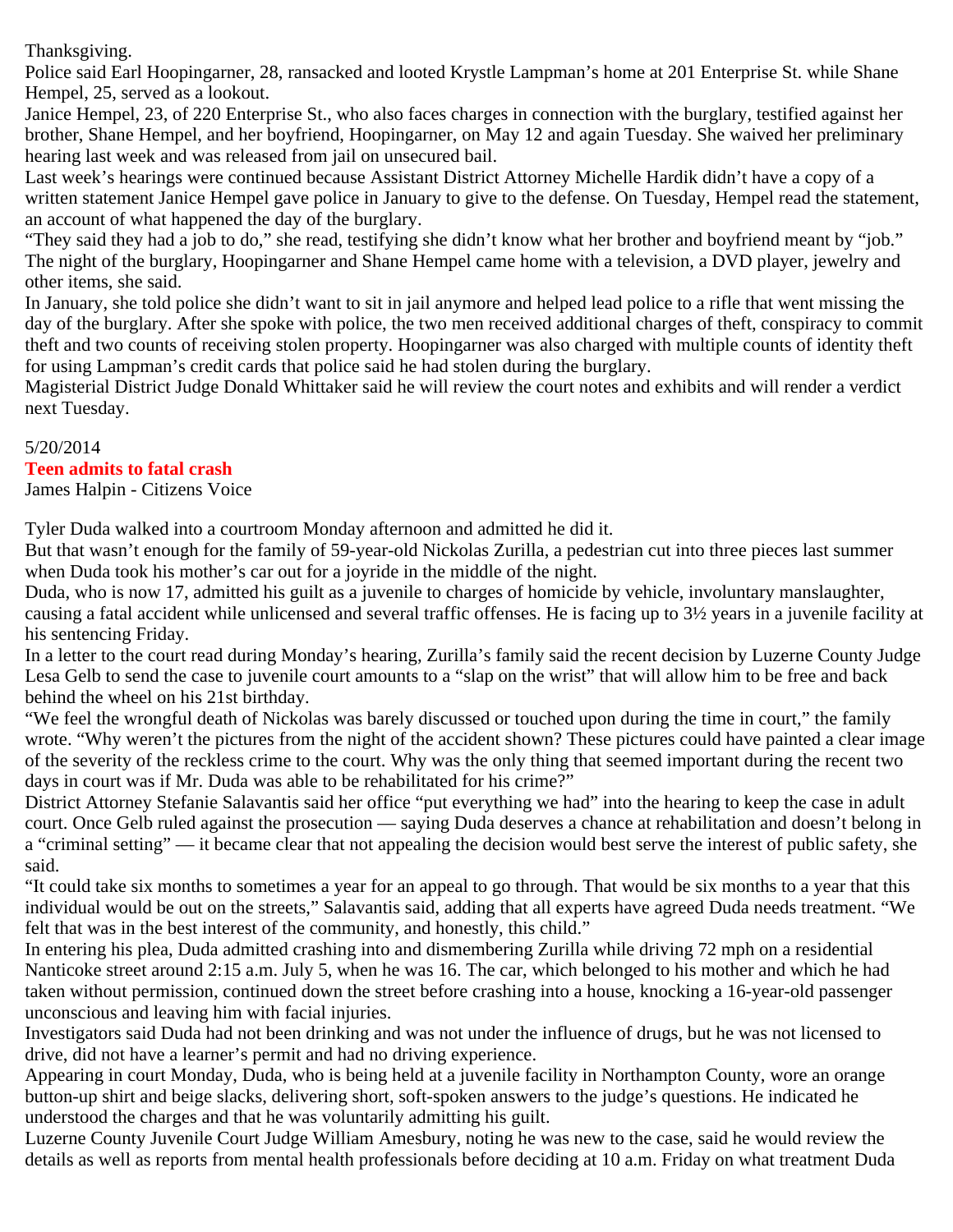Thanksgiving.

Police said Earl Hoopingarner, 28, ransacked and looted Krystle Lampman's home at 201 Enterprise St. while Shane Hempel, 25, served as a lookout.

Janice Hempel, 23, of 220 Enterprise St., who also faces charges in connection with the burglary, testified against her brother, Shane Hempel, and her boyfriend, Hoopingarner, on May 12 and again Tuesday. She waived her preliminary hearing last week and was released from jail on unsecured bail.

Last week's hearings were continued because Assistant District Attorney Michelle Hardik didn't have a copy of a written statement Janice Hempel gave police in January to give to the defense. On Tuesday, Hempel read the statement, an account of what happened the day of the burglary.

"They said they had a job to do," she read, testifying she didn't know what her brother and boyfriend meant by "job." The night of the burglary, Hoopingarner and Shane Hempel came home with a television, a DVD player, jewelry and other items, she said.

In January, she told police she didn't want to sit in jail anymore and helped lead police to a rifle that went missing the day of the burglary. After she spoke with police, the two men received additional charges of theft, conspiracy to commit theft and two counts of receiving stolen property. Hoopingarner was also charged with multiple counts of identity theft for using Lampman's credit cards that police said he had stolen during the burglary.

Magisterial District Judge Donald Whittaker said he will review the court notes and exhibits and will render a verdict next Tuesday.

#### 5/20/2014

## **Teen admits to fatal crash**

James Halpin - Citizens Voice

Tyler Duda walked into a courtroom Monday afternoon and admitted he did it.

But that wasn't enough for the family of 59-year-old Nickolas Zurilla, a pedestrian cut into three pieces last summer when Duda took his mother's car out for a joyride in the middle of the night.

Duda, who is now 17, admitted his guilt as a juvenile to charges of homicide by vehicle, involuntary manslaughter, causing a fatal accident while unlicensed and several traffic offenses. He is facing up to 3½ years in a juvenile facility at his sentencing Friday.

In a letter to the court read during Monday's hearing, Zurilla's family said the recent decision by Luzerne County Judge Lesa Gelb to send the case to juvenile court amounts to a "slap on the wrist" that will allow him to be free and back behind the wheel on his 21st birthday.

"We feel the wrongful death of Nickolas was barely discussed or touched upon during the time in court," the family wrote. "Why weren't the pictures from the night of the accident shown? These pictures could have painted a clear image of the severity of the reckless crime to the court. Why was the only thing that seemed important during the recent two days in court was if Mr. Duda was able to be rehabilitated for his crime?"

District Attorney Stefanie Salavantis said her office "put everything we had" into the hearing to keep the case in adult court. Once Gelb ruled against the prosecution — saying Duda deserves a chance at rehabilitation and doesn't belong in a "criminal setting" — it became clear that not appealing the decision would best serve the interest of public safety, she said.

"It could take six months to sometimes a year for an appeal to go through. That would be six months to a year that this individual would be out on the streets," Salavantis said, adding that all experts have agreed Duda needs treatment. "We felt that was in the best interest of the community, and honestly, this child."

In entering his plea, Duda admitted crashing into and dismembering Zurilla while driving 72 mph on a residential Nanticoke street around 2:15 a.m. July 5, when he was 16. The car, which belonged to his mother and which he had taken without permission, continued down the street before crashing into a house, knocking a 16-year-old passenger unconscious and leaving him with facial injuries.

Investigators said Duda had not been drinking and was not under the influence of drugs, but he was not licensed to drive, did not have a learner's permit and had no driving experience.

Appearing in court Monday, Duda, who is being held at a juvenile facility in Northampton County, wore an orange button-up shirt and beige slacks, delivering short, soft-spoken answers to the judge's questions. He indicated he understood the charges and that he was voluntarily admitting his guilt.

Luzerne County Juvenile Court Judge William Amesbury, noting he was new to the case, said he would review the details as well as reports from mental health professionals before deciding at 10 a.m. Friday on what treatment Duda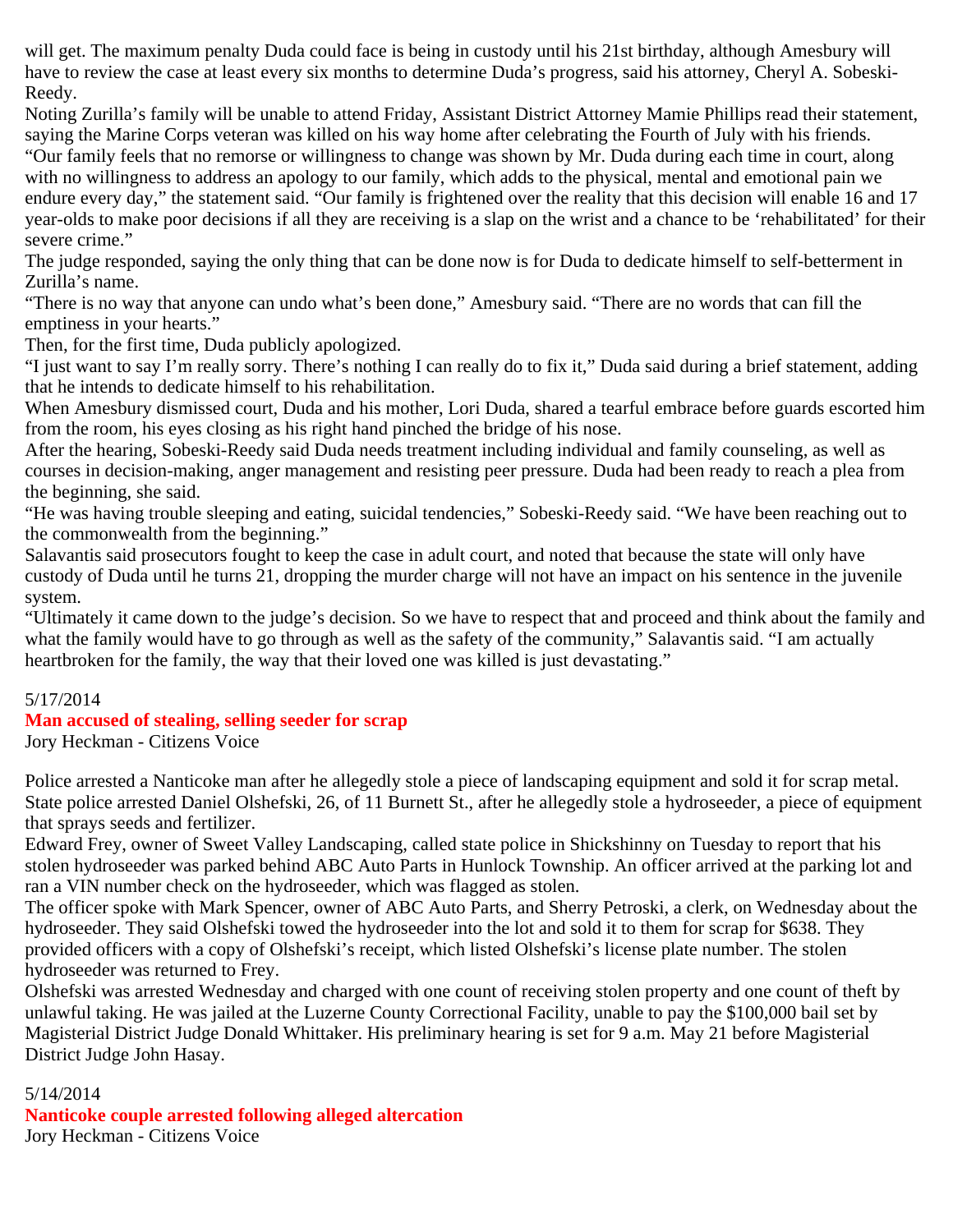will get. The maximum penalty Duda could face is being in custody until his 21st birthday, although Amesbury will have to review the case at least every six months to determine Duda's progress, said his attorney, Cheryl A. Sobeski-Reedy.

Noting Zurilla's family will be unable to attend Friday, Assistant District Attorney Mamie Phillips read their statement, saying the Marine Corps veteran was killed on his way home after celebrating the Fourth of July with his friends. "Our family feels that no remorse or willingness to change was shown by Mr. Duda during each time in court, along with no willingness to address an apology to our family, which adds to the physical, mental and emotional pain we endure every day," the statement said. "Our family is frightened over the reality that this decision will enable 16 and 17 year-olds to make poor decisions if all they are receiving is a slap on the wrist and a chance to be 'rehabilitated' for their severe crime."

The judge responded, saying the only thing that can be done now is for Duda to dedicate himself to self-betterment in Zurilla's name.

"There is no way that anyone can undo what's been done," Amesbury said. "There are no words that can fill the emptiness in your hearts."

Then, for the first time, Duda publicly apologized.

"I just want to say I'm really sorry. There's nothing I can really do to fix it," Duda said during a brief statement, adding that he intends to dedicate himself to his rehabilitation.

When Amesbury dismissed court, Duda and his mother, Lori Duda, shared a tearful embrace before guards escorted him from the room, his eyes closing as his right hand pinched the bridge of his nose.

After the hearing, Sobeski-Reedy said Duda needs treatment including individual and family counseling, as well as courses in decision-making, anger management and resisting peer pressure. Duda had been ready to reach a plea from the beginning, she said.

"He was having trouble sleeping and eating, suicidal tendencies," Sobeski-Reedy said. "We have been reaching out to the commonwealth from the beginning."

Salavantis said prosecutors fought to keep the case in adult court, and noted that because the state will only have custody of Duda until he turns 21, dropping the murder charge will not have an impact on his sentence in the juvenile system.

"Ultimately it came down to the judge's decision. So we have to respect that and proceed and think about the family and what the family would have to go through as well as the safety of the community," Salavantis said. "I am actually heartbroken for the family, the way that their loved one was killed is just devastating."

## 5/17/2014

## **Man accused of stealing, selling seeder for scrap**

Jory Heckman - Citizens Voice

Police arrested a Nanticoke man after he allegedly stole a piece of landscaping equipment and sold it for scrap metal. State police arrested Daniel Olshefski, 26, of 11 Burnett St., after he allegedly stole a hydroseeder, a piece of equipment that sprays seeds and fertilizer.

Edward Frey, owner of Sweet Valley Landscaping, called state police in Shickshinny on Tuesday to report that his stolen hydroseeder was parked behind ABC Auto Parts in Hunlock Township. An officer arrived at the parking lot and ran a VIN number check on the hydroseeder, which was flagged as stolen.

The officer spoke with Mark Spencer, owner of ABC Auto Parts, and Sherry Petroski, a clerk, on Wednesday about the hydroseeder. They said Olshefski towed the hydroseeder into the lot and sold it to them for scrap for \$638. They provided officers with a copy of Olshefski's receipt, which listed Olshefski's license plate number. The stolen hydroseeder was returned to Frey.

Olshefski was arrested Wednesday and charged with one count of receiving stolen property and one count of theft by unlawful taking. He was jailed at the Luzerne County Correctional Facility, unable to pay the \$100,000 bail set by Magisterial District Judge Donald Whittaker. His preliminary hearing is set for 9 a.m. May 21 before Magisterial District Judge John Hasay.

#### 5/14/2014

**Nanticoke couple arrested following alleged altercation** Jory Heckman - Citizens Voice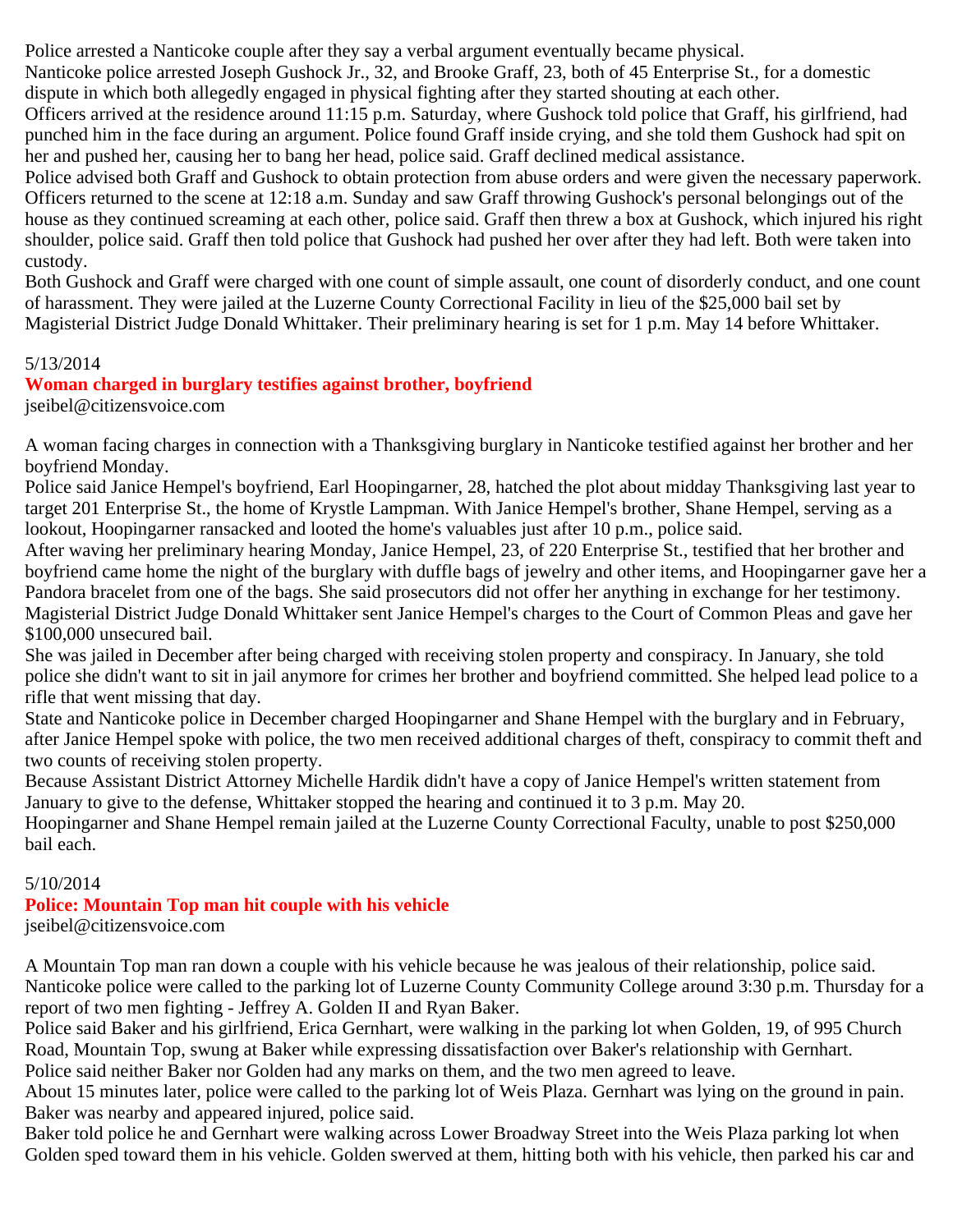Police arrested a Nanticoke couple after they say a verbal argument eventually became physical.

Nanticoke police arrested Joseph Gushock Jr., 32, and Brooke Graff, 23, both of 45 Enterprise St., for a domestic dispute in which both allegedly engaged in physical fighting after they started shouting at each other.

Officers arrived at the residence around 11:15 p.m. Saturday, where Gushock told police that Graff, his girlfriend, had punched him in the face during an argument. Police found Graff inside crying, and she told them Gushock had spit on her and pushed her, causing her to bang her head, police said. Graff declined medical assistance.

Police advised both Graff and Gushock to obtain protection from abuse orders and were given the necessary paperwork. Officers returned to the scene at 12:18 a.m. Sunday and saw Graff throwing Gushock's personal belongings out of the house as they continued screaming at each other, police said. Graff then threw a box at Gushock, which injured his right shoulder, police said. Graff then told police that Gushock had pushed her over after they had left. Both were taken into custody.

Both Gushock and Graff were charged with one count of simple assault, one count of disorderly conduct, and one count of harassment. They were jailed at the Luzerne County Correctional Facility in lieu of the \$25,000 bail set by Magisterial District Judge Donald Whittaker. Their preliminary hearing is set for 1 p.m. May 14 before Whittaker.

# 5/13/2014

# **Woman charged in burglary testifies against brother, boyfriend**

jseibel@citizensvoice.com

A woman facing charges in connection with a Thanksgiving burglary in Nanticoke testified against her brother and her boyfriend Monday.

Police said Janice Hempel's boyfriend, Earl Hoopingarner, 28, hatched the plot about midday Thanksgiving last year to target 201 Enterprise St., the home of Krystle Lampman. With Janice Hempel's brother, Shane Hempel, serving as a lookout, Hoopingarner ransacked and looted the home's valuables just after 10 p.m., police said.

After waving her preliminary hearing Monday, Janice Hempel, 23, of 220 Enterprise St., testified that her brother and boyfriend came home the night of the burglary with duffle bags of jewelry and other items, and Hoopingarner gave her a Pandora bracelet from one of the bags. She said prosecutors did not offer her anything in exchange for her testimony. Magisterial District Judge Donald Whittaker sent Janice Hempel's charges to the Court of Common Pleas and gave her \$100,000 unsecured bail.

She was jailed in December after being charged with receiving stolen property and conspiracy. In January, she told police she didn't want to sit in jail anymore for crimes her brother and boyfriend committed. She helped lead police to a rifle that went missing that day.

State and Nanticoke police in December charged Hoopingarner and Shane Hempel with the burglary and in February, after Janice Hempel spoke with police, the two men received additional charges of theft, conspiracy to commit theft and two counts of receiving stolen property.

Because Assistant District Attorney Michelle Hardik didn't have a copy of Janice Hempel's written statement from January to give to the defense, Whittaker stopped the hearing and continued it to 3 p.m. May 20.

Hoopingarner and Shane Hempel remain jailed at the Luzerne County Correctional Faculty, unable to post \$250,000 bail each.

# 5/10/2014

#### **Police: Mountain Top man hit couple with his vehicle** jseibel@citizensvoice.com

A Mountain Top man ran down a couple with his vehicle because he was jealous of their relationship, police said. Nanticoke police were called to the parking lot of Luzerne County Community College around 3:30 p.m. Thursday for a report of two men fighting - Jeffrey A. Golden II and Ryan Baker.

Police said Baker and his girlfriend, Erica Gernhart, were walking in the parking lot when Golden, 19, of 995 Church Road, Mountain Top, swung at Baker while expressing dissatisfaction over Baker's relationship with Gernhart. Police said neither Baker nor Golden had any marks on them, and the two men agreed to leave.

About 15 minutes later, police were called to the parking lot of Weis Plaza. Gernhart was lying on the ground in pain. Baker was nearby and appeared injured, police said.

Baker told police he and Gernhart were walking across Lower Broadway Street into the Weis Plaza parking lot when Golden sped toward them in his vehicle. Golden swerved at them, hitting both with his vehicle, then parked his car and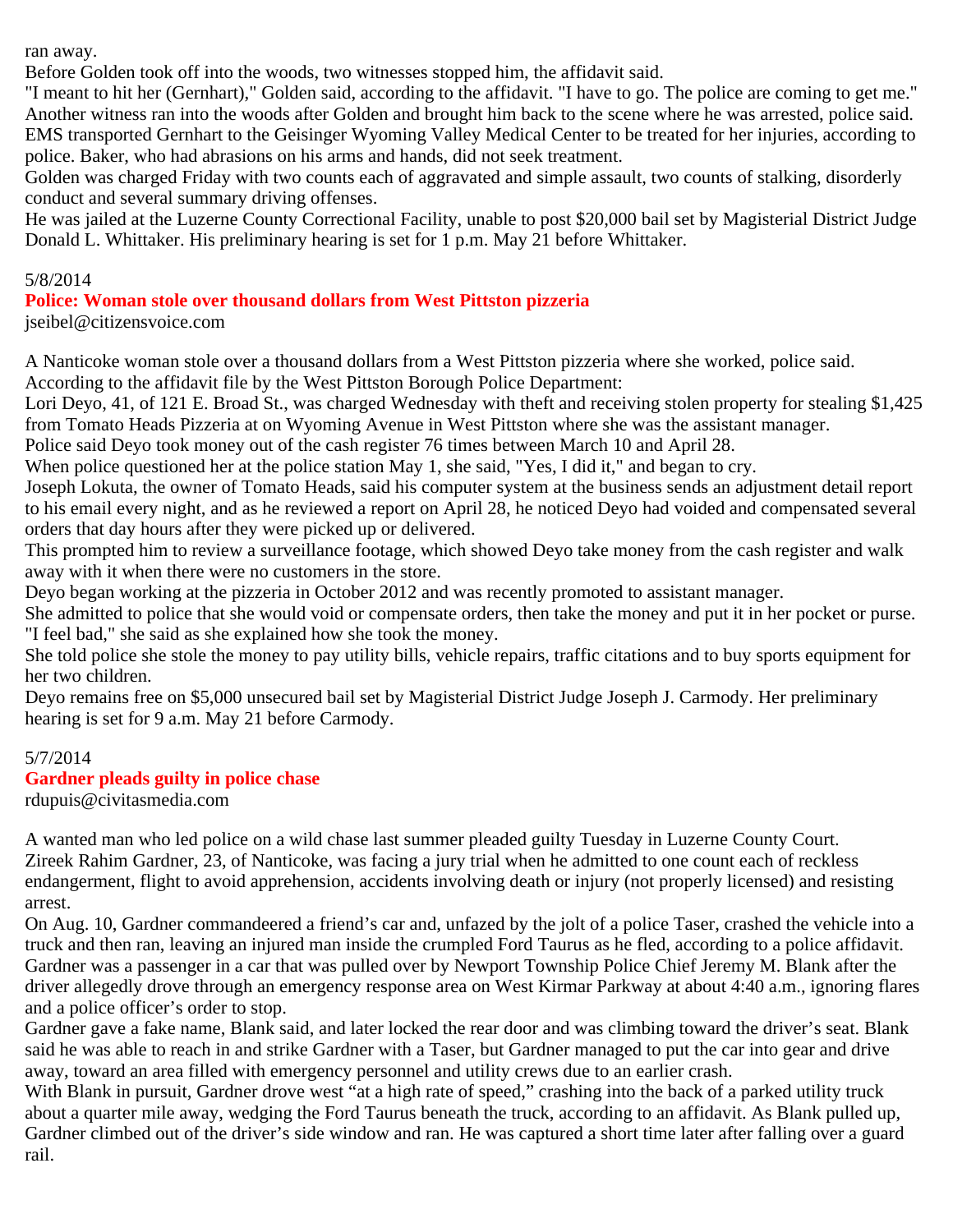ran away.

Before Golden took off into the woods, two witnesses stopped him, the affidavit said.

"I meant to hit her (Gernhart)," Golden said, according to the affidavit. "I have to go. The police are coming to get me." Another witness ran into the woods after Golden and brought him back to the scene where he was arrested, police said. EMS transported Gernhart to the Geisinger Wyoming Valley Medical Center to be treated for her injuries, according to police. Baker, who had abrasions on his arms and hands, did not seek treatment.

Golden was charged Friday with two counts each of aggravated and simple assault, two counts of stalking, disorderly conduct and several summary driving offenses.

He was jailed at the Luzerne County Correctional Facility, unable to post \$20,000 bail set by Magisterial District Judge Donald L. Whittaker. His preliminary hearing is set for 1 p.m. May 21 before Whittaker.

#### 5/8/2014

**Police: Woman stole over thousand dollars from West Pittston pizzeria**

jseibel@citizensvoice.com

A Nanticoke woman stole over a thousand dollars from a West Pittston pizzeria where she worked, police said. According to the affidavit file by the West Pittston Borough Police Department:

Lori Deyo, 41, of 121 E. Broad St., was charged Wednesday with theft and receiving stolen property for stealing \$1,425 from Tomato Heads Pizzeria at on Wyoming Avenue in West Pittston where she was the assistant manager.

Police said Deyo took money out of the cash register 76 times between March 10 and April 28.

When police questioned her at the police station May 1, she said, "Yes, I did it," and began to cry.

Joseph Lokuta, the owner of Tomato Heads, said his computer system at the business sends an adjustment detail report to his email every night, and as he reviewed a report on April 28, he noticed Deyo had voided and compensated several orders that day hours after they were picked up or delivered.

This prompted him to review a surveillance footage, which showed Deyo take money from the cash register and walk away with it when there were no customers in the store.

Deyo began working at the pizzeria in October 2012 and was recently promoted to assistant manager.

She admitted to police that she would void or compensate orders, then take the money and put it in her pocket or purse. "I feel bad," she said as she explained how she took the money.

She told police she stole the money to pay utility bills, vehicle repairs, traffic citations and to buy sports equipment for her two children.

Deyo remains free on \$5,000 unsecured bail set by Magisterial District Judge Joseph J. Carmody. Her preliminary hearing is set for 9 a.m. May 21 before Carmody.

## 5/7/2014

## **Gardner pleads guilty in police chase**

rdupuis@civitasmedia.com

A wanted man who led police on a wild chase last summer pleaded guilty Tuesday in Luzerne County Court. Zireek Rahim Gardner, 23, of Nanticoke, was facing a jury trial when he admitted to one count each of reckless endangerment, flight to avoid apprehension, accidents involving death or injury (not properly licensed) and resisting arrest.

On Aug. 10, Gardner commandeered a friend's car and, unfazed by the jolt of a police Taser, crashed the vehicle into a truck and then ran, leaving an injured man inside the crumpled Ford Taurus as he fled, according to a police affidavit. Gardner was a passenger in a car that was pulled over by Newport Township Police Chief Jeremy M. Blank after the driver allegedly drove through an emergency response area on West Kirmar Parkway at about 4:40 a.m., ignoring flares and a police officer's order to stop.

Gardner gave a fake name, Blank said, and later locked the rear door and was climbing toward the driver's seat. Blank said he was able to reach in and strike Gardner with a Taser, but Gardner managed to put the car into gear and drive away, toward an area filled with emergency personnel and utility crews due to an earlier crash.

With Blank in pursuit, Gardner drove west "at a high rate of speed," crashing into the back of a parked utility truck about a quarter mile away, wedging the Ford Taurus beneath the truck, according to an affidavit. As Blank pulled up, Gardner climbed out of the driver's side window and ran. He was captured a short time later after falling over a guard rail.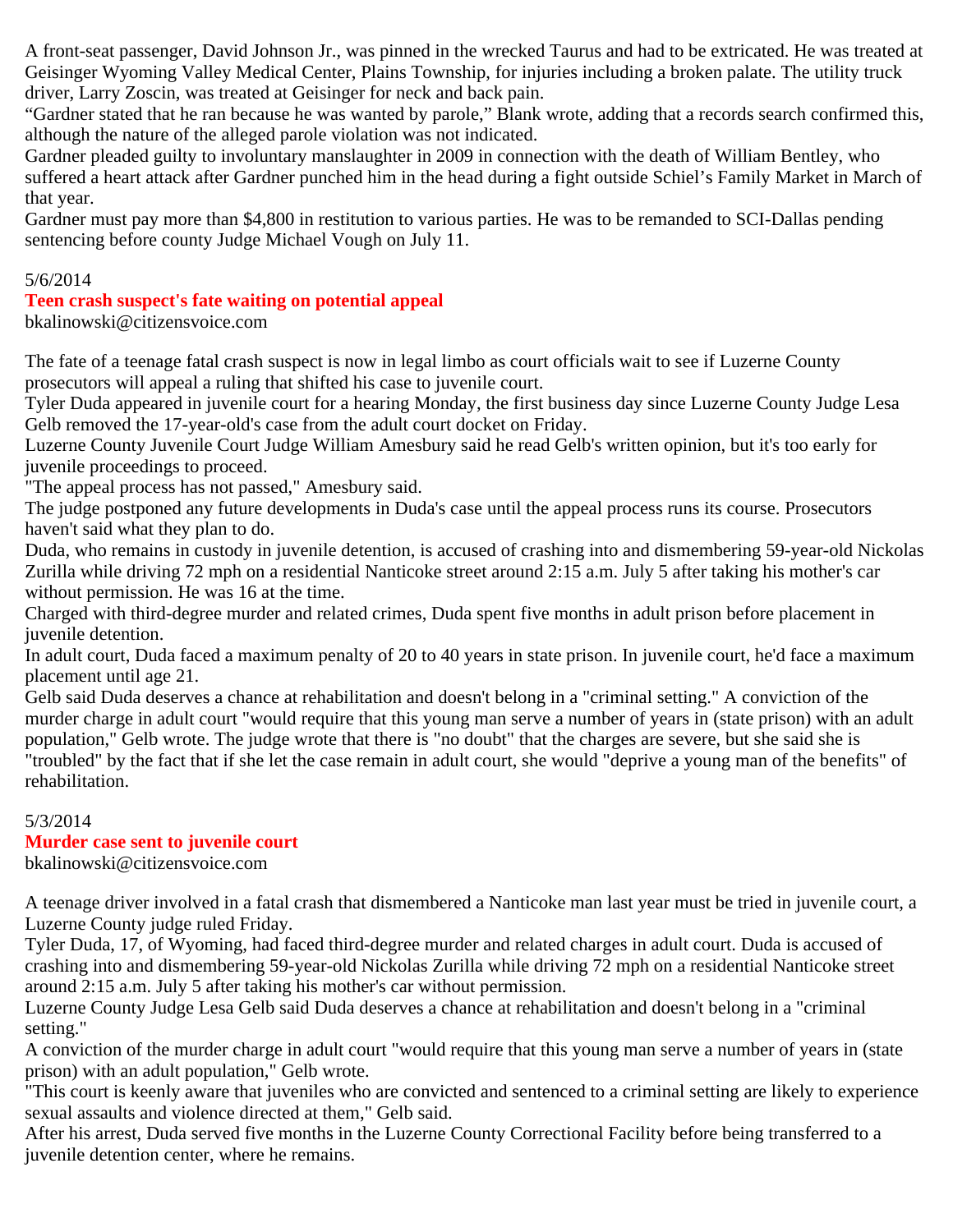A front-seat passenger, David Johnson Jr., was pinned in the wrecked Taurus and had to be extricated. He was treated at Geisinger Wyoming Valley Medical Center, Plains Township, for injuries including a broken palate. The utility truck driver, Larry Zoscin, was treated at Geisinger for neck and back pain.

"Gardner stated that he ran because he was wanted by parole," Blank wrote, adding that a records search confirmed this, although the nature of the alleged parole violation was not indicated.

Gardner pleaded guilty to involuntary manslaughter in 2009 in connection with the death of William Bentley, who suffered a heart attack after Gardner punched him in the head during a fight outside Schiel's Family Market in March of that year.

Gardner must pay more than \$4,800 in restitution to various parties. He was to be remanded to SCI-Dallas pending sentencing before county Judge Michael Vough on July 11.

## 5/6/2014

# **Teen crash suspect's fate waiting on potential appeal**

bkalinowski@citizensvoice.com

The fate of a teenage fatal crash suspect is now in legal limbo as court officials wait to see if Luzerne County prosecutors will appeal a ruling that shifted his case to juvenile court.

Tyler Duda appeared in juvenile court for a hearing Monday, the first business day since Luzerne County Judge Lesa Gelb removed the 17-year-old's case from the adult court docket on Friday.

Luzerne County Juvenile Court Judge William Amesbury said he read Gelb's written opinion, but it's too early for juvenile proceedings to proceed.

"The appeal process has not passed," Amesbury said.

The judge postponed any future developments in Duda's case until the appeal process runs its course. Prosecutors haven't said what they plan to do.

Duda, who remains in custody in juvenile detention, is accused of crashing into and dismembering 59-year-old Nickolas Zurilla while driving 72 mph on a residential Nanticoke street around 2:15 a.m. July 5 after taking his mother's car without permission. He was 16 at the time.

Charged with third-degree murder and related crimes, Duda spent five months in adult prison before placement in juvenile detention.

In adult court, Duda faced a maximum penalty of 20 to 40 years in state prison. In juvenile court, he'd face a maximum placement until age 21.

Gelb said Duda deserves a chance at rehabilitation and doesn't belong in a "criminal setting." A conviction of the murder charge in adult court "would require that this young man serve a number of years in (state prison) with an adult population," Gelb wrote. The judge wrote that there is "no doubt" that the charges are severe, but she said she is "troubled" by the fact that if she let the case remain in adult court, she would "deprive a young man of the benefits" of rehabilitation.

## 5/3/2014

# **Murder case sent to juvenile court**

bkalinowski@citizensvoice.com

A teenage driver involved in a fatal crash that dismembered a Nanticoke man last year must be tried in juvenile court, a Luzerne County judge ruled Friday.

Tyler Duda, 17, of Wyoming, had faced third-degree murder and related charges in adult court. Duda is accused of crashing into and dismembering 59-year-old Nickolas Zurilla while driving 72 mph on a residential Nanticoke street around 2:15 a.m. July 5 after taking his mother's car without permission.

Luzerne County Judge Lesa Gelb said Duda deserves a chance at rehabilitation and doesn't belong in a "criminal setting."

A conviction of the murder charge in adult court "would require that this young man serve a number of years in (state prison) with an adult population," Gelb wrote.

"This court is keenly aware that juveniles who are convicted and sentenced to a criminal setting are likely to experience sexual assaults and violence directed at them," Gelb said.

After his arrest, Duda served five months in the Luzerne County Correctional Facility before being transferred to a juvenile detention center, where he remains.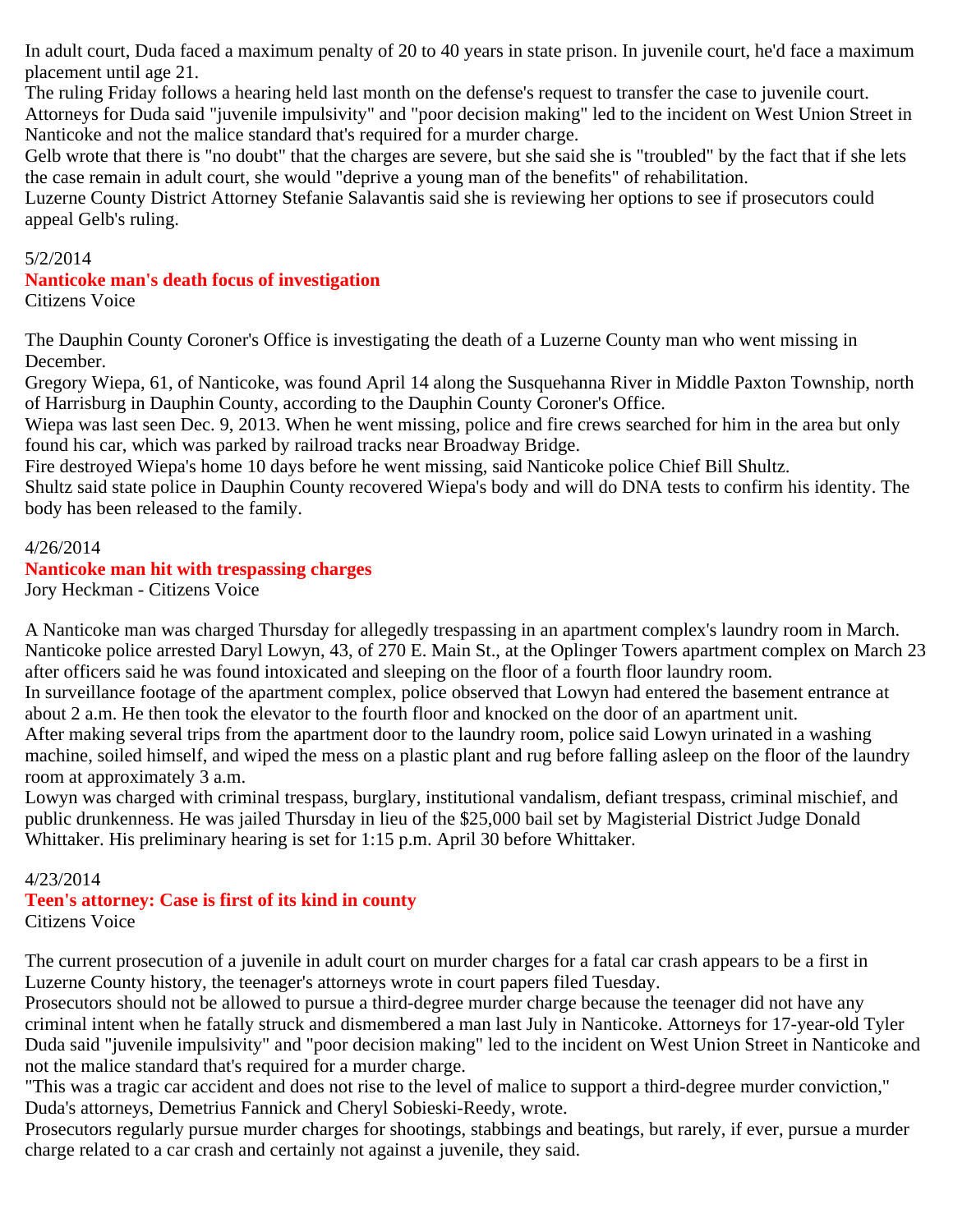In adult court, Duda faced a maximum penalty of 20 to 40 years in state prison. In juvenile court, he'd face a maximum placement until age 21.

The ruling Friday follows a hearing held last month on the defense's request to transfer the case to juvenile court.

Attorneys for Duda said "juvenile impulsivity" and "poor decision making" led to the incident on West Union Street in Nanticoke and not the malice standard that's required for a murder charge.

Gelb wrote that there is "no doubt" that the charges are severe, but she said she is "troubled" by the fact that if she lets the case remain in adult court, she would "deprive a young man of the benefits" of rehabilitation.

Luzerne County District Attorney Stefanie Salavantis said she is reviewing her options to see if prosecutors could appeal Gelb's ruling.

## 5/2/2014

## **Nanticoke man's death focus of investigation**

Citizens Voice

The Dauphin County Coroner's Office is investigating the death of a Luzerne County man who went missing in December.

Gregory Wiepa, 61, of Nanticoke, was found April 14 along the Susquehanna River in Middle Paxton Township, north of Harrisburg in Dauphin County, according to the Dauphin County Coroner's Office.

Wiepa was last seen Dec. 9, 2013. When he went missing, police and fire crews searched for him in the area but only found his car, which was parked by railroad tracks near Broadway Bridge.

Fire destroyed Wiepa's home 10 days before he went missing, said Nanticoke police Chief Bill Shultz.

Shultz said state police in Dauphin County recovered Wiepa's body and will do DNA tests to confirm his identity. The body has been released to the family.

#### 4/26/2014

## **Nanticoke man hit with trespassing charges**

Jory Heckman - Citizens Voice

A Nanticoke man was charged Thursday for allegedly trespassing in an apartment complex's laundry room in March. Nanticoke police arrested Daryl Lowyn, 43, of 270 E. Main St., at the Oplinger Towers apartment complex on March 23 after officers said he was found intoxicated and sleeping on the floor of a fourth floor laundry room.

In surveillance footage of the apartment complex, police observed that Lowyn had entered the basement entrance at about 2 a.m. He then took the elevator to the fourth floor and knocked on the door of an apartment unit.

After making several trips from the apartment door to the laundry room, police said Lowyn urinated in a washing machine, soiled himself, and wiped the mess on a plastic plant and rug before falling asleep on the floor of the laundry room at approximately 3 a.m.

Lowyn was charged with criminal trespass, burglary, institutional vandalism, defiant trespass, criminal mischief, and public drunkenness. He was jailed Thursday in lieu of the \$25,000 bail set by Magisterial District Judge Donald Whittaker. His preliminary hearing is set for 1:15 p.m. April 30 before Whittaker.

## 4/23/2014

#### **Teen's attorney: Case is first of its kind in county** Citizens Voice

The current prosecution of a juvenile in adult court on murder charges for a fatal car crash appears to be a first in Luzerne County history, the teenager's attorneys wrote in court papers filed Tuesday.

Prosecutors should not be allowed to pursue a third-degree murder charge because the teenager did not have any criminal intent when he fatally struck and dismembered a man last July in Nanticoke. Attorneys for 17-year-old Tyler Duda said "juvenile impulsivity" and "poor decision making" led to the incident on West Union Street in Nanticoke and not the malice standard that's required for a murder charge.

"This was a tragic car accident and does not rise to the level of malice to support a third-degree murder conviction," Duda's attorneys, Demetrius Fannick and Cheryl Sobieski-Reedy, wrote.

Prosecutors regularly pursue murder charges for shootings, stabbings and beatings, but rarely, if ever, pursue a murder charge related to a car crash and certainly not against a juvenile, they said.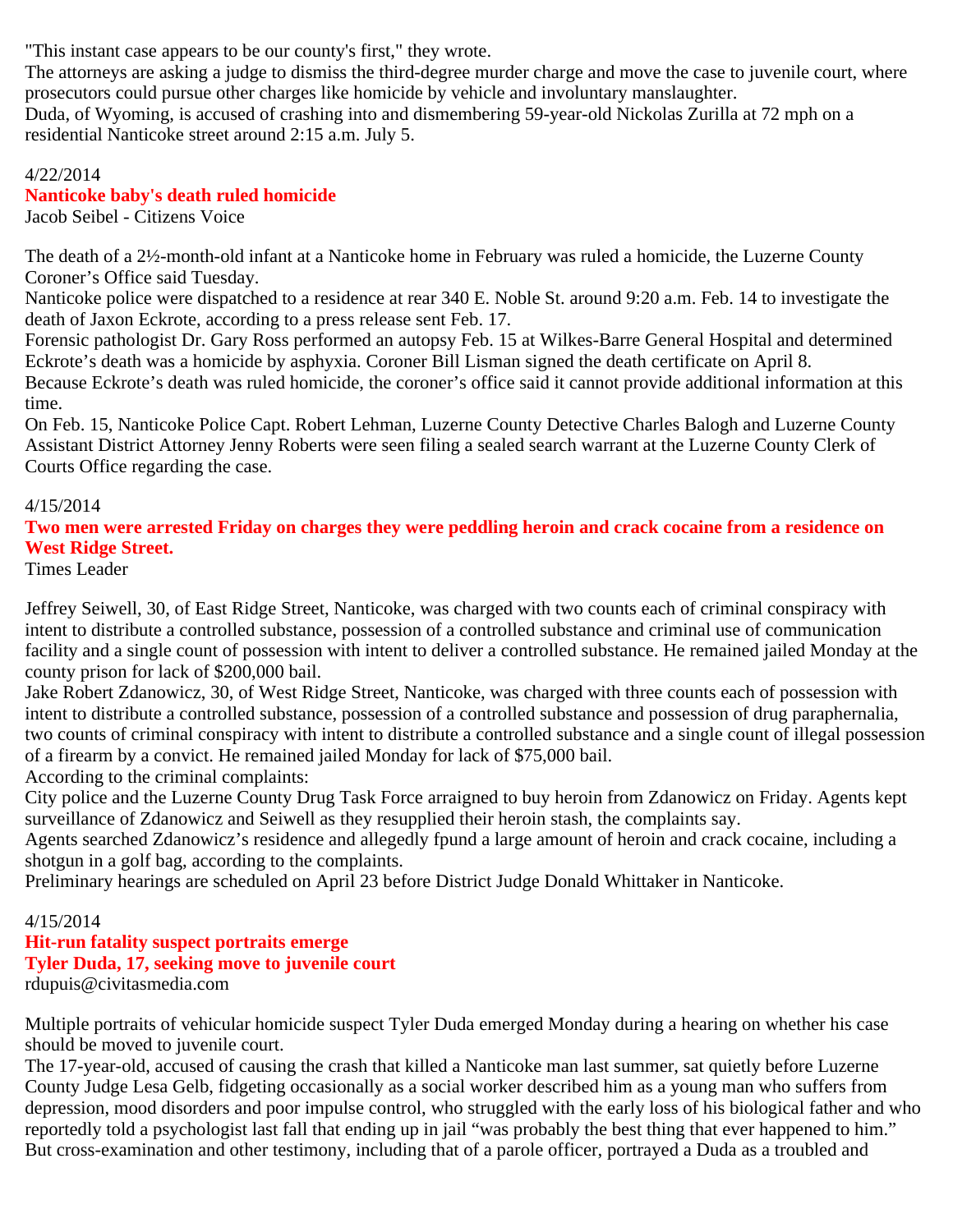"This instant case appears to be our county's first," they wrote.

The attorneys are asking a judge to dismiss the third-degree murder charge and move the case to juvenile court, where prosecutors could pursue other charges like homicide by vehicle and involuntary manslaughter.

Duda, of Wyoming, is accused of crashing into and dismembering 59-year-old Nickolas Zurilla at 72 mph on a residential Nanticoke street around 2:15 a.m. July 5.

#### 4/22/2014 **Nanticoke baby's death ruled homicide** Jacob Seibel - Citizens Voice

The death of a 2½-month-old infant at a Nanticoke home in February was ruled a homicide, the Luzerne County Coroner's Office said Tuesday.

Nanticoke police were dispatched to a residence at rear 340 E. Noble St. around 9:20 a.m. Feb. 14 to investigate the death of Jaxon Eckrote, according to a press release sent Feb. 17.

Forensic pathologist Dr. Gary Ross performed an autopsy Feb. 15 at Wilkes-Barre General Hospital and determined Eckrote's death was a homicide by asphyxia. Coroner Bill Lisman signed the death certificate on April 8. Because Eckrote's death was ruled homicide, the coroner's office said it cannot provide additional information at this time.

On Feb. 15, Nanticoke Police Capt. Robert Lehman, Luzerne County Detective Charles Balogh and Luzerne County Assistant District Attorney Jenny Roberts were seen filing a sealed search warrant at the Luzerne County Clerk of Courts Office regarding the case.

## 4/15/2014

**Two men were arrested Friday on charges they were peddling heroin and crack cocaine from a residence on West Ridge Street.**

Times Leader

Jeffrey Seiwell, 30, of East Ridge Street, Nanticoke, was charged with two counts each of criminal conspiracy with intent to distribute a controlled substance, possession of a controlled substance and criminal use of communication facility and a single count of possession with intent to deliver a controlled substance. He remained jailed Monday at the county prison for lack of \$200,000 bail.

Jake Robert Zdanowicz, 30, of West Ridge Street, Nanticoke, was charged with three counts each of possession with intent to distribute a controlled substance, possession of a controlled substance and possession of drug paraphernalia, two counts of criminal conspiracy with intent to distribute a controlled substance and a single count of illegal possession of a firearm by a convict. He remained jailed Monday for lack of \$75,000 bail.

According to the criminal complaints:

City police and the Luzerne County Drug Task Force arraigned to buy heroin from Zdanowicz on Friday. Agents kept surveillance of Zdanowicz and Seiwell as they resupplied their heroin stash, the complaints say.

Agents searched Zdanowicz's residence and allegedly fpund a large amount of heroin and crack cocaine, including a shotgun in a golf bag, according to the complaints.

Preliminary hearings are scheduled on April 23 before District Judge Donald Whittaker in Nanticoke.

# 4/15/2014

# **Hit-run fatality suspect portraits emerge**

## **Tyler Duda, 17, seeking move to juvenile court**

rdupuis@civitasmedia.com

Multiple portraits of vehicular homicide suspect Tyler Duda emerged Monday during a hearing on whether his case should be moved to juvenile court.

The 17-year-old, accused of causing the crash that killed a Nanticoke man last summer, sat quietly before Luzerne County Judge Lesa Gelb, fidgeting occasionally as a social worker described him as a young man who suffers from depression, mood disorders and poor impulse control, who struggled with the early loss of his biological father and who reportedly told a psychologist last fall that ending up in jail "was probably the best thing that ever happened to him." But cross-examination and other testimony, including that of a parole officer, portrayed a Duda as a troubled and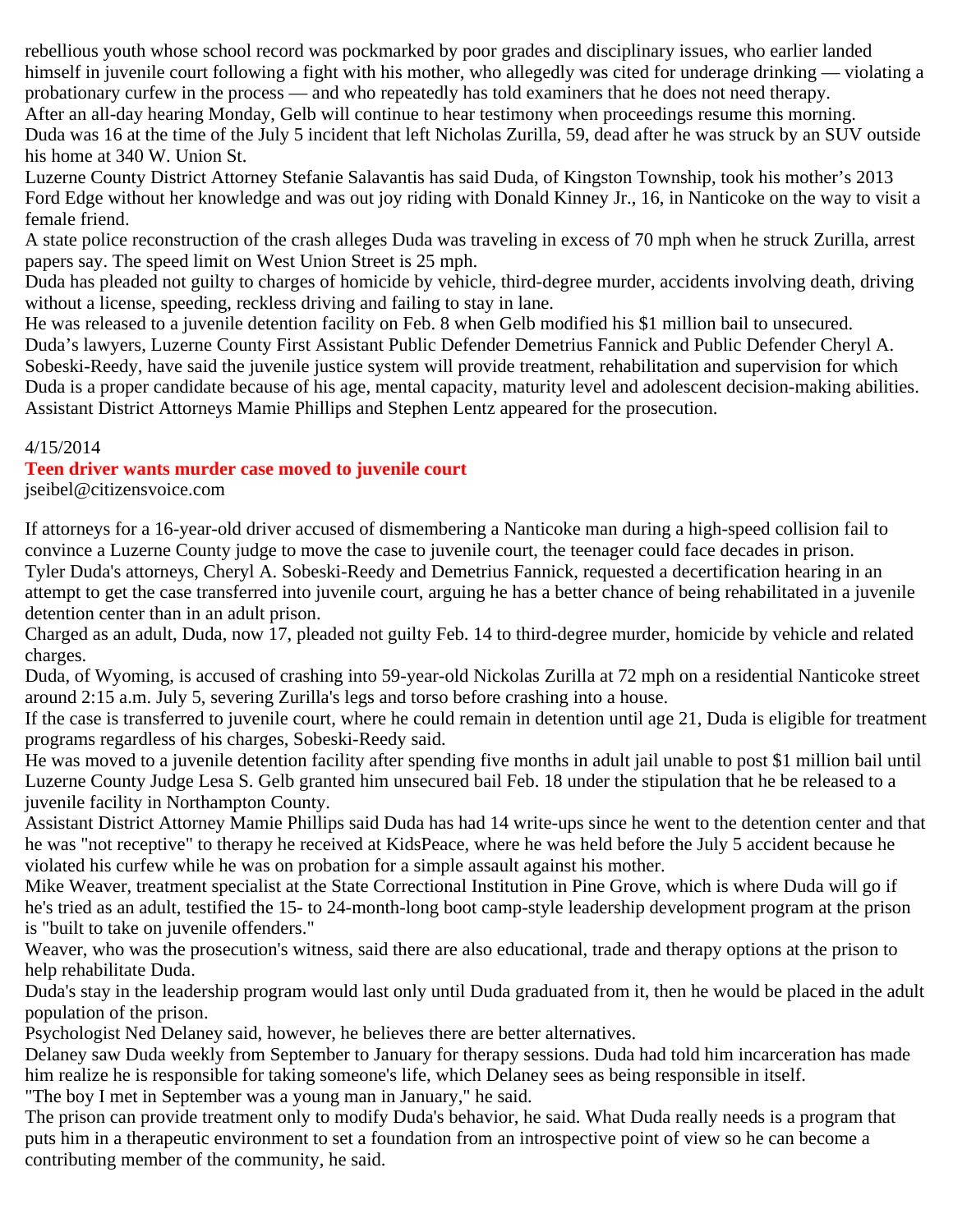rebellious youth whose school record was pockmarked by poor grades and disciplinary issues, who earlier landed himself in juvenile court following a fight with his mother, who allegedly was cited for underage drinking — violating a probationary curfew in the process — and who repeatedly has told examiners that he does not need therapy. After an all-day hearing Monday, Gelb will continue to hear testimony when proceedings resume this morning.

Duda was 16 at the time of the July 5 incident that left Nicholas Zurilla, 59, dead after he was struck by an SUV outside his home at 340 W. Union St.

Luzerne County District Attorney Stefanie Salavantis has said Duda, of Kingston Township, took his mother's 2013 Ford Edge without her knowledge and was out joy riding with Donald Kinney Jr., 16, in Nanticoke on the way to visit a female friend.

A state police reconstruction of the crash alleges Duda was traveling in excess of 70 mph when he struck Zurilla, arrest papers say. The speed limit on West Union Street is 25 mph.

Duda has pleaded not guilty to charges of homicide by vehicle, third-degree murder, accidents involving death, driving without a license, speeding, reckless driving and failing to stay in lane.

He was released to a juvenile detention facility on Feb. 8 when Gelb modified his \$1 million bail to unsecured.

Duda's lawyers, Luzerne County First Assistant Public Defender Demetrius Fannick and Public Defender Cheryl A. Sobeski-Reedy, have said the juvenile justice system will provide treatment, rehabilitation and supervision for which Duda is a proper candidate because of his age, mental capacity, maturity level and adolescent decision-making abilities. Assistant District Attorneys Mamie Phillips and Stephen Lentz appeared for the prosecution.

## 4/15/2014

## **Teen driver wants murder case moved to juvenile court**

jseibel@citizensvoice.com

If attorneys for a 16-year-old driver accused of dismembering a Nanticoke man during a high-speed collision fail to convince a Luzerne County judge to move the case to juvenile court, the teenager could face decades in prison. Tyler Duda's attorneys, Cheryl A. Sobeski-Reedy and Demetrius Fannick, requested a decertification hearing in an attempt to get the case transferred into juvenile court, arguing he has a better chance of being rehabilitated in a juvenile detention center than in an adult prison.

Charged as an adult, Duda, now 17, pleaded not guilty Feb. 14 to third-degree murder, homicide by vehicle and related charges.

Duda, of Wyoming, is accused of crashing into 59-year-old Nickolas Zurilla at 72 mph on a residential Nanticoke street around 2:15 a.m. July 5, severing Zurilla's legs and torso before crashing into a house.

If the case is transferred to juvenile court, where he could remain in detention until age 21, Duda is eligible for treatment programs regardless of his charges, Sobeski-Reedy said.

He was moved to a juvenile detention facility after spending five months in adult jail unable to post \$1 million bail until Luzerne County Judge Lesa S. Gelb granted him unsecured bail Feb. 18 under the stipulation that he be released to a juvenile facility in Northampton County.

Assistant District Attorney Mamie Phillips said Duda has had 14 write-ups since he went to the detention center and that he was "not receptive" to therapy he received at KidsPeace, where he was held before the July 5 accident because he violated his curfew while he was on probation for a simple assault against his mother.

Mike Weaver, treatment specialist at the State Correctional Institution in Pine Grove, which is where Duda will go if he's tried as an adult, testified the 15- to 24-month-long boot camp-style leadership development program at the prison is "built to take on juvenile offenders."

Weaver, who was the prosecution's witness, said there are also educational, trade and therapy options at the prison to help rehabilitate Duda.

Duda's stay in the leadership program would last only until Duda graduated from it, then he would be placed in the adult population of the prison.

Psychologist Ned Delaney said, however, he believes there are better alternatives.

Delaney saw Duda weekly from September to January for therapy sessions. Duda had told him incarceration has made him realize he is responsible for taking someone's life, which Delaney sees as being responsible in itself. "The boy I met in September was a young man in January," he said.

The prison can provide treatment only to modify Duda's behavior, he said. What Duda really needs is a program that puts him in a therapeutic environment to set a foundation from an introspective point of view so he can become a contributing member of the community, he said.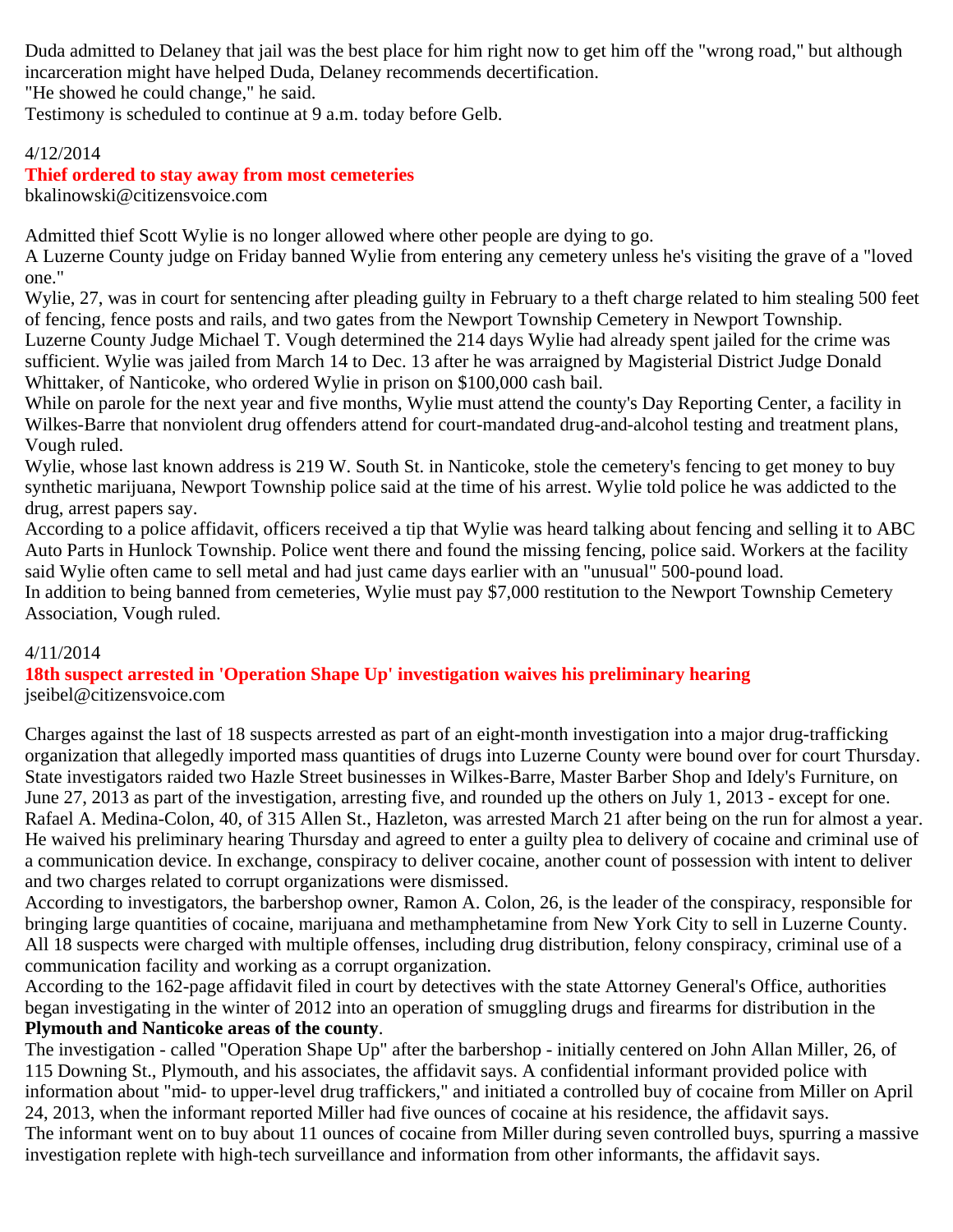Duda admitted to Delaney that jail was the best place for him right now to get him off the "wrong road," but although incarceration might have helped Duda, Delaney recommends decertification.

"He showed he could change," he said.

Testimony is scheduled to continue at 9 a.m. today before Gelb.

## 4/12/2014

## **Thief ordered to stay away from most cemeteries**

bkalinowski@citizensvoice.com

Admitted thief Scott Wylie is no longer allowed where other people are dying to go.

A Luzerne County judge on Friday banned Wylie from entering any cemetery unless he's visiting the grave of a "loved one."

Wylie, 27, was in court for sentencing after pleading guilty in February to a theft charge related to him stealing 500 feet of fencing, fence posts and rails, and two gates from the Newport Township Cemetery in Newport Township. Luzerne County Judge Michael T. Vough determined the 214 days Wylie had already spent jailed for the crime was sufficient. Wylie was jailed from March 14 to Dec. 13 after he was arraigned by Magisterial District Judge Donald Whittaker, of Nanticoke, who ordered Wylie in prison on \$100,000 cash bail.

While on parole for the next year and five months, Wylie must attend the county's Day Reporting Center, a facility in Wilkes-Barre that nonviolent drug offenders attend for court-mandated drug-and-alcohol testing and treatment plans, Vough ruled.

Wylie, whose last known address is 219 W. South St. in Nanticoke, stole the cemetery's fencing to get money to buy synthetic marijuana, Newport Township police said at the time of his arrest. Wylie told police he was addicted to the drug, arrest papers say.

According to a police affidavit, officers received a tip that Wylie was heard talking about fencing and selling it to ABC Auto Parts in Hunlock Township. Police went there and found the missing fencing, police said. Workers at the facility said Wylie often came to sell metal and had just came days earlier with an "unusual" 500-pound load.

In addition to being banned from cemeteries, Wylie must pay \$7,000 restitution to the Newport Township Cemetery Association, Vough ruled.

## 4/11/2014

**18th suspect arrested in 'Operation Shape Up' investigation waives his preliminary hearing** jseibel@citizensvoice.com

Charges against the last of 18 suspects arrested as part of an eight-month investigation into a major drug-trafficking organization that allegedly imported mass quantities of drugs into Luzerne County were bound over for court Thursday. State investigators raided two Hazle Street businesses in Wilkes-Barre, Master Barber Shop and Idely's Furniture, on June 27, 2013 as part of the investigation, arresting five, and rounded up the others on July 1, 2013 - except for one. Rafael A. Medina-Colon, 40, of 315 Allen St., Hazleton, was arrested March 21 after being on the run for almost a year. He waived his preliminary hearing Thursday and agreed to enter a guilty plea to delivery of cocaine and criminal use of a communication device. In exchange, conspiracy to deliver cocaine, another count of possession with intent to deliver and two charges related to corrupt organizations were dismissed.

According to investigators, the barbershop owner, Ramon A. Colon, 26, is the leader of the conspiracy, responsible for bringing large quantities of cocaine, marijuana and methamphetamine from New York City to sell in Luzerne County. All 18 suspects were charged with multiple offenses, including drug distribution, felony conspiracy, criminal use of a communication facility and working as a corrupt organization.

According to the 162-page affidavit filed in court by detectives with the state Attorney General's Office, authorities began investigating in the winter of 2012 into an operation of smuggling drugs and firearms for distribution in the **Plymouth and Nanticoke areas of the county**.

The investigation - called "Operation Shape Up" after the barbershop - initially centered on John Allan Miller, 26, of 115 Downing St., Plymouth, and his associates, the affidavit says. A confidential informant provided police with information about "mid- to upper-level drug traffickers," and initiated a controlled buy of cocaine from Miller on April 24, 2013, when the informant reported Miller had five ounces of cocaine at his residence, the affidavit says. The informant went on to buy about 11 ounces of cocaine from Miller during seven controlled buys, spurring a massive investigation replete with high-tech surveillance and information from other informants, the affidavit says.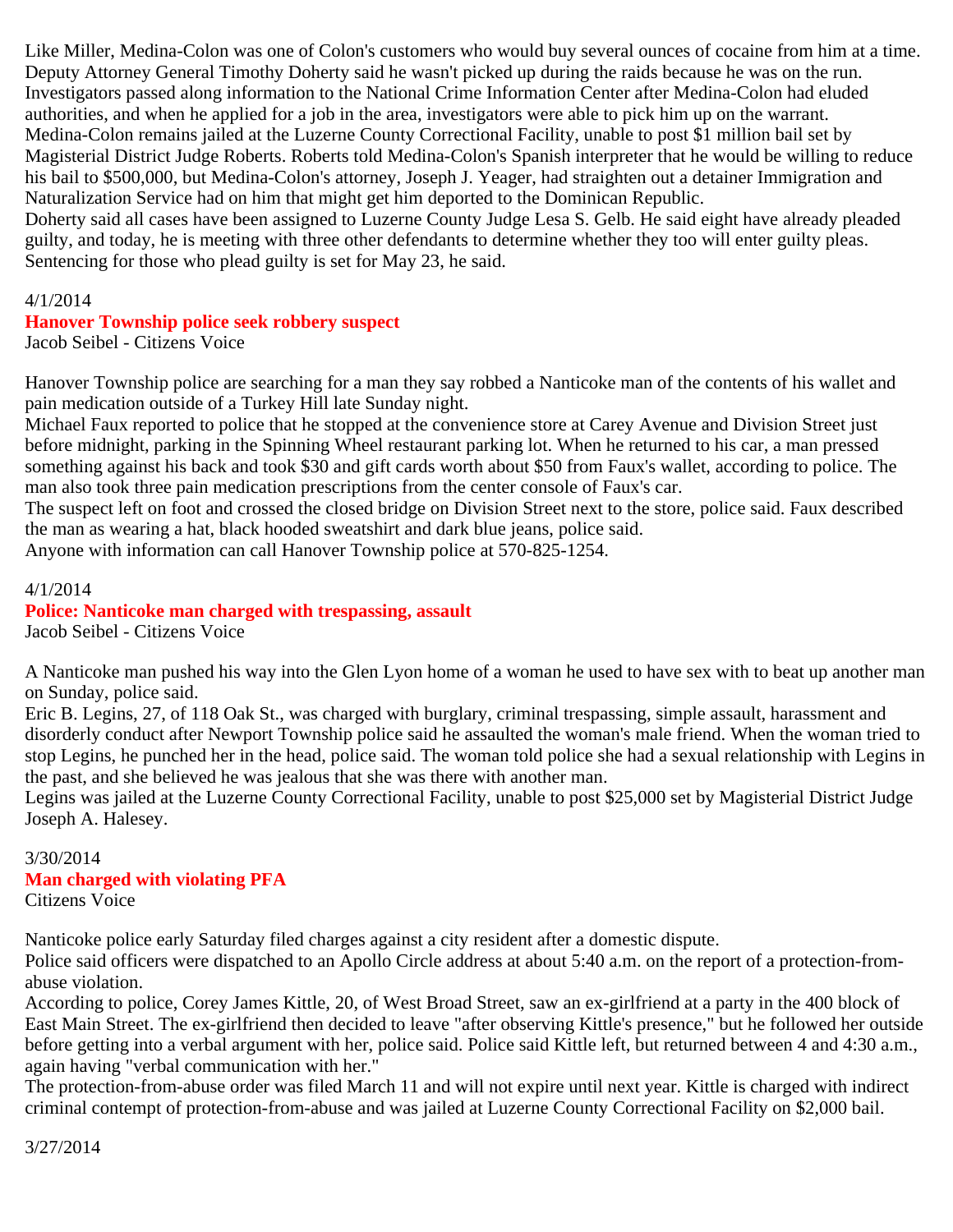Like Miller, Medina-Colon was one of Colon's customers who would buy several ounces of cocaine from him at a time. Deputy Attorney General Timothy Doherty said he wasn't picked up during the raids because he was on the run. Investigators passed along information to the National Crime Information Center after Medina-Colon had eluded authorities, and when he applied for a job in the area, investigators were able to pick him up on the warrant. Medina-Colon remains jailed at the Luzerne County Correctional Facility, unable to post \$1 million bail set by Magisterial District Judge Roberts. Roberts told Medina-Colon's Spanish interpreter that he would be willing to reduce his bail to \$500,000, but Medina-Colon's attorney, Joseph J. Yeager, had straighten out a detainer Immigration and Naturalization Service had on him that might get him deported to the Dominican Republic.

Doherty said all cases have been assigned to Luzerne County Judge Lesa S. Gelb. He said eight have already pleaded guilty, and today, he is meeting with three other defendants to determine whether they too will enter guilty pleas. Sentencing for those who plead guilty is set for May 23, he said.

4/1/2014

## **Hanover Township police seek robbery suspect**

Jacob Seibel - Citizens Voice

Hanover Township police are searching for a man they say robbed a Nanticoke man of the contents of his wallet and pain medication outside of a Turkey Hill late Sunday night.

Michael Faux reported to police that he stopped at the convenience store at Carey Avenue and Division Street just before midnight, parking in the Spinning Wheel restaurant parking lot. When he returned to his car, a man pressed something against his back and took \$30 and gift cards worth about \$50 from Faux's wallet, according to police. The man also took three pain medication prescriptions from the center console of Faux's car.

The suspect left on foot and crossed the closed bridge on Division Street next to the store, police said. Faux described the man as wearing a hat, black hooded sweatshirt and dark blue jeans, police said.

Anyone with information can call Hanover Township police at 570-825-1254.

4/1/2014 **Police: Nanticoke man charged with trespassing, assault** Jacob Seibel - Citizens Voice

A Nanticoke man pushed his way into the Glen Lyon home of a woman he used to have sex with to beat up another man on Sunday, police said.

Eric B. Legins, 27, of 118 Oak St., was charged with burglary, criminal trespassing, simple assault, harassment and disorderly conduct after Newport Township police said he assaulted the woman's male friend. When the woman tried to stop Legins, he punched her in the head, police said. The woman told police she had a sexual relationship with Legins in the past, and she believed he was jealous that she was there with another man.

Legins was jailed at the Luzerne County Correctional Facility, unable to post \$25,000 set by Magisterial District Judge Joseph A. Halesey.

3/30/2014 **Man charged with violating PFA** Citizens Voice

Nanticoke police early Saturday filed charges against a city resident after a domestic dispute.

Police said officers were dispatched to an Apollo Circle address at about 5:40 a.m. on the report of a protection-fromabuse violation.

According to police, Corey James Kittle, 20, of West Broad Street, saw an ex-girlfriend at a party in the 400 block of East Main Street. The ex-girlfriend then decided to leave "after observing Kittle's presence," but he followed her outside before getting into a verbal argument with her, police said. Police said Kittle left, but returned between 4 and 4:30 a.m., again having "verbal communication with her."

The protection-from-abuse order was filed March 11 and will not expire until next year. Kittle is charged with indirect criminal contempt of protection-from-abuse and was jailed at Luzerne County Correctional Facility on \$2,000 bail.

3/27/2014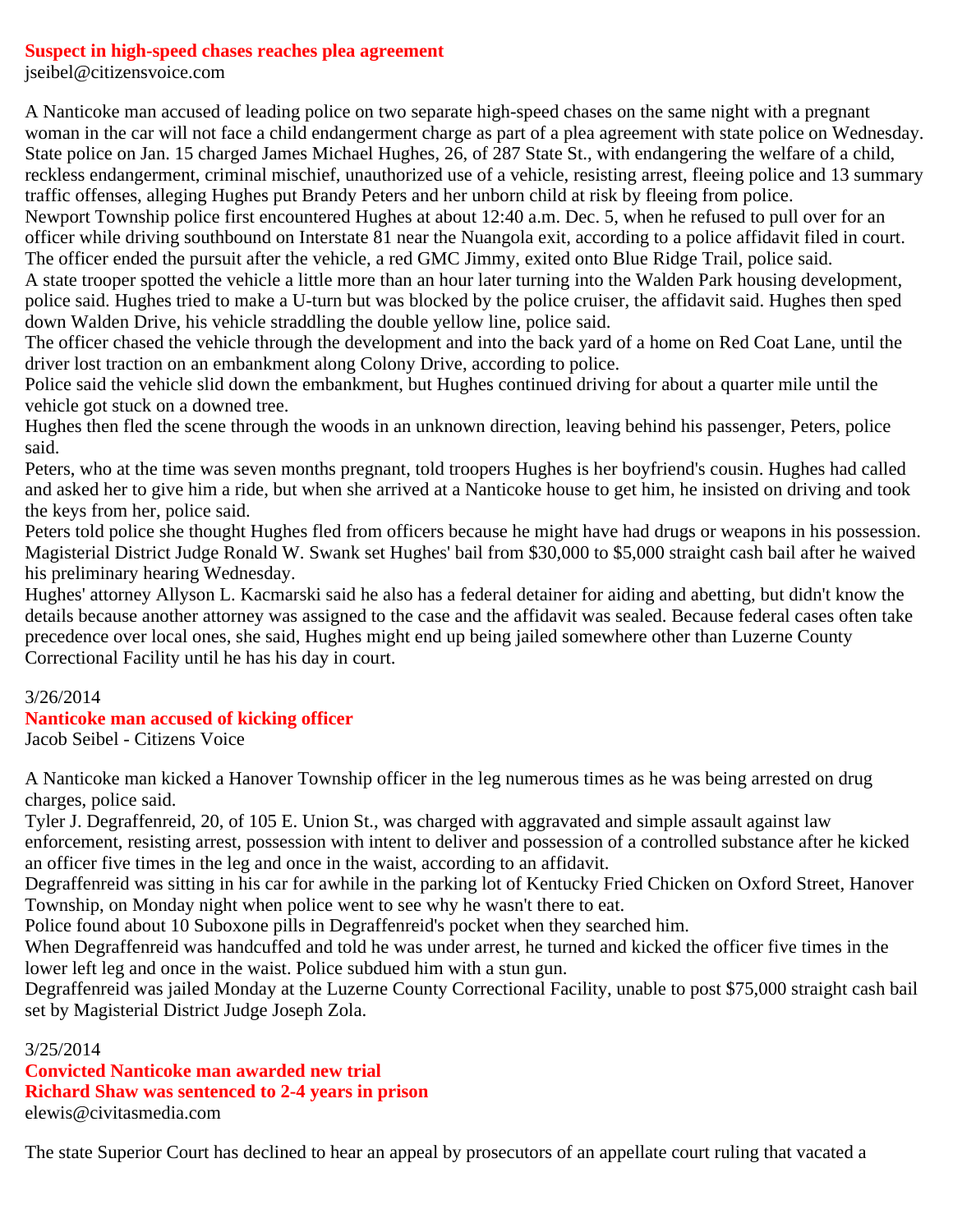## **Suspect in high-speed chases reaches plea agreement**

jseibel@citizensvoice.com

A Nanticoke man accused of leading police on two separate high-speed chases on the same night with a pregnant woman in the car will not face a child endangerment charge as part of a plea agreement with state police on Wednesday. State police on Jan. 15 charged James Michael Hughes, 26, of 287 State St., with endangering the welfare of a child, reckless endangerment, criminal mischief, unauthorized use of a vehicle, resisting arrest, fleeing police and 13 summary traffic offenses, alleging Hughes put Brandy Peters and her unborn child at risk by fleeing from police.

Newport Township police first encountered Hughes at about 12:40 a.m. Dec. 5, when he refused to pull over for an officer while driving southbound on Interstate 81 near the Nuangola exit, according to a police affidavit filed in court. The officer ended the pursuit after the vehicle, a red GMC Jimmy, exited onto Blue Ridge Trail, police said.

A state trooper spotted the vehicle a little more than an hour later turning into the Walden Park housing development, police said. Hughes tried to make a U-turn but was blocked by the police cruiser, the affidavit said. Hughes then sped down Walden Drive, his vehicle straddling the double yellow line, police said.

The officer chased the vehicle through the development and into the back yard of a home on Red Coat Lane, until the driver lost traction on an embankment along Colony Drive, according to police.

Police said the vehicle slid down the embankment, but Hughes continued driving for about a quarter mile until the vehicle got stuck on a downed tree.

Hughes then fled the scene through the woods in an unknown direction, leaving behind his passenger, Peters, police said.

Peters, who at the time was seven months pregnant, told troopers Hughes is her boyfriend's cousin. Hughes had called and asked her to give him a ride, but when she arrived at a Nanticoke house to get him, he insisted on driving and took the keys from her, police said.

Peters told police she thought Hughes fled from officers because he might have had drugs or weapons in his possession. Magisterial District Judge Ronald W. Swank set Hughes' bail from \$30,000 to \$5,000 straight cash bail after he waived his preliminary hearing Wednesday.

Hughes' attorney Allyson L. Kacmarski said he also has a federal detainer for aiding and abetting, but didn't know the details because another attorney was assigned to the case and the affidavit was sealed. Because federal cases often take precedence over local ones, she said, Hughes might end up being jailed somewhere other than Luzerne County Correctional Facility until he has his day in court.

## 3/26/2014

## **Nanticoke man accused of kicking officer**

Jacob Seibel - Citizens Voice

A Nanticoke man kicked a Hanover Township officer in the leg numerous times as he was being arrested on drug charges, police said.

Tyler J. Degraffenreid, 20, of 105 E. Union St., was charged with aggravated and simple assault against law

enforcement, resisting arrest, possession with intent to deliver and possession of a controlled substance after he kicked an officer five times in the leg and once in the waist, according to an affidavit.

Degraffenreid was sitting in his car for awhile in the parking lot of Kentucky Fried Chicken on Oxford Street, Hanover Township, on Monday night when police went to see why he wasn't there to eat.

Police found about 10 Suboxone pills in Degraffenreid's pocket when they searched him.

When Degraffenreid was handcuffed and told he was under arrest, he turned and kicked the officer five times in the lower left leg and once in the waist. Police subdued him with a stun gun.

Degraffenreid was jailed Monday at the Luzerne County Correctional Facility, unable to post \$75,000 straight cash bail set by Magisterial District Judge Joseph Zola.

3/25/2014

**Convicted Nanticoke man awarded new trial Richard Shaw was sentenced to 2-4 years in prison** elewis@civitasmedia.com

The state Superior Court has declined to hear an appeal by prosecutors of an appellate court ruling that vacated a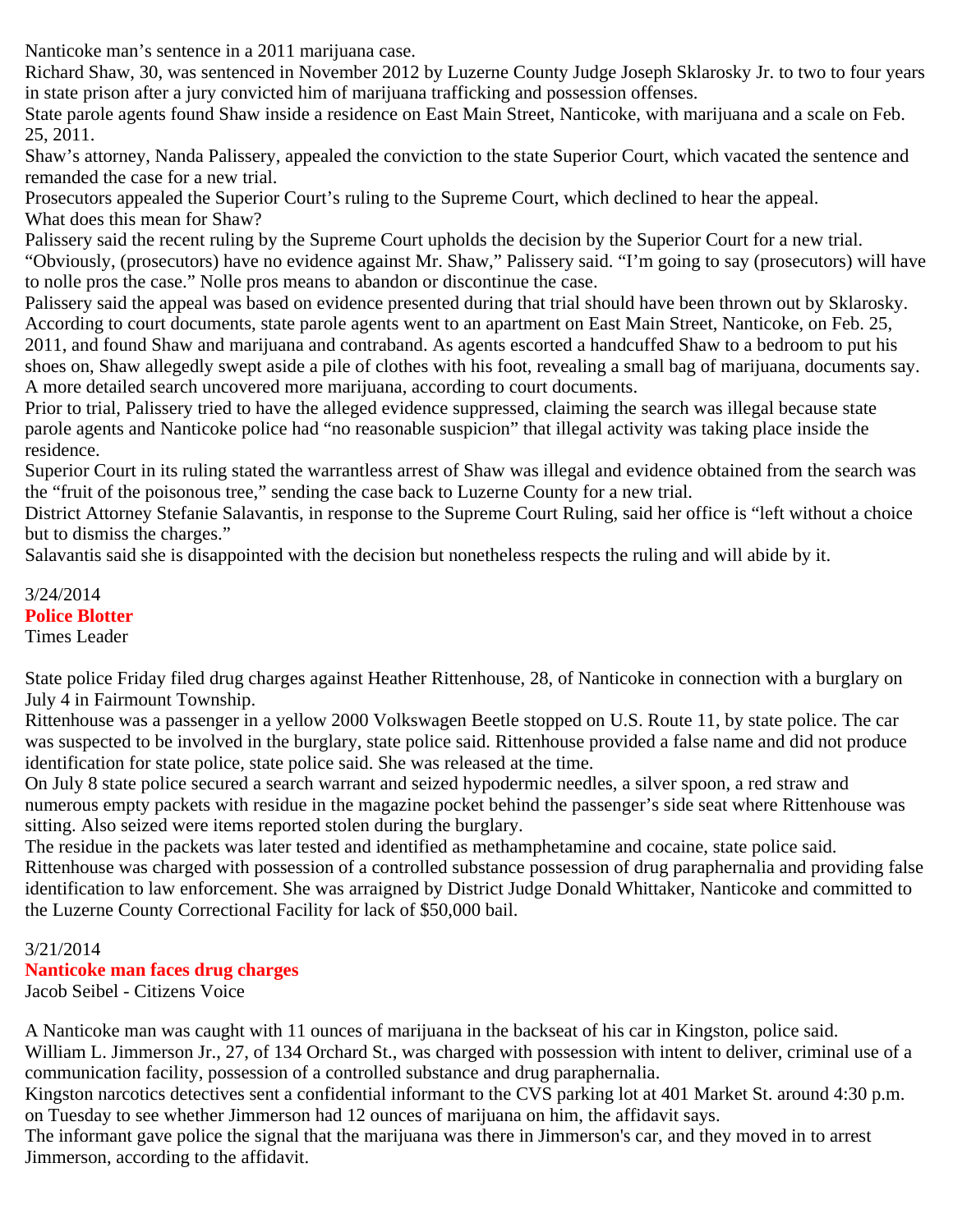Nanticoke man's sentence in a 2011 marijuana case.

Richard Shaw, 30, was sentenced in November 2012 by Luzerne County Judge Joseph Sklarosky Jr. to two to four years in state prison after a jury convicted him of marijuana trafficking and possession offenses.

State parole agents found Shaw inside a residence on East Main Street, Nanticoke, with marijuana and a scale on Feb. 25, 2011.

Shaw's attorney, Nanda Palissery, appealed the conviction to the state Superior Court, which vacated the sentence and remanded the case for a new trial.

Prosecutors appealed the Superior Court's ruling to the Supreme Court, which declined to hear the appeal. What does this mean for Shaw?

Palissery said the recent ruling by the Supreme Court upholds the decision by the Superior Court for a new trial. "Obviously, (prosecutors) have no evidence against Mr. Shaw," Palissery said. "I'm going to say (prosecutors) will have to nolle pros the case." Nolle pros means to abandon or discontinue the case.

Palissery said the appeal was based on evidence presented during that trial should have been thrown out by Sklarosky. According to court documents, state parole agents went to an apartment on East Main Street, Nanticoke, on Feb. 25, 2011, and found Shaw and marijuana and contraband. As agents escorted a handcuffed Shaw to a bedroom to put his shoes on, Shaw allegedly swept aside a pile of clothes with his foot, revealing a small bag of marijuana, documents say. A more detailed search uncovered more marijuana, according to court documents.

Prior to trial, Palissery tried to have the alleged evidence suppressed, claiming the search was illegal because state parole agents and Nanticoke police had "no reasonable suspicion" that illegal activity was taking place inside the residence.

Superior Court in its ruling stated the warrantless arrest of Shaw was illegal and evidence obtained from the search was the "fruit of the poisonous tree," sending the case back to Luzerne County for a new trial.

District Attorney Stefanie Salavantis, in response to the Supreme Court Ruling, said her office is "left without a choice but to dismiss the charges."

Salavantis said she is disappointed with the decision but nonetheless respects the ruling and will abide by it.

3/24/2014 **Police Blotter** Times Leader

State police Friday filed drug charges against Heather Rittenhouse, 28, of Nanticoke in connection with a burglary on July 4 in Fairmount Township.

Rittenhouse was a passenger in a yellow 2000 Volkswagen Beetle stopped on U.S. Route 11, by state police. The car was suspected to be involved in the burglary, state police said. Rittenhouse provided a false name and did not produce identification for state police, state police said. She was released at the time.

On July 8 state police secured a search warrant and seized hypodermic needles, a silver spoon, a red straw and numerous empty packets with residue in the magazine pocket behind the passenger's side seat where Rittenhouse was sitting. Also seized were items reported stolen during the burglary.

The residue in the packets was later tested and identified as methamphetamine and cocaine, state police said. Rittenhouse was charged with possession of a controlled substance possession of drug paraphernalia and providing false identification to law enforcement. She was arraigned by District Judge Donald Whittaker, Nanticoke and committed to the Luzerne County Correctional Facility for lack of \$50,000 bail.

# 3/21/2014

# **Nanticoke man faces drug charges**

Jacob Seibel - Citizens Voice

A Nanticoke man was caught with 11 ounces of marijuana in the backseat of his car in Kingston, police said. William L. Jimmerson Jr., 27, of 134 Orchard St., was charged with possession with intent to deliver, criminal use of a communication facility, possession of a controlled substance and drug paraphernalia.

Kingston narcotics detectives sent a confidential informant to the CVS parking lot at 401 Market St. around 4:30 p.m. on Tuesday to see whether Jimmerson had 12 ounces of marijuana on him, the affidavit says.

The informant gave police the signal that the marijuana was there in Jimmerson's car, and they moved in to arrest Jimmerson, according to the affidavit.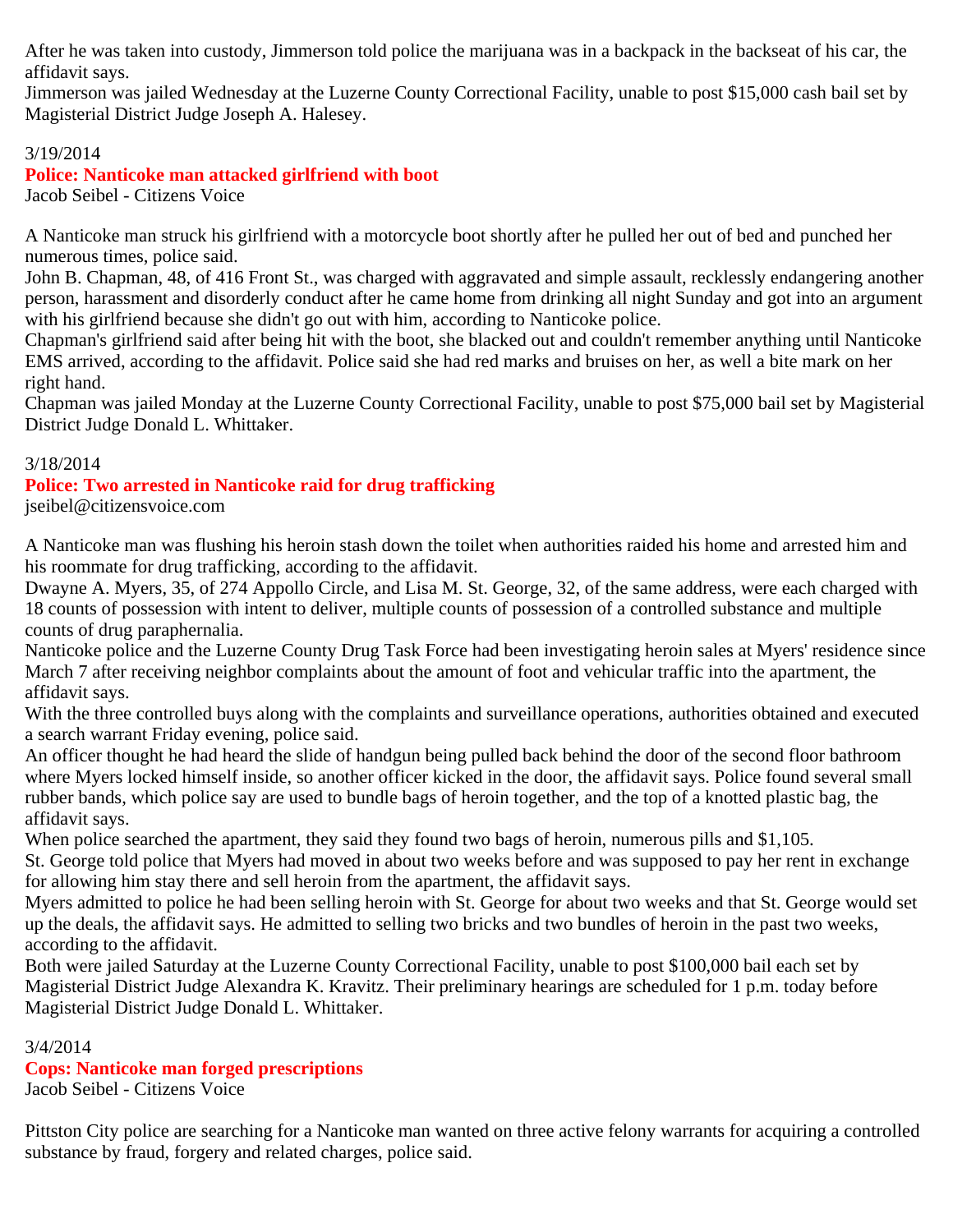After he was taken into custody, Jimmerson told police the marijuana was in a backpack in the backseat of his car, the affidavit says.

Jimmerson was jailed Wednesday at the Luzerne County Correctional Facility, unable to post \$15,000 cash bail set by Magisterial District Judge Joseph A. Halesey.

## 3/19/2014

## **Police: Nanticoke man attacked girlfriend with boot**

Jacob Seibel - Citizens Voice

A Nanticoke man struck his girlfriend with a motorcycle boot shortly after he pulled her out of bed and punched her numerous times, police said.

John B. Chapman, 48, of 416 Front St., was charged with aggravated and simple assault, recklessly endangering another person, harassment and disorderly conduct after he came home from drinking all night Sunday and got into an argument with his girlfriend because she didn't go out with him, according to Nanticoke police.

Chapman's girlfriend said after being hit with the boot, she blacked out and couldn't remember anything until Nanticoke EMS arrived, according to the affidavit. Police said she had red marks and bruises on her, as well a bite mark on her right hand.

Chapman was jailed Monday at the Luzerne County Correctional Facility, unable to post \$75,000 bail set by Magisterial District Judge Donald L. Whittaker.

#### 3/18/2014

# **Police: Two arrested in Nanticoke raid for drug trafficking**

jseibel@citizensvoice.com

A Nanticoke man was flushing his heroin stash down the toilet when authorities raided his home and arrested him and his roommate for drug trafficking, according to the affidavit.

Dwayne A. Myers, 35, of 274 Appollo Circle, and Lisa M. St. George, 32, of the same address, were each charged with 18 counts of possession with intent to deliver, multiple counts of possession of a controlled substance and multiple counts of drug paraphernalia.

Nanticoke police and the Luzerne County Drug Task Force had been investigating heroin sales at Myers' residence since March 7 after receiving neighbor complaints about the amount of foot and vehicular traffic into the apartment, the affidavit says.

With the three controlled buys along with the complaints and surveillance operations, authorities obtained and executed a search warrant Friday evening, police said.

An officer thought he had heard the slide of handgun being pulled back behind the door of the second floor bathroom where Myers locked himself inside, so another officer kicked in the door, the affidavit says. Police found several small rubber bands, which police say are used to bundle bags of heroin together, and the top of a knotted plastic bag, the affidavit says.

When police searched the apartment, they said they found two bags of heroin, numerous pills and \$1,105.

St. George told police that Myers had moved in about two weeks before and was supposed to pay her rent in exchange for allowing him stay there and sell heroin from the apartment, the affidavit says.

Myers admitted to police he had been selling heroin with St. George for about two weeks and that St. George would set up the deals, the affidavit says. He admitted to selling two bricks and two bundles of heroin in the past two weeks, according to the affidavit.

Both were jailed Saturday at the Luzerne County Correctional Facility, unable to post \$100,000 bail each set by Magisterial District Judge Alexandra K. Kravitz. Their preliminary hearings are scheduled for 1 p.m. today before Magisterial District Judge Donald L. Whittaker.

#### 3/4/2014

## **Cops: Nanticoke man forged prescriptions**

Jacob Seibel - Citizens Voice

Pittston City police are searching for a Nanticoke man wanted on three active felony warrants for acquiring a controlled substance by fraud, forgery and related charges, police said.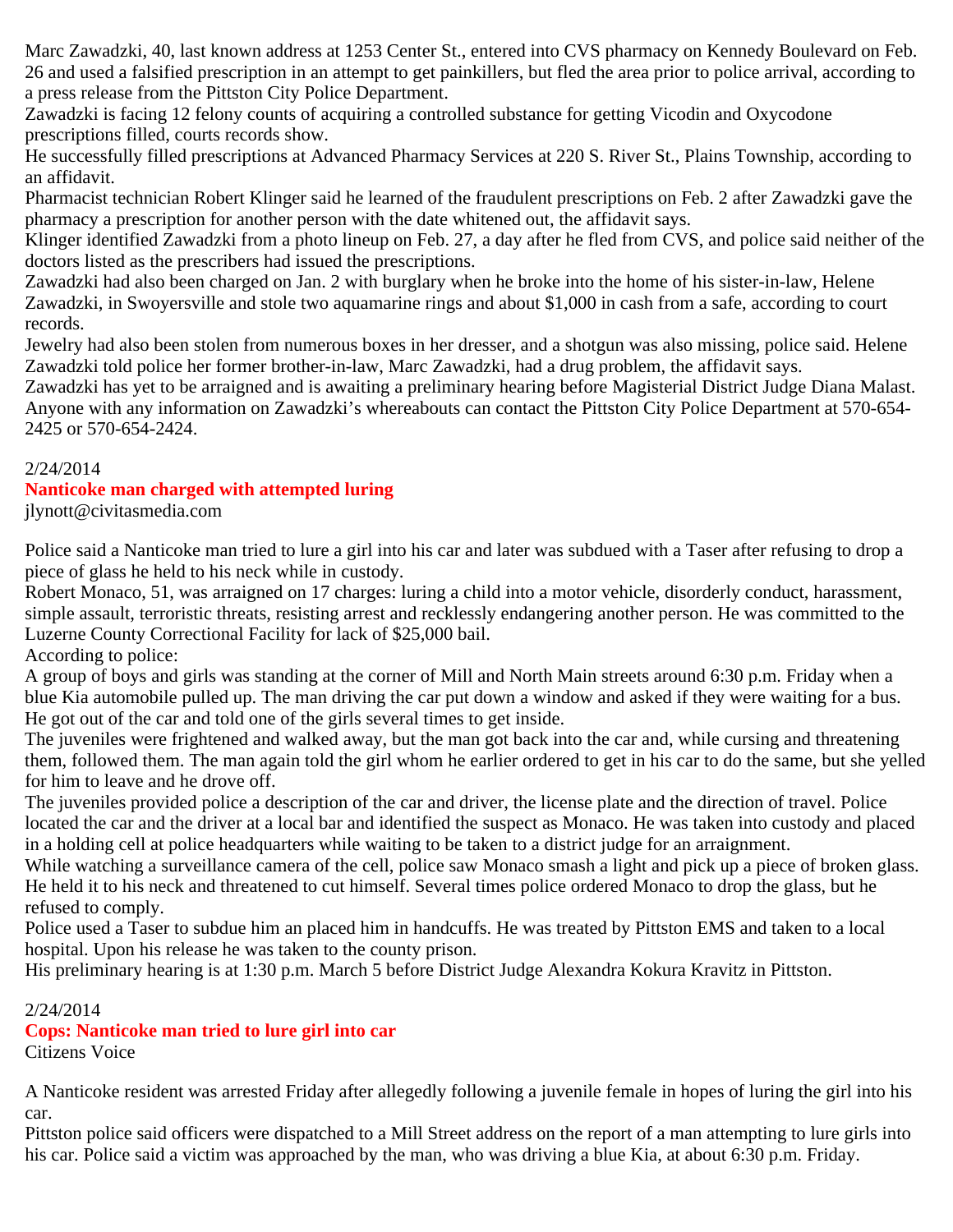Marc Zawadzki, 40, last known address at 1253 Center St., entered into CVS pharmacy on Kennedy Boulevard on Feb. 26 and used a falsified prescription in an attempt to get painkillers, but fled the area prior to police arrival, according to a press release from the Pittston City Police Department.

Zawadzki is facing 12 felony counts of acquiring a controlled substance for getting Vicodin and Oxycodone prescriptions filled, courts records show.

He successfully filled prescriptions at Advanced Pharmacy Services at 220 S. River St., Plains Township, according to an affidavit.

Pharmacist technician Robert Klinger said he learned of the fraudulent prescriptions on Feb. 2 after Zawadzki gave the pharmacy a prescription for another person with the date whitened out, the affidavit says.

Klinger identified Zawadzki from a photo lineup on Feb. 27, a day after he fled from CVS, and police said neither of the doctors listed as the prescribers had issued the prescriptions.

Zawadzki had also been charged on Jan. 2 with burglary when he broke into the home of his sister-in-law, Helene Zawadzki, in Swoyersville and stole two aquamarine rings and about \$1,000 in cash from a safe, according to court records.

Jewelry had also been stolen from numerous boxes in her dresser, and a shotgun was also missing, police said. Helene Zawadzki told police her former brother-in-law, Marc Zawadzki, had a drug problem, the affidavit says.

Zawadzki has yet to be arraigned and is awaiting a preliminary hearing before Magisterial District Judge Diana Malast. Anyone with any information on Zawadzki's whereabouts can contact the Pittston City Police Department at 570-654- 2425 or 570-654-2424.

## 2/24/2014

# **Nanticoke man charged with attempted luring**

jlynott@civitasmedia.com

Police said a Nanticoke man tried to lure a girl into his car and later was subdued with a Taser after refusing to drop a piece of glass he held to his neck while in custody.

Robert Monaco, 51, was arraigned on 17 charges: luring a child into a motor vehicle, disorderly conduct, harassment, simple assault, terroristic threats, resisting arrest and recklessly endangering another person. He was committed to the Luzerne County Correctional Facility for lack of \$25,000 bail.

According to police:

A group of boys and girls was standing at the corner of Mill and North Main streets around 6:30 p.m. Friday when a blue Kia automobile pulled up. The man driving the car put down a window and asked if they were waiting for a bus. He got out of the car and told one of the girls several times to get inside.

The juveniles were frightened and walked away, but the man got back into the car and, while cursing and threatening them, followed them. The man again told the girl whom he earlier ordered to get in his car to do the same, but she yelled for him to leave and he drove off.

The juveniles provided police a description of the car and driver, the license plate and the direction of travel. Police located the car and the driver at a local bar and identified the suspect as Monaco. He was taken into custody and placed in a holding cell at police headquarters while waiting to be taken to a district judge for an arraignment.

While watching a surveillance camera of the cell, police saw Monaco smash a light and pick up a piece of broken glass. He held it to his neck and threatened to cut himself. Several times police ordered Monaco to drop the glass, but he refused to comply.

Police used a Taser to subdue him an placed him in handcuffs. He was treated by Pittston EMS and taken to a local hospital. Upon his release he was taken to the county prison.

His preliminary hearing is at 1:30 p.m. March 5 before District Judge Alexandra Kokura Kravitz in Pittston.

## 2/24/2014

# **Cops: Nanticoke man tried to lure girl into car**

Citizens Voice

A Nanticoke resident was arrested Friday after allegedly following a juvenile female in hopes of luring the girl into his car.

Pittston police said officers were dispatched to a Mill Street address on the report of a man attempting to lure girls into his car. Police said a victim was approached by the man, who was driving a blue Kia, at about 6:30 p.m. Friday.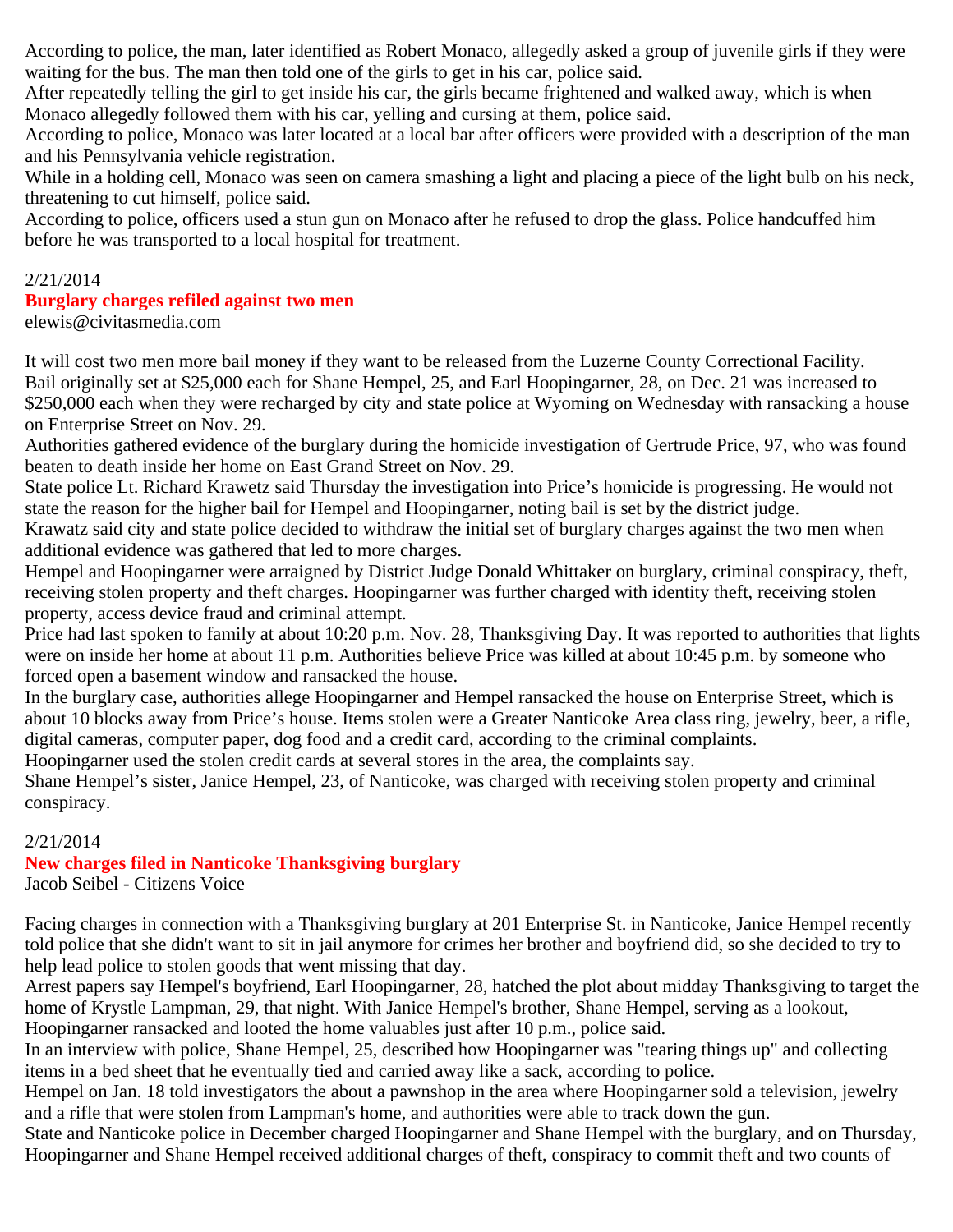According to police, the man, later identified as Robert Monaco, allegedly asked a group of juvenile girls if they were waiting for the bus. The man then told one of the girls to get in his car, police said.

After repeatedly telling the girl to get inside his car, the girls became frightened and walked away, which is when Monaco allegedly followed them with his car, yelling and cursing at them, police said.

According to police, Monaco was later located at a local bar after officers were provided with a description of the man and his Pennsylvania vehicle registration.

While in a holding cell, Monaco was seen on camera smashing a light and placing a piece of the light bulb on his neck, threatening to cut himself, police said.

According to police, officers used a stun gun on Monaco after he refused to drop the glass. Police handcuffed him before he was transported to a local hospital for treatment.

## 2/21/2014

## **Burglary charges refiled against two men**

elewis@civitasmedia.com

It will cost two men more bail money if they want to be released from the Luzerne County Correctional Facility. Bail originally set at \$25,000 each for Shane Hempel, 25, and Earl Hoopingarner, 28, on Dec. 21 was increased to \$250,000 each when they were recharged by city and state police at Wyoming on Wednesday with ransacking a house on Enterprise Street on Nov. 29.

Authorities gathered evidence of the burglary during the homicide investigation of Gertrude Price, 97, who was found beaten to death inside her home on East Grand Street on Nov. 29.

State police Lt. Richard Krawetz said Thursday the investigation into Price's homicide is progressing. He would not state the reason for the higher bail for Hempel and Hoopingarner, noting bail is set by the district judge.

Krawatz said city and state police decided to withdraw the initial set of burglary charges against the two men when additional evidence was gathered that led to more charges.

Hempel and Hoopingarner were arraigned by District Judge Donald Whittaker on burglary, criminal conspiracy, theft, receiving stolen property and theft charges. Hoopingarner was further charged with identity theft, receiving stolen property, access device fraud and criminal attempt.

Price had last spoken to family at about 10:20 p.m. Nov. 28, Thanksgiving Day. It was reported to authorities that lights were on inside her home at about 11 p.m. Authorities believe Price was killed at about 10:45 p.m. by someone who forced open a basement window and ransacked the house.

In the burglary case, authorities allege Hoopingarner and Hempel ransacked the house on Enterprise Street, which is about 10 blocks away from Price's house. Items stolen were a Greater Nanticoke Area class ring, jewelry, beer, a rifle, digital cameras, computer paper, dog food and a credit card, according to the criminal complaints.

Hoopingarner used the stolen credit cards at several stores in the area, the complaints say.

Shane Hempel's sister, Janice Hempel, 23, of Nanticoke, was charged with receiving stolen property and criminal conspiracy.

## 2/21/2014

## **New charges filed in Nanticoke Thanksgiving burglary**

Jacob Seibel - Citizens Voice

Facing charges in connection with a Thanksgiving burglary at 201 Enterprise St. in Nanticoke, Janice Hempel recently told police that she didn't want to sit in jail anymore for crimes her brother and boyfriend did, so she decided to try to help lead police to stolen goods that went missing that day.

Arrest papers say Hempel's boyfriend, Earl Hoopingarner, 28, hatched the plot about midday Thanksgiving to target the home of Krystle Lampman, 29, that night. With Janice Hempel's brother, Shane Hempel, serving as a lookout, Hoopingarner ransacked and looted the home valuables just after 10 p.m., police said.

In an interview with police, Shane Hempel, 25, described how Hoopingarner was "tearing things up" and collecting items in a bed sheet that he eventually tied and carried away like a sack, according to police.

Hempel on Jan. 18 told investigators the about a pawnshop in the area where Hoopingarner sold a television, jewelry and a rifle that were stolen from Lampman's home, and authorities were able to track down the gun.

State and Nanticoke police in December charged Hoopingarner and Shane Hempel with the burglary, and on Thursday, Hoopingarner and Shane Hempel received additional charges of theft, conspiracy to commit theft and two counts of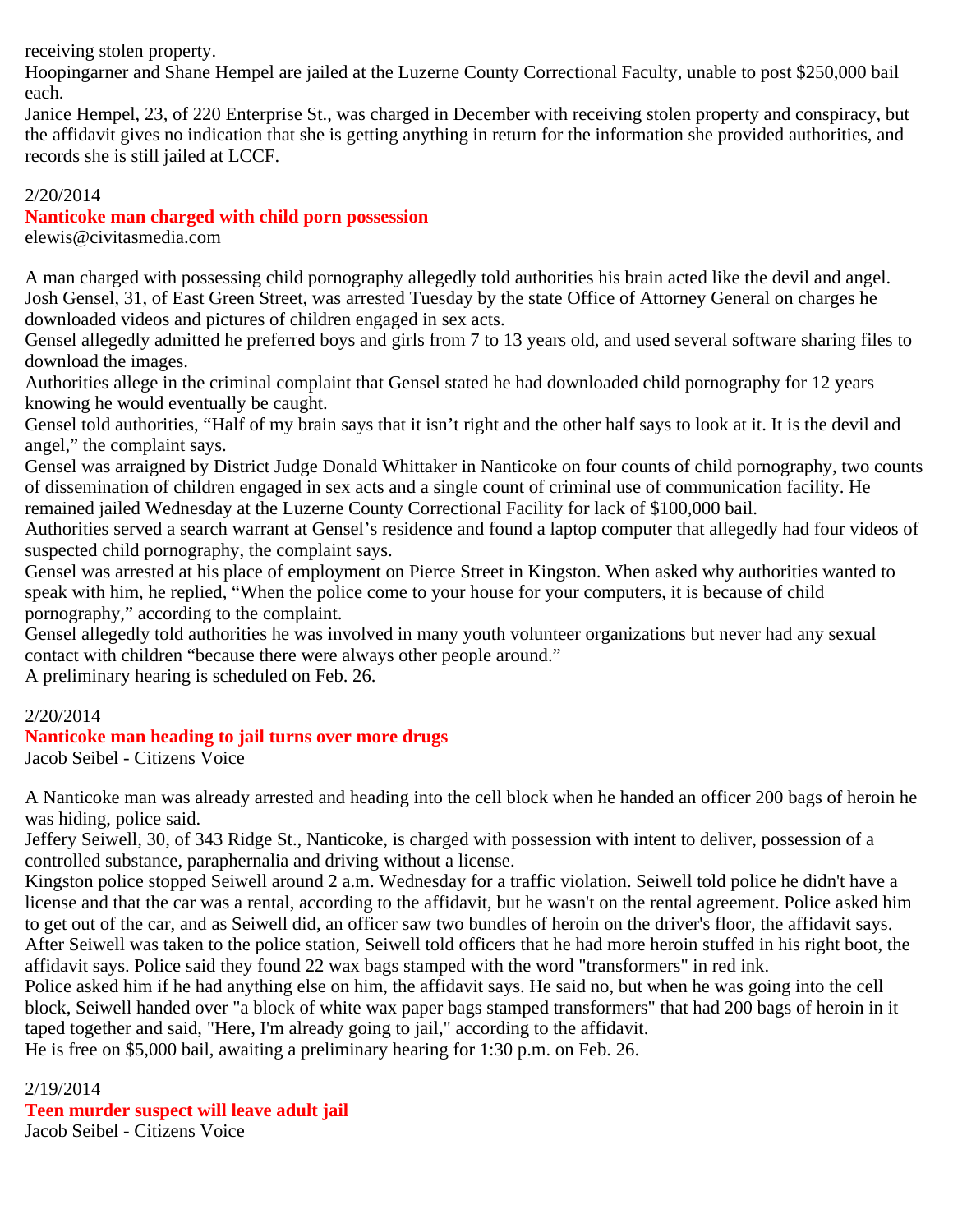receiving stolen property.

Hoopingarner and Shane Hempel are jailed at the Luzerne County Correctional Faculty, unable to post \$250,000 bail each.

Janice Hempel, 23, of 220 Enterprise St., was charged in December with receiving stolen property and conspiracy, but the affidavit gives no indication that she is getting anything in return for the information she provided authorities, and records she is still jailed at LCCF.

## 2/20/2014

## **Nanticoke man charged with child porn possession**

elewis@civitasmedia.com

A man charged with possessing child pornography allegedly told authorities his brain acted like the devil and angel. Josh Gensel, 31, of East Green Street, was arrested Tuesday by the state Office of Attorney General on charges he downloaded videos and pictures of children engaged in sex acts.

Gensel allegedly admitted he preferred boys and girls from 7 to 13 years old, and used several software sharing files to download the images.

Authorities allege in the criminal complaint that Gensel stated he had downloaded child pornography for 12 years knowing he would eventually be caught.

Gensel told authorities, "Half of my brain says that it isn't right and the other half says to look at it. It is the devil and angel," the complaint says.

Gensel was arraigned by District Judge Donald Whittaker in Nanticoke on four counts of child pornography, two counts of dissemination of children engaged in sex acts and a single count of criminal use of communication facility. He remained jailed Wednesday at the Luzerne County Correctional Facility for lack of \$100,000 bail.

Authorities served a search warrant at Gensel's residence and found a laptop computer that allegedly had four videos of suspected child pornography, the complaint says.

Gensel was arrested at his place of employment on Pierce Street in Kingston. When asked why authorities wanted to speak with him, he replied, "When the police come to your house for your computers, it is because of child pornography," according to the complaint.

Gensel allegedly told authorities he was involved in many youth volunteer organizations but never had any sexual contact with children "because there were always other people around."

A preliminary hearing is scheduled on Feb. 26.

## 2/20/2014

## **Nanticoke man heading to jail turns over more drugs**

Jacob Seibel - Citizens Voice

A Nanticoke man was already arrested and heading into the cell block when he handed an officer 200 bags of heroin he was hiding, police said.

Jeffery Seiwell, 30, of 343 Ridge St., Nanticoke, is charged with possession with intent to deliver, possession of a controlled substance, paraphernalia and driving without a license.

Kingston police stopped Seiwell around 2 a.m. Wednesday for a traffic violation. Seiwell told police he didn't have a license and that the car was a rental, according to the affidavit, but he wasn't on the rental agreement. Police asked him to get out of the car, and as Seiwell did, an officer saw two bundles of heroin on the driver's floor, the affidavit says. After Seiwell was taken to the police station, Seiwell told officers that he had more heroin stuffed in his right boot, the affidavit says. Police said they found 22 wax bags stamped with the word "transformers" in red ink.

Police asked him if he had anything else on him, the affidavit says. He said no, but when he was going into the cell block, Seiwell handed over "a block of white wax paper bags stamped transformers" that had 200 bags of heroin in it taped together and said, "Here, I'm already going to jail," according to the affidavit.

He is free on \$5,000 bail, awaiting a preliminary hearing for 1:30 p.m. on Feb. 26.

2/19/2014

**Teen murder suspect will leave adult jail**

Jacob Seibel - Citizens Voice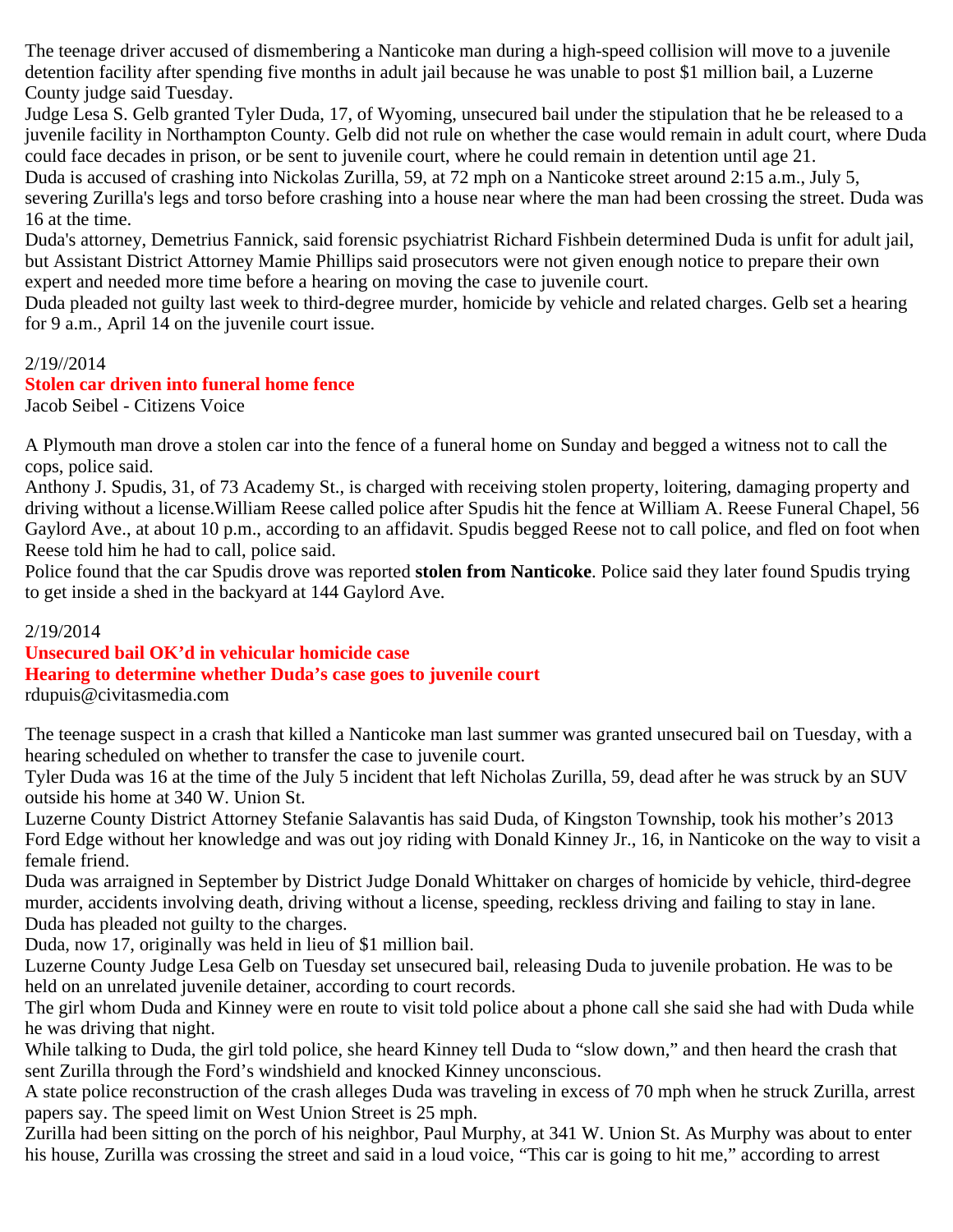The teenage driver accused of dismembering a Nanticoke man during a high-speed collision will move to a juvenile detention facility after spending five months in adult jail because he was unable to post \$1 million bail, a Luzerne County judge said Tuesday.

Judge Lesa S. Gelb granted Tyler Duda, 17, of Wyoming, unsecured bail under the stipulation that he be released to a juvenile facility in Northampton County. Gelb did not rule on whether the case would remain in adult court, where Duda could face decades in prison, or be sent to juvenile court, where he could remain in detention until age 21.

Duda is accused of crashing into Nickolas Zurilla, 59, at 72 mph on a Nanticoke street around 2:15 a.m., July 5, severing Zurilla's legs and torso before crashing into a house near where the man had been crossing the street. Duda was 16 at the time.

Duda's attorney, Demetrius Fannick, said forensic psychiatrist Richard Fishbein determined Duda is unfit for adult jail, but Assistant District Attorney Mamie Phillips said prosecutors were not given enough notice to prepare their own expert and needed more time before a hearing on moving the case to juvenile court.

Duda pleaded not guilty last week to third-degree murder, homicide by vehicle and related charges. Gelb set a hearing for 9 a.m., April 14 on the juvenile court issue.

#### 2/19//2014

#### **Stolen car driven into funeral home fence**

Jacob Seibel - Citizens Voice

A Plymouth man drove a stolen car into the fence of a funeral home on Sunday and begged a witness not to call the cops, police said.

Anthony J. Spudis, 31, of 73 Academy St., is charged with receiving stolen property, loitering, damaging property and driving without a license.William Reese called police after Spudis hit the fence at William A. Reese Funeral Chapel, 56 Gaylord Ave., at about 10 p.m., according to an affidavit. Spudis begged Reese not to call police, and fled on foot when Reese told him he had to call, police said.

Police found that the car Spudis drove was reported **stolen from Nanticoke**. Police said they later found Spudis trying to get inside a shed in the backyard at 144 Gaylord Ave.

#### 2/19/2014

# **Unsecured bail OK'd in vehicular homicide case Hearing to determine whether Duda's case goes to juvenile court**

rdupuis@civitasmedia.com

The teenage suspect in a crash that killed a Nanticoke man last summer was granted unsecured bail on Tuesday, with a hearing scheduled on whether to transfer the case to juvenile court.

Tyler Duda was 16 at the time of the July 5 incident that left Nicholas Zurilla, 59, dead after he was struck by an SUV outside his home at 340 W. Union St.

Luzerne County District Attorney Stefanie Salavantis has said Duda, of Kingston Township, took his mother's 2013 Ford Edge without her knowledge and was out joy riding with Donald Kinney Jr., 16, in Nanticoke on the way to visit a female friend.

Duda was arraigned in September by District Judge Donald Whittaker on charges of homicide by vehicle, third-degree murder, accidents involving death, driving without a license, speeding, reckless driving and failing to stay in lane. Duda has pleaded not guilty to the charges.

Duda, now 17, originally was held in lieu of \$1 million bail.

Luzerne County Judge Lesa Gelb on Tuesday set unsecured bail, releasing Duda to juvenile probation. He was to be held on an unrelated juvenile detainer, according to court records.

The girl whom Duda and Kinney were en route to visit told police about a phone call she said she had with Duda while he was driving that night.

While talking to Duda, the girl told police, she heard Kinney tell Duda to "slow down," and then heard the crash that sent Zurilla through the Ford's windshield and knocked Kinney unconscious.

A state police reconstruction of the crash alleges Duda was traveling in excess of 70 mph when he struck Zurilla, arrest papers say. The speed limit on West Union Street is 25 mph.

Zurilla had been sitting on the porch of his neighbor, Paul Murphy, at 341 W. Union St. As Murphy was about to enter his house, Zurilla was crossing the street and said in a loud voice, "This car is going to hit me," according to arrest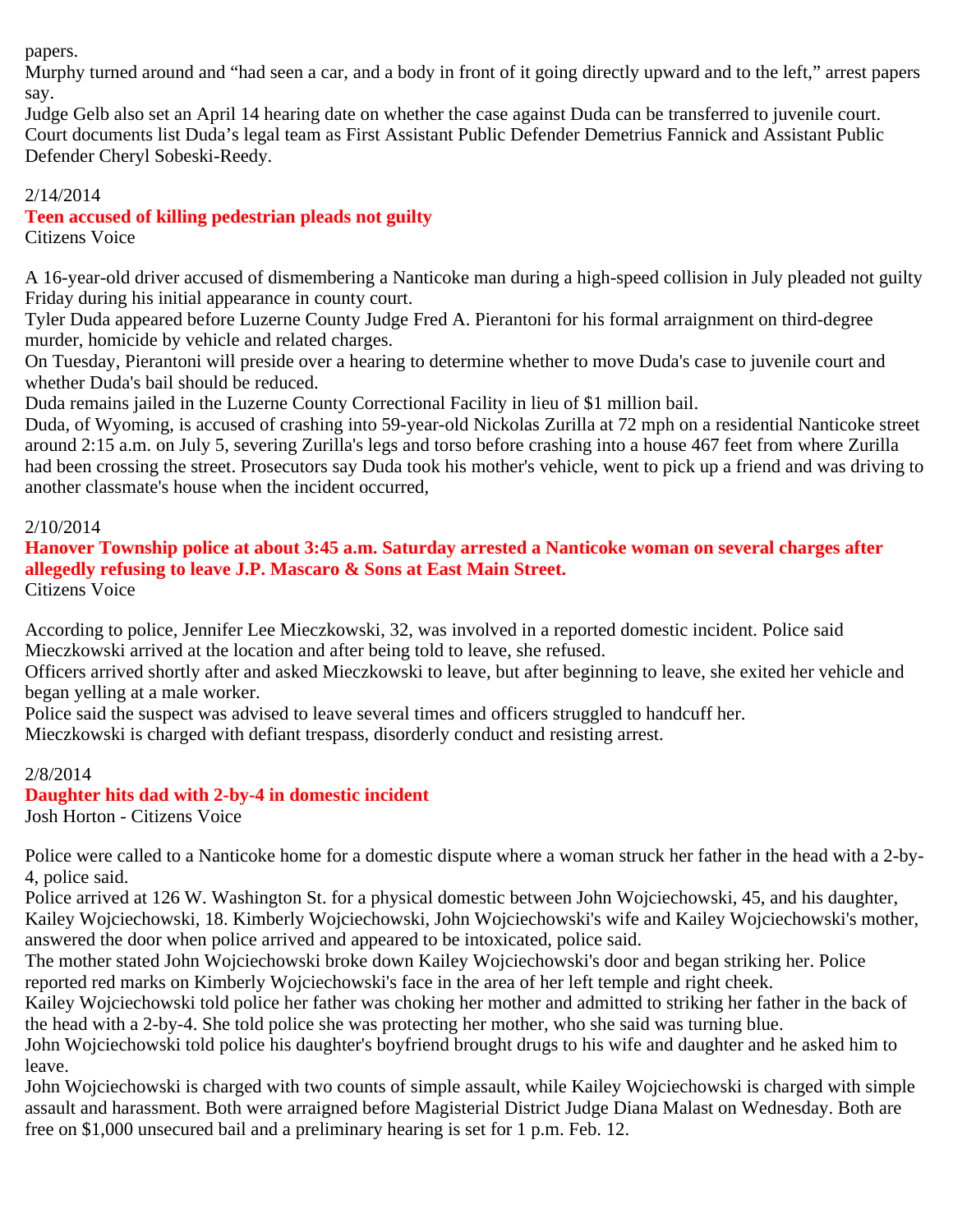papers.

Murphy turned around and "had seen a car, and a body in front of it going directly upward and to the left," arrest papers say.

Judge Gelb also set an April 14 hearing date on whether the case against Duda can be transferred to juvenile court. Court documents list Duda's legal team as First Assistant Public Defender Demetrius Fannick and Assistant Public Defender Cheryl Sobeski-Reedy.

## 2/14/2014

# **Teen accused of killing pedestrian pleads not guilty**

Citizens Voice

A 16-year-old driver accused of dismembering a Nanticoke man during a high-speed collision in July pleaded not guilty Friday during his initial appearance in county court.

Tyler Duda appeared before Luzerne County Judge Fred A. Pierantoni for his formal arraignment on third-degree murder, homicide by vehicle and related charges.

On Tuesday, Pierantoni will preside over a hearing to determine whether to move Duda's case to juvenile court and whether Duda's bail should be reduced.

Duda remains jailed in the Luzerne County Correctional Facility in lieu of \$1 million bail.

Duda, of Wyoming, is accused of crashing into 59-year-old Nickolas Zurilla at 72 mph on a residential Nanticoke street around 2:15 a.m. on July 5, severing Zurilla's legs and torso before crashing into a house 467 feet from where Zurilla had been crossing the street. Prosecutors say Duda took his mother's vehicle, went to pick up a friend and was driving to another classmate's house when the incident occurred,

## 2/10/2014

**Hanover Township police at about 3:45 a.m. Saturday arrested a Nanticoke woman on several charges after allegedly refusing to leave J.P. Mascaro & Sons at East Main Street.** Citizens Voice

According to police, Jennifer Lee Mieczkowski, 32, was involved in a reported domestic incident. Police said Mieczkowski arrived at the location and after being told to leave, she refused.

Officers arrived shortly after and asked Mieczkowski to leave, but after beginning to leave, she exited her vehicle and began yelling at a male worker.

Police said the suspect was advised to leave several times and officers struggled to handcuff her.

Mieczkowski is charged with defiant trespass, disorderly conduct and resisting arrest.

## 2/8/2014

# **Daughter hits dad with 2-by-4 in domestic incident**

Josh Horton - Citizens Voice

Police were called to a Nanticoke home for a domestic dispute where a woman struck her father in the head with a 2-by-4, police said.

Police arrived at 126 W. Washington St. for a physical domestic between John Wojciechowski, 45, and his daughter, Kailey Wojciechowski, 18. Kimberly Wojciechowski, John Wojciechowski's wife and Kailey Wojciechowski's mother, answered the door when police arrived and appeared to be intoxicated, police said.

The mother stated John Wojciechowski broke down Kailey Wojciechowski's door and began striking her. Police reported red marks on Kimberly Wojciechowski's face in the area of her left temple and right cheek.

Kailey Wojciechowski told police her father was choking her mother and admitted to striking her father in the back of the head with a 2-by-4. She told police she was protecting her mother, who she said was turning blue.

John Wojciechowski told police his daughter's boyfriend brought drugs to his wife and daughter and he asked him to leave.

John Wojciechowski is charged with two counts of simple assault, while Kailey Wojciechowski is charged with simple assault and harassment. Both were arraigned before Magisterial District Judge Diana Malast on Wednesday. Both are free on \$1,000 unsecured bail and a preliminary hearing is set for 1 p.m. Feb. 12.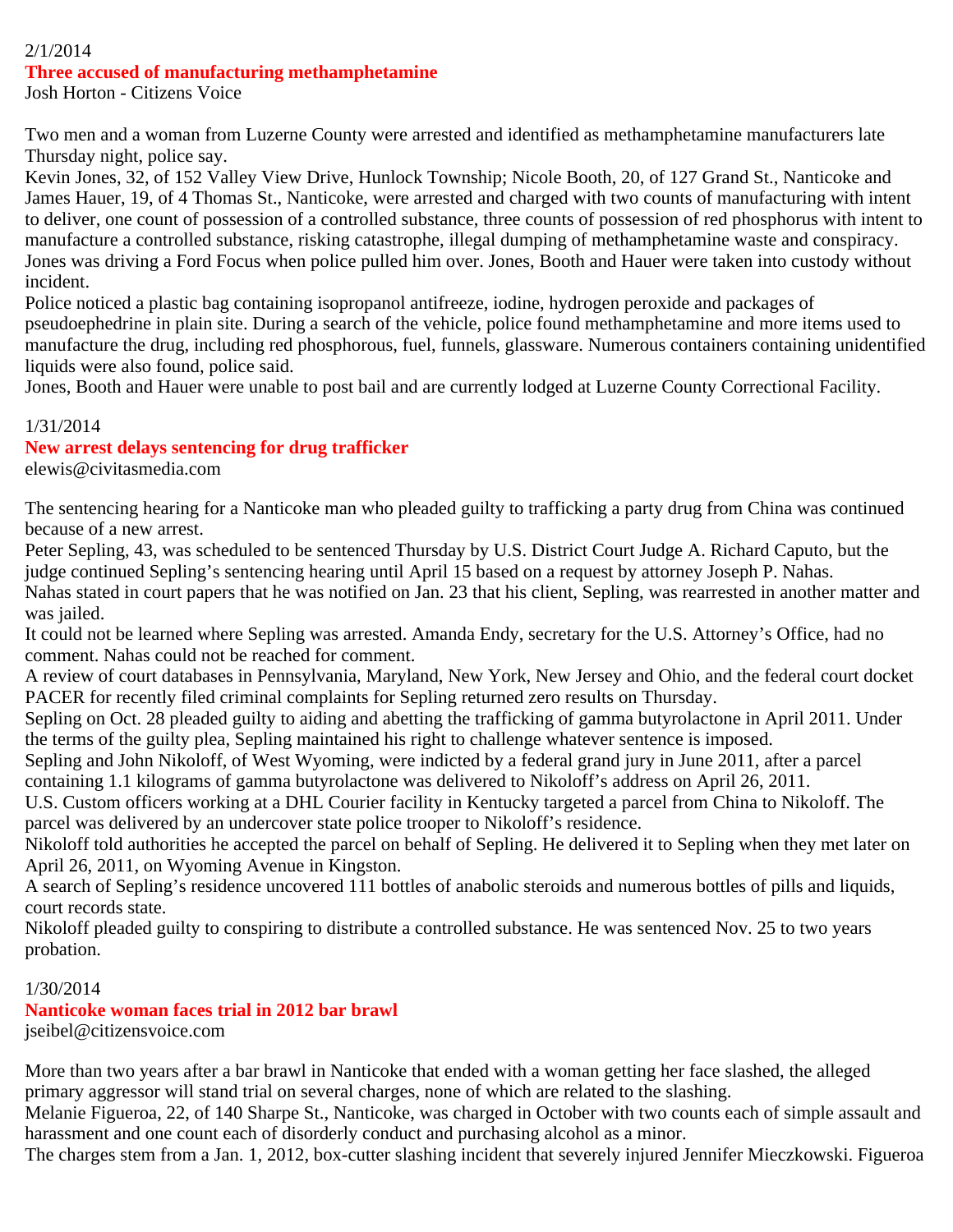#### 2/1/2014 **Three accused of manufacturing methamphetamine**

Josh Horton - Citizens Voice

Two men and a woman from Luzerne County were arrested and identified as methamphetamine manufacturers late Thursday night, police say.

Kevin Jones, 32, of 152 Valley View Drive, Hunlock Township; Nicole Booth, 20, of 127 Grand St., Nanticoke and James Hauer, 19, of 4 Thomas St., Nanticoke, were arrested and charged with two counts of manufacturing with intent to deliver, one count of possession of a controlled substance, three counts of possession of red phosphorus with intent to manufacture a controlled substance, risking catastrophe, illegal dumping of methamphetamine waste and conspiracy. Jones was driving a Ford Focus when police pulled him over. Jones, Booth and Hauer were taken into custody without incident.

Police noticed a plastic bag containing isopropanol antifreeze, iodine, hydrogen peroxide and packages of pseudoephedrine in plain site. During a search of the vehicle, police found methamphetamine and more items used to manufacture the drug, including red phosphorous, fuel, funnels, glassware. Numerous containers containing unidentified liquids were also found, police said.

Jones, Booth and Hauer were unable to post bail and are currently lodged at Luzerne County Correctional Facility.

#### 1/31/2014

## **New arrest delays sentencing for drug trafficker**

elewis@civitasmedia.com

The sentencing hearing for a Nanticoke man who pleaded guilty to trafficking a party drug from China was continued because of a new arrest.

Peter Sepling, 43, was scheduled to be sentenced Thursday by U.S. District Court Judge A. Richard Caputo, but the judge continued Sepling's sentencing hearing until April 15 based on a request by attorney Joseph P. Nahas. Nahas stated in court papers that he was notified on Jan. 23 that his client, Sepling, was rearrested in another matter and was jailed.

It could not be learned where Sepling was arrested. Amanda Endy, secretary for the U.S. Attorney's Office, had no comment. Nahas could not be reached for comment.

A review of court databases in Pennsylvania, Maryland, New York, New Jersey and Ohio, and the federal court docket PACER for recently filed criminal complaints for Sepling returned zero results on Thursday.

Sepling on Oct. 28 pleaded guilty to aiding and abetting the trafficking of gamma butyrolactone in April 2011. Under the terms of the guilty plea, Sepling maintained his right to challenge whatever sentence is imposed.

Sepling and John Nikoloff, of West Wyoming, were indicted by a federal grand jury in June 2011, after a parcel containing 1.1 kilograms of gamma butyrolactone was delivered to Nikoloff's address on April 26, 2011.

U.S. Custom officers working at a DHL Courier facility in Kentucky targeted a parcel from China to Nikoloff. The parcel was delivered by an undercover state police trooper to Nikoloff's residence.

Nikoloff told authorities he accepted the parcel on behalf of Sepling. He delivered it to Sepling when they met later on April 26, 2011, on Wyoming Avenue in Kingston.

A search of Sepling's residence uncovered 111 bottles of anabolic steroids and numerous bottles of pills and liquids, court records state.

Nikoloff pleaded guilty to conspiring to distribute a controlled substance. He was sentenced Nov. 25 to two years probation.

## 1/30/2014

# **Nanticoke woman faces trial in 2012 bar brawl**

jseibel@citizensvoice.com

More than two years after a bar brawl in Nanticoke that ended with a woman getting her face slashed, the alleged primary aggressor will stand trial on several charges, none of which are related to the slashing.

Melanie Figueroa, 22, of 140 Sharpe St., Nanticoke, was charged in October with two counts each of simple assault and harassment and one count each of disorderly conduct and purchasing alcohol as a minor.

The charges stem from a Jan. 1, 2012, box-cutter slashing incident that severely injured Jennifer Mieczkowski. Figueroa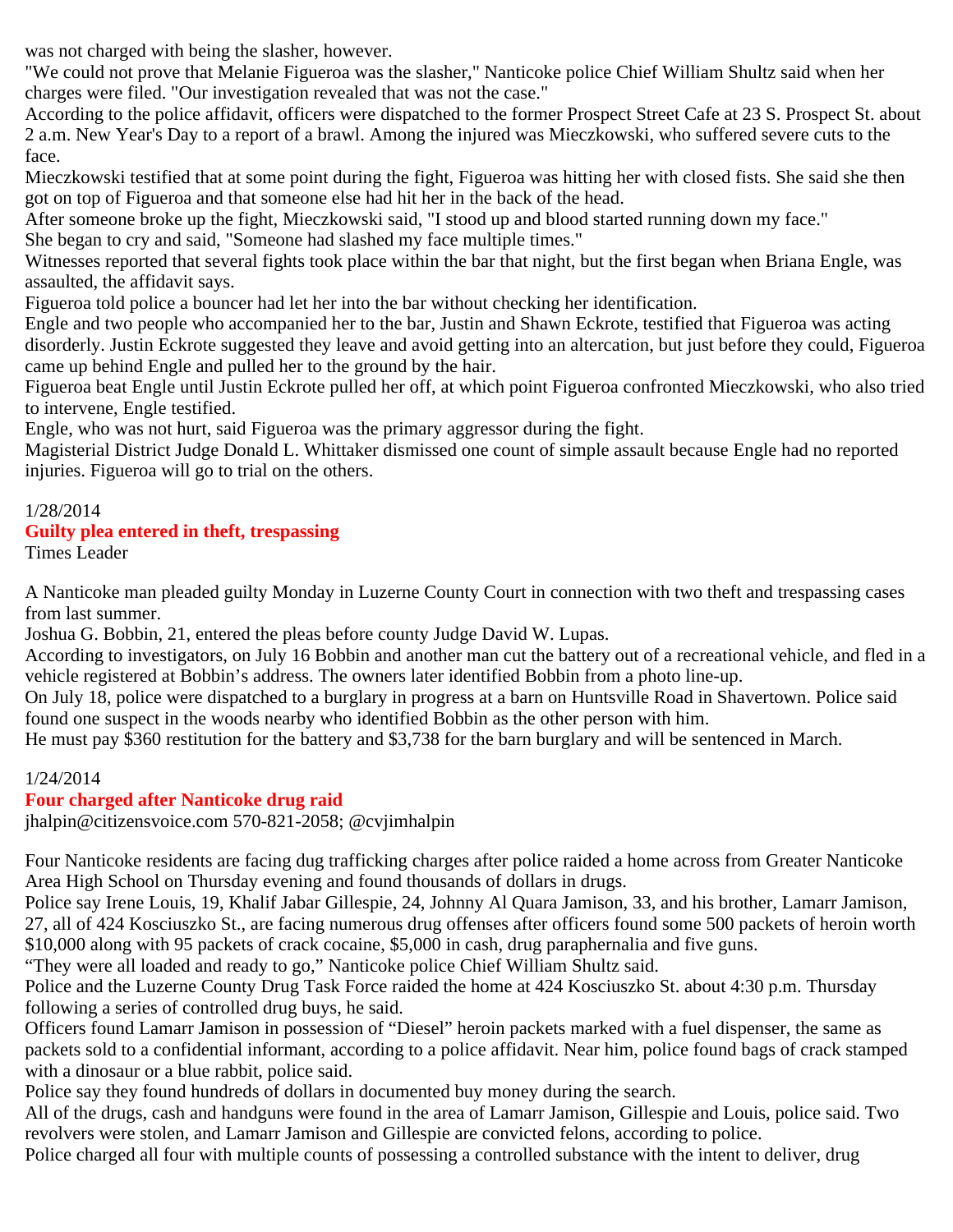was not charged with being the slasher, however.

"We could not prove that Melanie Figueroa was the slasher," Nanticoke police Chief William Shultz said when her charges were filed. "Our investigation revealed that was not the case."

According to the police affidavit, officers were dispatched to the former Prospect Street Cafe at 23 S. Prospect St. about 2 a.m. New Year's Day to a report of a brawl. Among the injured was Mieczkowski, who suffered severe cuts to the face.

Mieczkowski testified that at some point during the fight, Figueroa was hitting her with closed fists. She said she then got on top of Figueroa and that someone else had hit her in the back of the head.

After someone broke up the fight, Mieczkowski said, "I stood up and blood started running down my face."

She began to cry and said, "Someone had slashed my face multiple times."

Witnesses reported that several fights took place within the bar that night, but the first began when Briana Engle, was assaulted, the affidavit says.

Figueroa told police a bouncer had let her into the bar without checking her identification.

Engle and two people who accompanied her to the bar, Justin and Shawn Eckrote, testified that Figueroa was acting disorderly. Justin Eckrote suggested they leave and avoid getting into an altercation, but just before they could, Figueroa came up behind Engle and pulled her to the ground by the hair.

Figueroa beat Engle until Justin Eckrote pulled her off, at which point Figueroa confronted Mieczkowski, who also tried to intervene, Engle testified.

Engle, who was not hurt, said Figueroa was the primary aggressor during the fight.

Magisterial District Judge Donald L. Whittaker dismissed one count of simple assault because Engle had no reported injuries. Figueroa will go to trial on the others.

# 1/28/2014

## **Guilty plea entered in theft, trespassing**

Times Leader

A Nanticoke man pleaded guilty Monday in Luzerne County Court in connection with two theft and trespassing cases from last summer.

Joshua G. Bobbin, 21, entered the pleas before county Judge David W. Lupas.

According to investigators, on July 16 Bobbin and another man cut the battery out of a recreational vehicle, and fled in a vehicle registered at Bobbin's address. The owners later identified Bobbin from a photo line-up.

On July 18, police were dispatched to a burglary in progress at a barn on Huntsville Road in Shavertown. Police said found one suspect in the woods nearby who identified Bobbin as the other person with him.

He must pay \$360 restitution for the battery and \$3,738 for the barn burglary and will be sentenced in March.

## 1/24/2014

## **Four charged after Nanticoke drug raid**

jhalpin@citizensvoice.com 570-821-2058; @cvjimhalpin

Four Nanticoke residents are facing dug trafficking charges after police raided a home across from Greater Nanticoke Area High School on Thursday evening and found thousands of dollars in drugs.

Police say Irene Louis, 19, Khalif Jabar Gillespie, 24, Johnny Al Quara Jamison, 33, and his brother, Lamarr Jamison, 27, all of 424 Kosciuszko St., are facing numerous drug offenses after officers found some 500 packets of heroin worth \$10,000 along with 95 packets of crack cocaine, \$5,000 in cash, drug paraphernalia and five guns.

"They were all loaded and ready to go," Nanticoke police Chief William Shultz said.

Police and the Luzerne County Drug Task Force raided the home at 424 Kosciuszko St. about 4:30 p.m. Thursday following a series of controlled drug buys, he said.

Officers found Lamarr Jamison in possession of "Diesel" heroin packets marked with a fuel dispenser, the same as packets sold to a confidential informant, according to a police affidavit. Near him, police found bags of crack stamped with a dinosaur or a blue rabbit, police said.

Police say they found hundreds of dollars in documented buy money during the search.

All of the drugs, cash and handguns were found in the area of Lamarr Jamison, Gillespie and Louis, police said. Two revolvers were stolen, and Lamarr Jamison and Gillespie are convicted felons, according to police.

Police charged all four with multiple counts of possessing a controlled substance with the intent to deliver, drug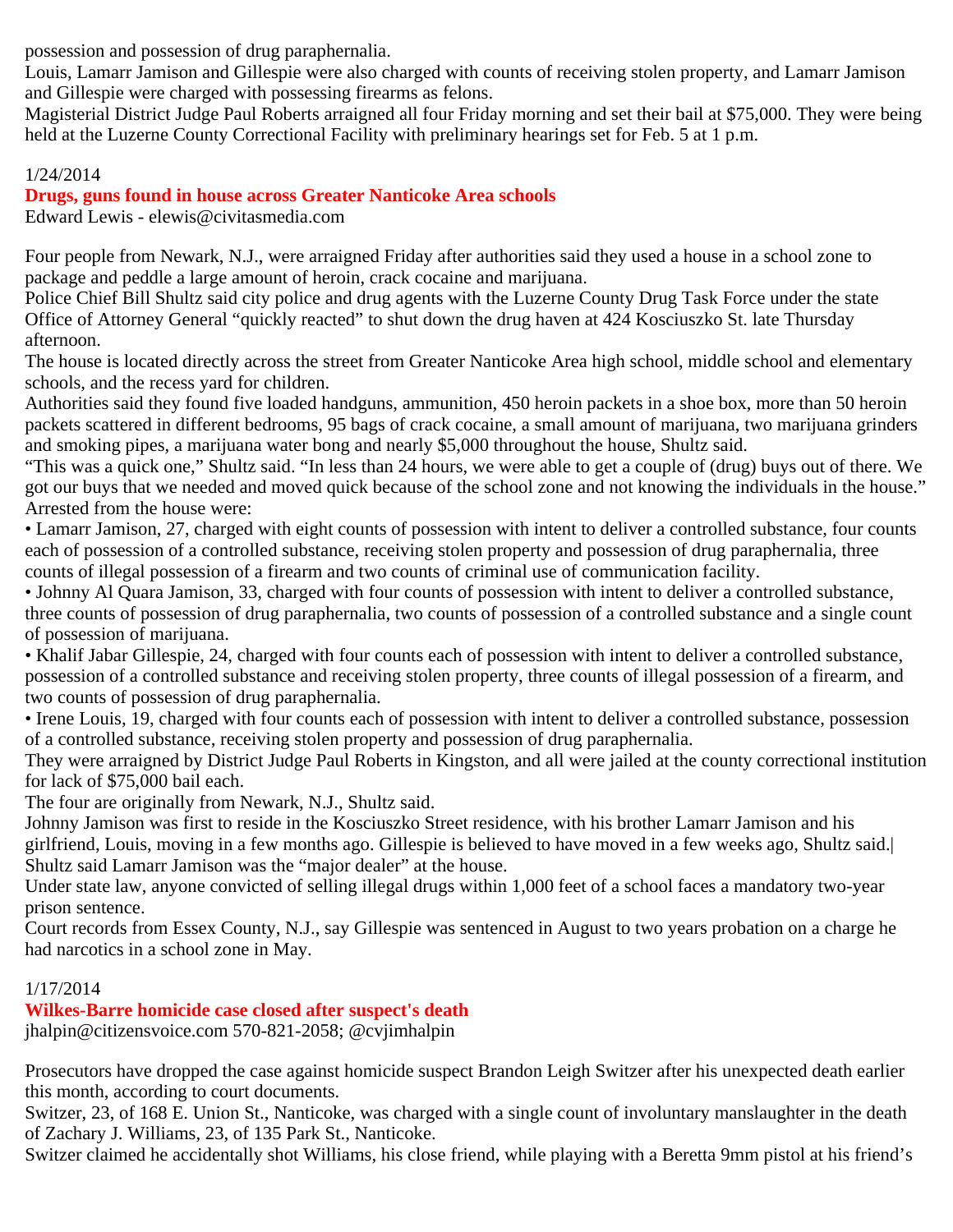possession and possession of drug paraphernalia.

Louis, Lamarr Jamison and Gillespie were also charged with counts of receiving stolen property, and Lamarr Jamison and Gillespie were charged with possessing firearms as felons.

Magisterial District Judge Paul Roberts arraigned all four Friday morning and set their bail at \$75,000. They were being held at the Luzerne County Correctional Facility with preliminary hearings set for Feb. 5 at 1 p.m.

# 1/24/2014

# **Drugs, guns found in house across Greater Nanticoke Area schools**

Edward Lewis - elewis@civitasmedia.com

Four people from Newark, N.J., were arraigned Friday after authorities said they used a house in a school zone to package and peddle a large amount of heroin, crack cocaine and marijuana.

Police Chief Bill Shultz said city police and drug agents with the Luzerne County Drug Task Force under the state Office of Attorney General "quickly reacted" to shut down the drug haven at 424 Kosciuszko St. late Thursday afternoon.

The house is located directly across the street from Greater Nanticoke Area high school, middle school and elementary schools, and the recess yard for children.

Authorities said they found five loaded handguns, ammunition, 450 heroin packets in a shoe box, more than 50 heroin packets scattered in different bedrooms, 95 bags of crack cocaine, a small amount of marijuana, two marijuana grinders and smoking pipes, a marijuana water bong and nearly \$5,000 throughout the house, Shultz said.

"This was a quick one," Shultz said. "In less than 24 hours, we were able to get a couple of (drug) buys out of there. We got our buys that we needed and moved quick because of the school zone and not knowing the individuals in the house." Arrested from the house were:

• Lamarr Jamison, 27, charged with eight counts of possession with intent to deliver a controlled substance, four counts each of possession of a controlled substance, receiving stolen property and possession of drug paraphernalia, three counts of illegal possession of a firearm and two counts of criminal use of communication facility.

• Johnny Al Quara Jamison, 33, charged with four counts of possession with intent to deliver a controlled substance, three counts of possession of drug paraphernalia, two counts of possession of a controlled substance and a single count of possession of marijuana.

• Khalif Jabar Gillespie, 24, charged with four counts each of possession with intent to deliver a controlled substance, possession of a controlled substance and receiving stolen property, three counts of illegal possession of a firearm, and two counts of possession of drug paraphernalia.

• Irene Louis, 19, charged with four counts each of possession with intent to deliver a controlled substance, possession of a controlled substance, receiving stolen property and possession of drug paraphernalia.

They were arraigned by District Judge Paul Roberts in Kingston, and all were jailed at the county correctional institution for lack of \$75,000 bail each.

The four are originally from Newark, N.J., Shultz said.

Johnny Jamison was first to reside in the Kosciuszko Street residence, with his brother Lamarr Jamison and his girlfriend, Louis, moving in a few months ago. Gillespie is believed to have moved in a few weeks ago, Shultz said.| Shultz said Lamarr Jamison was the "major dealer" at the house.

Under state law, anyone convicted of selling illegal drugs within 1,000 feet of a school faces a mandatory two-year prison sentence.

Court records from Essex County, N.J., say Gillespie was sentenced in August to two years probation on a charge he had narcotics in a school zone in May.

# 1/17/2014

**Wilkes-Barre homicide case closed after suspect's death** jhalpin@citizensvoice.com 570-821-2058; @cvjimhalpin

Prosecutors have dropped the case against homicide suspect Brandon Leigh Switzer after his unexpected death earlier this month, according to court documents.

Switzer, 23, of 168 E. Union St., Nanticoke, was charged with a single count of involuntary manslaughter in the death of Zachary J. Williams, 23, of 135 Park St., Nanticoke.

Switzer claimed he accidentally shot Williams, his close friend, while playing with a Beretta 9mm pistol at his friend's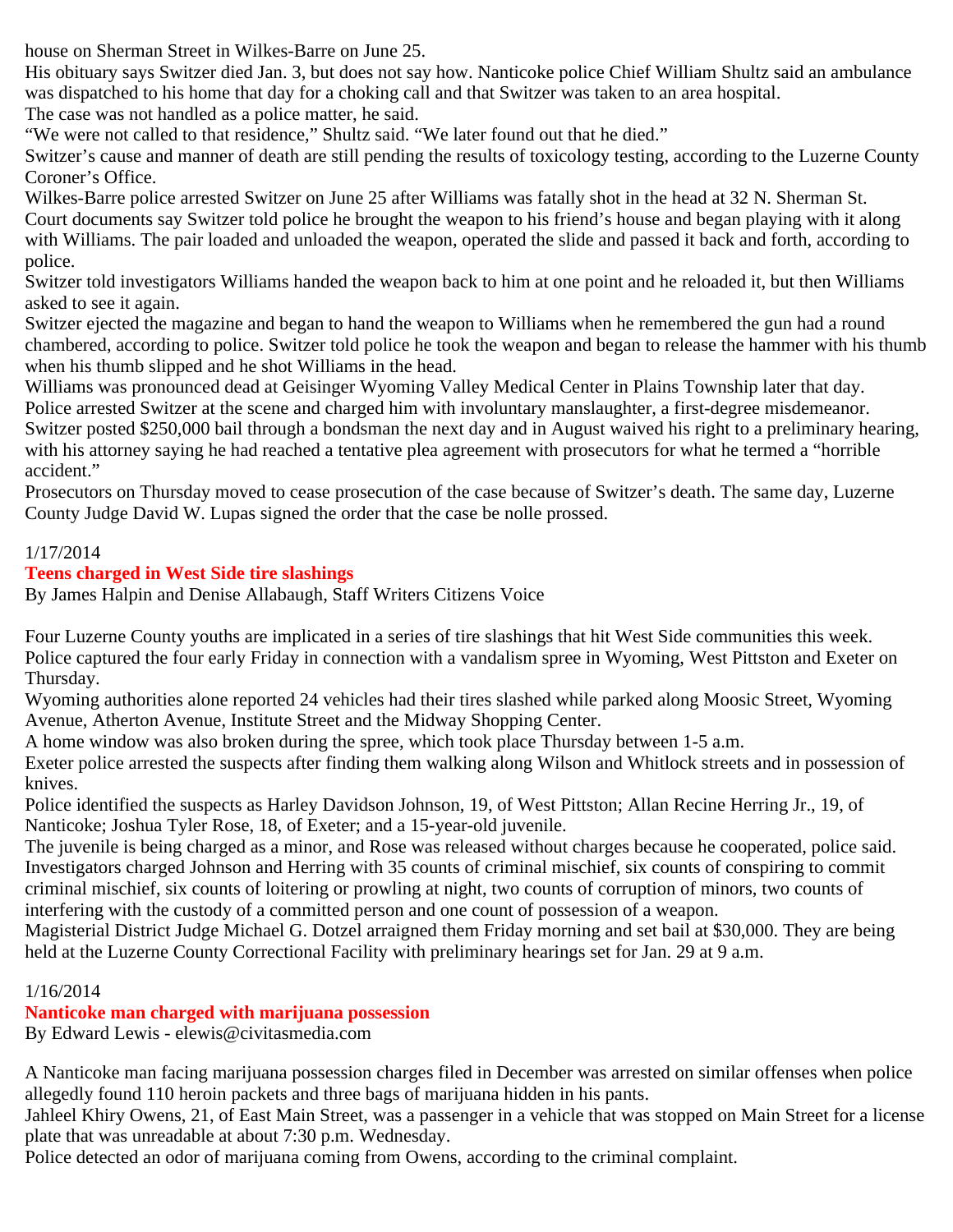house on Sherman Street in Wilkes-Barre on June 25.

His obituary says Switzer died Jan. 3, but does not say how. Nanticoke police Chief William Shultz said an ambulance was dispatched to his home that day for a choking call and that Switzer was taken to an area hospital.

The case was not handled as a police matter, he said.

"We were not called to that residence," Shultz said. "We later found out that he died."

Switzer's cause and manner of death are still pending the results of toxicology testing, according to the Luzerne County Coroner's Office.

Wilkes-Barre police arrested Switzer on June 25 after Williams was fatally shot in the head at 32 N. Sherman St. Court documents say Switzer told police he brought the weapon to his friend's house and began playing with it along with Williams. The pair loaded and unloaded the weapon, operated the slide and passed it back and forth, according to police.

Switzer told investigators Williams handed the weapon back to him at one point and he reloaded it, but then Williams asked to see it again.

Switzer ejected the magazine and began to hand the weapon to Williams when he remembered the gun had a round chambered, according to police. Switzer told police he took the weapon and began to release the hammer with his thumb when his thumb slipped and he shot Williams in the head.

Williams was pronounced dead at Geisinger Wyoming Valley Medical Center in Plains Township later that day. Police arrested Switzer at the scene and charged him with involuntary manslaughter, a first-degree misdemeanor. Switzer posted \$250,000 bail through a bondsman the next day and in August waived his right to a preliminary hearing, with his attorney saying he had reached a tentative plea agreement with prosecutors for what he termed a "horrible accident."

Prosecutors on Thursday moved to cease prosecution of the case because of Switzer's death. The same day, Luzerne County Judge David W. Lupas signed the order that the case be nolle prossed.

## 1/17/2014

## **Teens charged in West Side tire slashings**

By James Halpin and Denise Allabaugh, Staff Writers Citizens Voice

Four Luzerne County youths are implicated in a series of tire slashings that hit West Side communities this week. Police captured the four early Friday in connection with a vandalism spree in Wyoming, West Pittston and Exeter on Thursday.

Wyoming authorities alone reported 24 vehicles had their tires slashed while parked along Moosic Street, Wyoming Avenue, Atherton Avenue, Institute Street and the Midway Shopping Center.

A home window was also broken during the spree, which took place Thursday between 1-5 a.m.

Exeter police arrested the suspects after finding them walking along Wilson and Whitlock streets and in possession of knives.

Police identified the suspects as Harley Davidson Johnson, 19, of West Pittston; Allan Recine Herring Jr., 19, of Nanticoke; Joshua Tyler Rose, 18, of Exeter; and a 15-year-old juvenile.

The juvenile is being charged as a minor, and Rose was released without charges because he cooperated, police said. Investigators charged Johnson and Herring with 35 counts of criminal mischief, six counts of conspiring to commit criminal mischief, six counts of loitering or prowling at night, two counts of corruption of minors, two counts of interfering with the custody of a committed person and one count of possession of a weapon.

Magisterial District Judge Michael G. Dotzel arraigned them Friday morning and set bail at \$30,000. They are being held at the Luzerne County Correctional Facility with preliminary hearings set for Jan. 29 at 9 a.m.

## 1/16/2014

# **Nanticoke man charged with marijuana possession**

By Edward Lewis - elewis@civitasmedia.com

A Nanticoke man facing marijuana possession charges filed in December was arrested on similar offenses when police allegedly found 110 heroin packets and three bags of marijuana hidden in his pants.

Jahleel Khiry Owens, 21, of East Main Street, was a passenger in a vehicle that was stopped on Main Street for a license plate that was unreadable at about 7:30 p.m. Wednesday.

Police detected an odor of marijuana coming from Owens, according to the criminal complaint.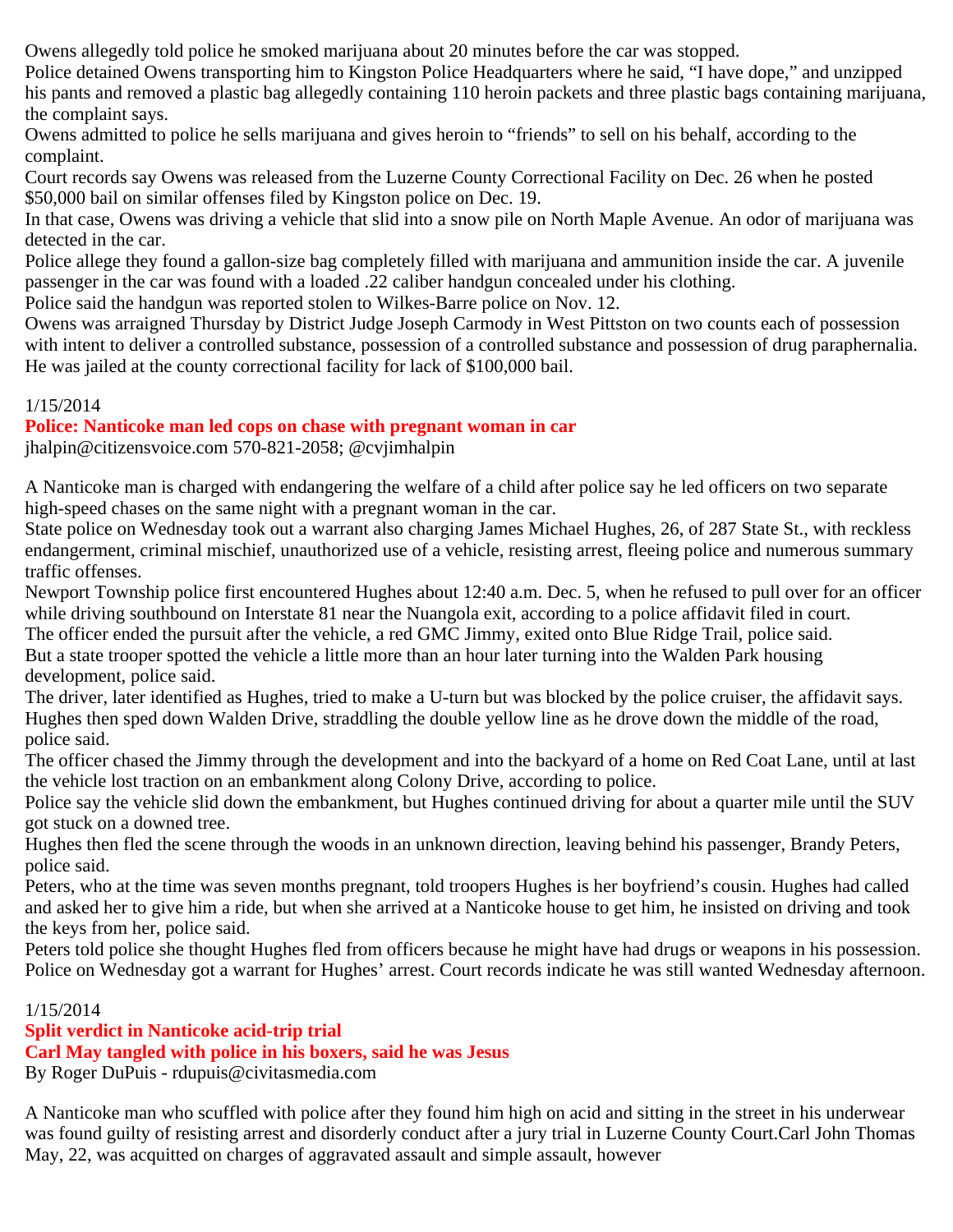Owens allegedly told police he smoked marijuana about 20 minutes before the car was stopped.

Police detained Owens transporting him to Kingston Police Headquarters where he said, "I have dope," and unzipped his pants and removed a plastic bag allegedly containing 110 heroin packets and three plastic bags containing marijuana, the complaint says.

Owens admitted to police he sells marijuana and gives heroin to "friends" to sell on his behalf, according to the complaint.

Court records say Owens was released from the Luzerne County Correctional Facility on Dec. 26 when he posted \$50,000 bail on similar offenses filed by Kingston police on Dec. 19.

In that case, Owens was driving a vehicle that slid into a snow pile on North Maple Avenue. An odor of marijuana was detected in the car.

Police allege they found a gallon-size bag completely filled with marijuana and ammunition inside the car. A juvenile passenger in the car was found with a loaded .22 caliber handgun concealed under his clothing.

Police said the handgun was reported stolen to Wilkes-Barre police on Nov. 12.

Owens was arraigned Thursday by District Judge Joseph Carmody in West Pittston on two counts each of possession with intent to deliver a controlled substance, possession of a controlled substance and possession of drug paraphernalia. He was jailed at the county correctional facility for lack of \$100,000 bail.

## 1/15/2014

## **Police: Nanticoke man led cops on chase with pregnant woman in car**

jhalpin@citizensvoice.com 570-821-2058; @cvjimhalpin

A Nanticoke man is charged with endangering the welfare of a child after police say he led officers on two separate high-speed chases on the same night with a pregnant woman in the car.

State police on Wednesday took out a warrant also charging James Michael Hughes, 26, of 287 State St., with reckless endangerment, criminal mischief, unauthorized use of a vehicle, resisting arrest, fleeing police and numerous summary traffic offenses.

Newport Township police first encountered Hughes about 12:40 a.m. Dec. 5, when he refused to pull over for an officer while driving southbound on Interstate 81 near the Nuangola exit, according to a police affidavit filed in court.

The officer ended the pursuit after the vehicle, a red GMC Jimmy, exited onto Blue Ridge Trail, police said.

But a state trooper spotted the vehicle a little more than an hour later turning into the Walden Park housing development, police said.

The driver, later identified as Hughes, tried to make a U-turn but was blocked by the police cruiser, the affidavit says. Hughes then sped down Walden Drive, straddling the double yellow line as he drove down the middle of the road, police said.

The officer chased the Jimmy through the development and into the backyard of a home on Red Coat Lane, until at last the vehicle lost traction on an embankment along Colony Drive, according to police.

Police say the vehicle slid down the embankment, but Hughes continued driving for about a quarter mile until the SUV got stuck on a downed tree.

Hughes then fled the scene through the woods in an unknown direction, leaving behind his passenger, Brandy Peters, police said.

Peters, who at the time was seven months pregnant, told troopers Hughes is her boyfriend's cousin. Hughes had called and asked her to give him a ride, but when she arrived at a Nanticoke house to get him, he insisted on driving and took the keys from her, police said.

Peters told police she thought Hughes fled from officers because he might have had drugs or weapons in his possession. Police on Wednesday got a warrant for Hughes' arrest. Court records indicate he was still wanted Wednesday afternoon.

## 1/15/2014

# **Split verdict in Nanticoke acid-trip trial**

**Carl May tangled with police in his boxers, said he was Jesus**

By Roger DuPuis - rdupuis@civitasmedia.com

A Nanticoke man who scuffled with police after they found him high on acid and sitting in the street in his underwear was found guilty of resisting arrest and disorderly conduct after a jury trial in Luzerne County Court.Carl John Thomas May, 22, was acquitted on charges of aggravated assault and simple assault, however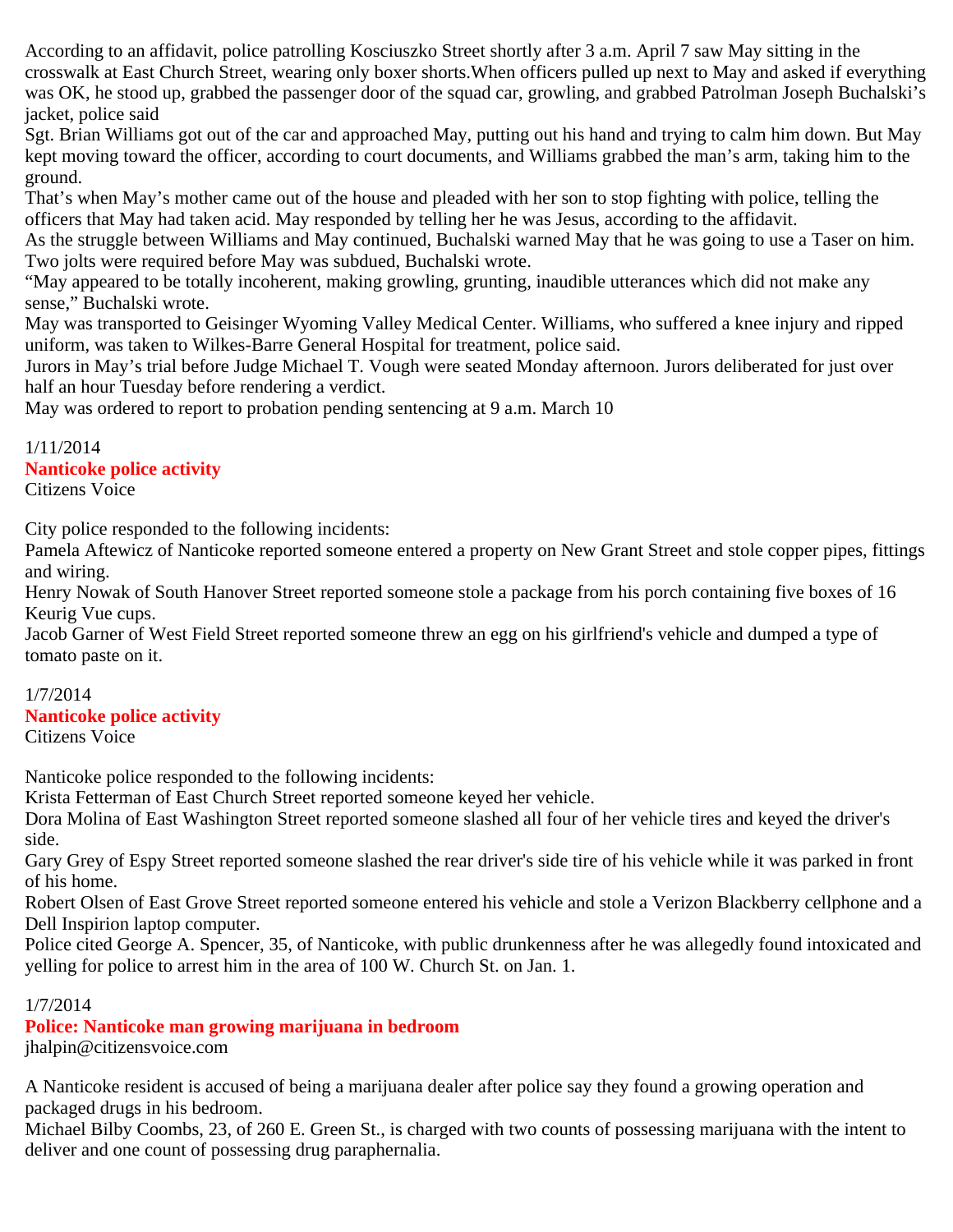According to an affidavit, police patrolling Kosciuszko Street shortly after 3 a.m. April 7 saw May sitting in the crosswalk at East Church Street, wearing only boxer shorts.When officers pulled up next to May and asked if everything was OK, he stood up, grabbed the passenger door of the squad car, growling, and grabbed Patrolman Joseph Buchalski's jacket, police said

Sgt. Brian Williams got out of the car and approached May, putting out his hand and trying to calm him down. But May kept moving toward the officer, according to court documents, and Williams grabbed the man's arm, taking him to the ground.

That's when May's mother came out of the house and pleaded with her son to stop fighting with police, telling the officers that May had taken acid. May responded by telling her he was Jesus, according to the affidavit.

As the struggle between Williams and May continued, Buchalski warned May that he was going to use a Taser on him. Two jolts were required before May was subdued, Buchalski wrote.

"May appeared to be totally incoherent, making growling, grunting, inaudible utterances which did not make any sense," Buchalski wrote.

May was transported to Geisinger Wyoming Valley Medical Center. Williams, who suffered a knee injury and ripped uniform, was taken to Wilkes-Barre General Hospital for treatment, police said.

Jurors in May's trial before Judge Michael T. Vough were seated Monday afternoon. Jurors deliberated for just over half an hour Tuesday before rendering a verdict.

May was ordered to report to probation pending sentencing at 9 a.m. March 10

# 1/11/2014 **Nanticoke police activity**

Citizens Voice

City police responded to the following incidents:

Pamela Aftewicz of Nanticoke reported someone entered a property on New Grant Street and stole copper pipes, fittings and wiring.

Henry Nowak of South Hanover Street reported someone stole a package from his porch containing five boxes of 16 Keurig Vue cups.

Jacob Garner of West Field Street reported someone threw an egg on his girlfriend's vehicle and dumped a type of tomato paste on it.

# 1/7/2014

# **Nanticoke police activity**

Citizens Voice

Nanticoke police responded to the following incidents:

Krista Fetterman of East Church Street reported someone keyed her vehicle.

Dora Molina of East Washington Street reported someone slashed all four of her vehicle tires and keyed the driver's side.

Gary Grey of Espy Street reported someone slashed the rear driver's side tire of his vehicle while it was parked in front of his home.

Robert Olsen of East Grove Street reported someone entered his vehicle and stole a Verizon Blackberry cellphone and a Dell Inspirion laptop computer.

Police cited George A. Spencer, 35, of Nanticoke, with public drunkenness after he was allegedly found intoxicated and yelling for police to arrest him in the area of 100 W. Church St. on Jan. 1.

# 1/7/2014

# **Police: Nanticoke man growing marijuana in bedroom**

jhalpin@citizensvoice.com

A Nanticoke resident is accused of being a marijuana dealer after police say they found a growing operation and packaged drugs in his bedroom.

Michael Bilby Coombs, 23, of 260 E. Green St., is charged with two counts of possessing marijuana with the intent to deliver and one count of possessing drug paraphernalia.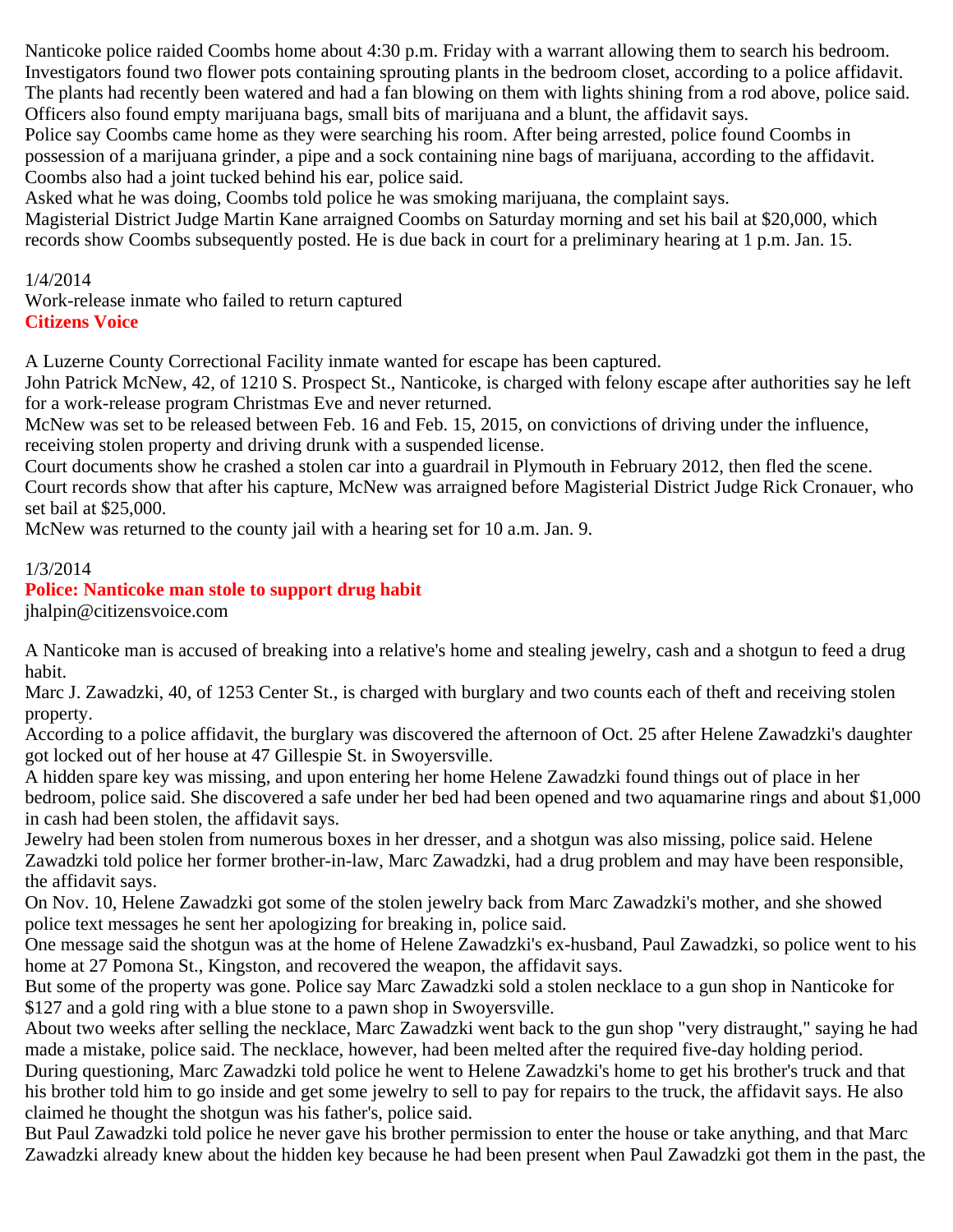Nanticoke police raided Coombs home about 4:30 p.m. Friday with a warrant allowing them to search his bedroom. Investigators found two flower pots containing sprouting plants in the bedroom closet, according to a police affidavit. The plants had recently been watered and had a fan blowing on them with lights shining from a rod above, police said. Officers also found empty marijuana bags, small bits of marijuana and a blunt, the affidavit says.

Police say Coombs came home as they were searching his room. After being arrested, police found Coombs in possession of a marijuana grinder, a pipe and a sock containing nine bags of marijuana, according to the affidavit. Coombs also had a joint tucked behind his ear, police said.

Asked what he was doing, Coombs told police he was smoking marijuana, the complaint says.

Magisterial District Judge Martin Kane arraigned Coombs on Saturday morning and set his bail at \$20,000, which records show Coombs subsequently posted. He is due back in court for a preliminary hearing at 1 p.m. Jan. 15.

1/4/2014

Work-release inmate who failed to return captured **Citizens Voice**

A Luzerne County Correctional Facility inmate wanted for escape has been captured.

John Patrick McNew, 42, of 1210 S. Prospect St., Nanticoke, is charged with felony escape after authorities say he left for a work-release program Christmas Eve and never returned.

McNew was set to be released between Feb. 16 and Feb. 15, 2015, on convictions of driving under the influence, receiving stolen property and driving drunk with a suspended license.

Court documents show he crashed a stolen car into a guardrail in Plymouth in February 2012, then fled the scene. Court records show that after his capture, McNew was arraigned before Magisterial District Judge Rick Cronauer, who set bail at \$25,000.

McNew was returned to the county jail with a hearing set for 10 a.m. Jan. 9.

## 1/3/2014

# **Police: Nanticoke man stole to support drug habit**

jhalpin@citizensvoice.com

A Nanticoke man is accused of breaking into a relative's home and stealing jewelry, cash and a shotgun to feed a drug habit.

Marc J. Zawadzki, 40, of 1253 Center St., is charged with burglary and two counts each of theft and receiving stolen property.

According to a police affidavit, the burglary was discovered the afternoon of Oct. 25 after Helene Zawadzki's daughter got locked out of her house at 47 Gillespie St. in Swoyersville.

A hidden spare key was missing, and upon entering her home Helene Zawadzki found things out of place in her bedroom, police said. She discovered a safe under her bed had been opened and two aquamarine rings and about \$1,000 in cash had been stolen, the affidavit says.

Jewelry had been stolen from numerous boxes in her dresser, and a shotgun was also missing, police said. Helene Zawadzki told police her former brother-in-law, Marc Zawadzki, had a drug problem and may have been responsible, the affidavit says.

On Nov. 10, Helene Zawadzki got some of the stolen jewelry back from Marc Zawadzki's mother, and she showed police text messages he sent her apologizing for breaking in, police said.

One message said the shotgun was at the home of Helene Zawadzki's ex-husband, Paul Zawadzki, so police went to his home at 27 Pomona St., Kingston, and recovered the weapon, the affidavit says.

But some of the property was gone. Police say Marc Zawadzki sold a stolen necklace to a gun shop in Nanticoke for \$127 and a gold ring with a blue stone to a pawn shop in Swoyersville.

About two weeks after selling the necklace, Marc Zawadzki went back to the gun shop "very distraught," saying he had made a mistake, police said. The necklace, however, had been melted after the required five-day holding period. During questioning, Marc Zawadzki told police he went to Helene Zawadzki's home to get his brother's truck and that

his brother told him to go inside and get some jewelry to sell to pay for repairs to the truck, the affidavit says. He also claimed he thought the shotgun was his father's, police said.

But Paul Zawadzki told police he never gave his brother permission to enter the house or take anything, and that Marc Zawadzki already knew about the hidden key because he had been present when Paul Zawadzki got them in the past, the